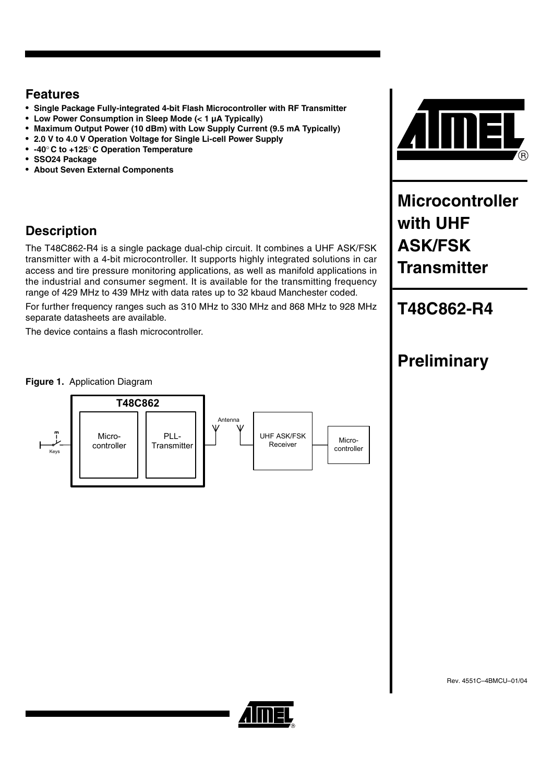## **Features**

- **Single Package Fully-integrated 4-bit Flash Microcontroller with RF Transmitter**
- **Low Power Consumption in Sleep Mode (< 1 µA Typically)**
- **Maximum Output Power (10 dBm) with Low Supply Current (9.5 mA Typically)**
- **2.0 V to 4.0 V Operation Voltage for Single Li-cell Power Supply**
- **-40**° **C to +125**° **C Operation Temperature**
- **SSO24 Package**
- **About Seven External Components**

## **Description**

The T48C862-R4 is a single package dual-chip circuit. It combines a UHF ASK/FSK transmitter with a 4-bit microcontroller. It supports highly integrated solutions in car access and tire pressure monitoring applications, as well as manifold applications in the industrial and consumer segment. It is available for the transmitting frequency range of 429 MHz to 439 MHz with data rates up to 32 kbaud Manchester coded.

For further frequency ranges such as 310 MHz to 330 MHz and 868 MHz to 928 MHz separate datasheets are available.

The device contains a flash microcontroller.



**Microcontroller with UHF ASK/FSK Transmitter**

# **T48C862-R4**

### **Figure 1.** Application Diagram



# **Preliminary**

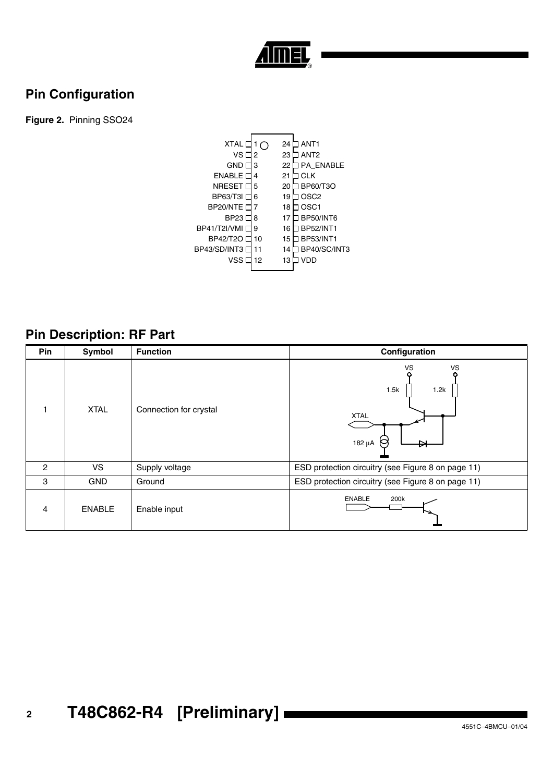

## **Pin Configuration**

**Figure 2.** Pinning SSO24



## **Pin Description: RF Part**

| Pin | Symbol        | <b>Function</b>        | Configuration                                          |
|-----|---------------|------------------------|--------------------------------------------------------|
|     | <b>XTAL</b>   | Connection for crystal | VS<br>VS<br>1.5k<br>1.2k<br><b>XTAL</b><br>p<br>182 μA |
| 2   | VS            | Supply voltage         | ESD protection circuitry (see Figure 8 on page 11)     |
| 3   | <b>GND</b>    | Ground                 | ESD protection circuitry (see Figure 8 on page 11)     |
| 4   | <b>ENABLE</b> | Enable input           | <b>ENABLE</b><br>200k                                  |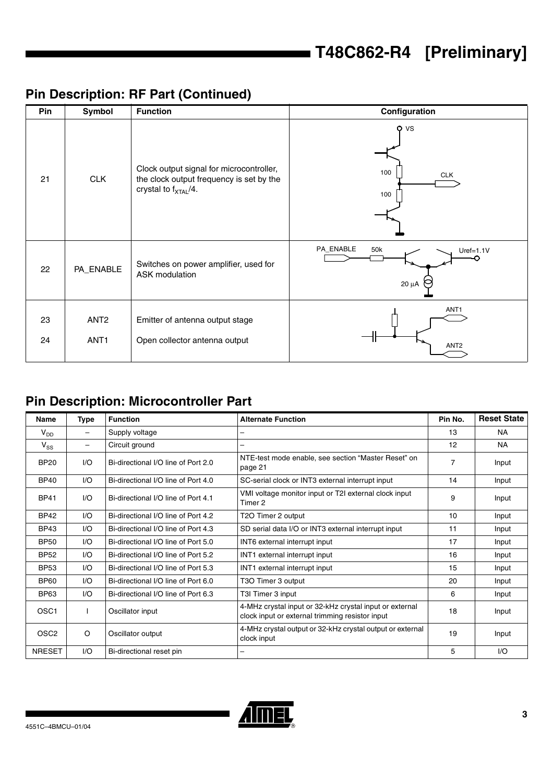# **Pin Description: RF Part (Continued)**

| Pin      | Symbol                               | <b>Function</b>                                                                                                          | Configuration                                 |
|----------|--------------------------------------|--------------------------------------------------------------------------------------------------------------------------|-----------------------------------------------|
| 21       | <b>CLK</b>                           | Clock output signal for microcontroller,<br>the clock output frequency is set by the<br>crystal to $f_{\text{XTAL}}/4$ . | $Q$ VS<br>100<br><b>CLK</b><br>100            |
| 22       | PA_ENABLE                            | Switches on power amplifier, used for<br>ASK modulation                                                                  | PA_ENABLE<br>50k<br>$Uref=1.1V$<br>$20 \mu A$ |
| 23<br>24 | ANT <sub>2</sub><br>ANT <sub>1</sub> | Emitter of antenna output stage<br>Open collector antenna output                                                         | ANT <sub>1</sub><br>ANT <sub>2</sub>          |

# **Pin Description: Microcontroller Part**

| <b>Name</b>      | <b>Type</b>     | <b>Function</b>                     | <b>Alternate Function</b>                                                                                  | Pin No.        | <b>Reset State</b> |
|------------------|-----------------|-------------------------------------|------------------------------------------------------------------------------------------------------------|----------------|--------------------|
| $V_{DD}$         | $\qquad \qquad$ | Supply voltage                      |                                                                                                            | 13             | <b>NA</b>          |
| $V_{SS}$         | -               | Circuit ground                      | -                                                                                                          | 12             | NA.                |
| <b>BP20</b>      | 1/O             | Bi-directional I/O line of Port 2.0 | NTE-test mode enable, see section "Master Reset" on<br>page 21                                             | $\overline{7}$ | Input              |
| <b>BP40</b>      | 1/O             | Bi-directional I/O line of Port 4.0 | SC-serial clock or INT3 external interrupt input                                                           | 14             | Input              |
| <b>BP41</b>      | 1/O             | Bi-directional I/O line of Port 4.1 | VMI voltage monitor input or T2I external clock input<br>Timer 2                                           | 9              | Input              |
| <b>BP42</b>      | 1/O             | Bi-directional I/O line of Port 4.2 | T2O Timer 2 output                                                                                         | 10             | Input              |
| <b>BP43</b>      | I/O             | Bi-directional I/O line of Port 4.3 | SD serial data I/O or INT3 external interrupt input                                                        | 11             | Input              |
| <b>BP50</b>      | I/O             | Bi-directional I/O line of Port 5.0 | INT6 external interrupt input                                                                              | 17             | Input              |
| <b>BP52</b>      | 1/O             | Bi-directional I/O line of Port 5.2 | INT1 external interrupt input                                                                              | 16             | Input              |
| <b>BP53</b>      | 1/O             | Bi-directional I/O line of Port 5.3 | INT1 external interrupt input                                                                              | 15             | Input              |
| <b>BP60</b>      | 1/O             | Bi-directional I/O line of Port 6.0 | T3O Timer 3 output                                                                                         | 20             | Input              |
| <b>BP63</b>      | I/O             | Bi-directional I/O line of Port 6.3 | T3I Timer 3 input                                                                                          | 6              | Input              |
| OSC <sub>1</sub> |                 | Oscillator input                    | 4-MHz crystal input or 32-kHz crystal input or external<br>clock input or external trimming resistor input | 18             | Input              |
| OSC <sub>2</sub> | O               | Oscillator output                   | 4-MHz crystal output or 32-kHz crystal output or external<br>clock input                                   | 19             | Input              |
| <b>NRESET</b>    | 1/O             | Bi-directional reset pin            |                                                                                                            | 5              | 1/O                |

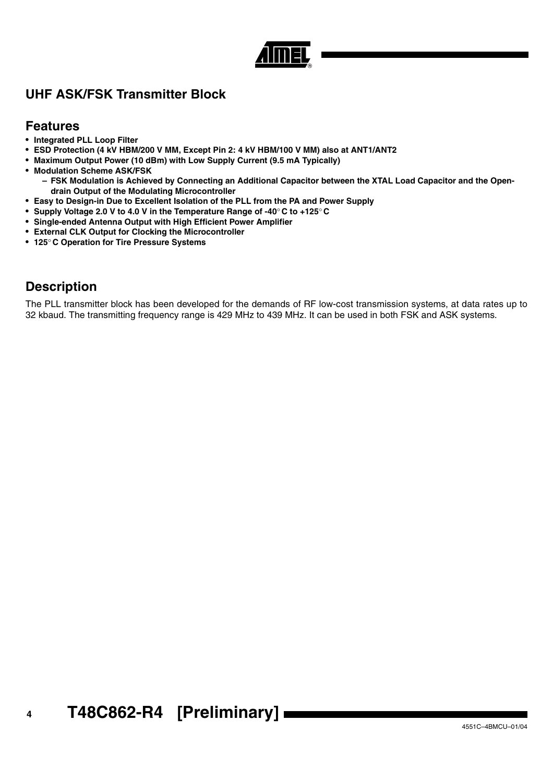## **UHF ASK/FSK Transmitter Block**

## **Features**

- **Integrated PLL Loop Filter**
- **ESD Protection (4 kV HBM/200 V MM, Except Pin 2: 4 kV HBM/100 V MM) also at ANT1/ANT2**
- **Maximum Output Power (10 dBm) with Low Supply Current (9.5 mA Typically)**
- **Modulation Scheme ASK/FSK**
	- **FSK Modulation is Achieved by Connecting an Additional Capacitor between the XTAL Load Capacitor and the Opendrain Output of the Modulating Microcontroller**
- **Easy to Design-in Due to Excellent Isolation of the PLL from the PA and Power Supply**
- **Supply Voltage 2.0 V to 4.0 V in the Temperature Range of -40**° **C to +125**° **C**
- **Single-ended Antenna Output with High Efficient Power Amplifier**
- **External CLK Output for Clocking the Microcontroller**
- **125**° **C Operation for Tire Pressure Systems**

## **Description**

The PLL transmitter block has been developed for the demands of RF low-cost transmission systems, at data rates up to 32 kbaud. The transmitting frequency range is 429 MHz to 439 MHz. It can be used in both FSK and ASK systems.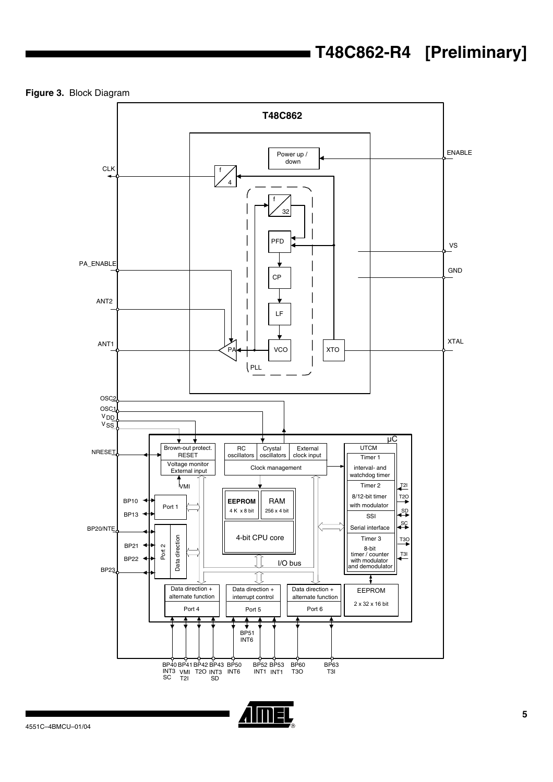**Figure 3.** Block Diagram



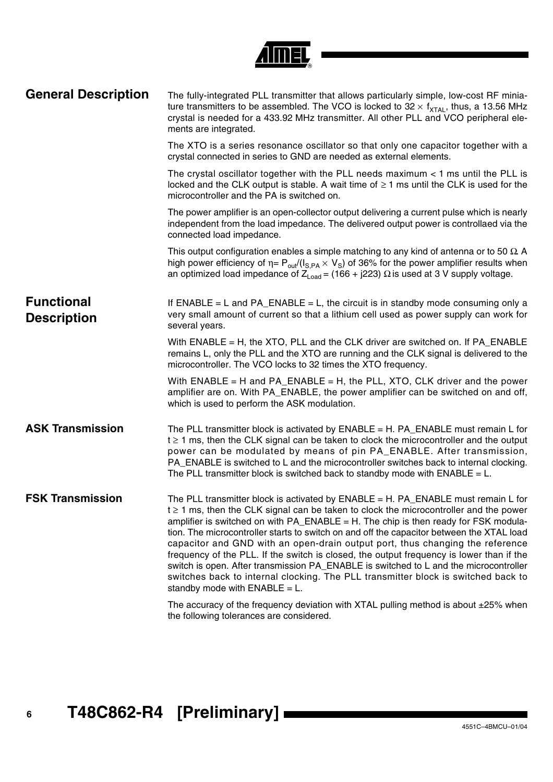| <b>General Description</b>              | The fully-integrated PLL transmitter that allows particularly simple, low-cost RF minia-<br>ture transmitters to be assembled. The VCO is locked to $32 \times f_{\text{XTAL}}$ , thus, a 13.56 MHz<br>crystal is needed for a 433.92 MHz transmitter. All other PLL and VCO peripheral ele-<br>ments are integrated.                                                                                                                                                                                                                                                                                                                                                                                                                                                   |
|-----------------------------------------|-------------------------------------------------------------------------------------------------------------------------------------------------------------------------------------------------------------------------------------------------------------------------------------------------------------------------------------------------------------------------------------------------------------------------------------------------------------------------------------------------------------------------------------------------------------------------------------------------------------------------------------------------------------------------------------------------------------------------------------------------------------------------|
|                                         | The XTO is a series resonance oscillator so that only one capacitor together with a<br>crystal connected in series to GND are needed as external elements.                                                                                                                                                                                                                                                                                                                                                                                                                                                                                                                                                                                                              |
|                                         | The crystal oscillator together with the PLL needs maximum < 1 ms until the PLL is<br>locked and the CLK output is stable. A wait time of $\geq 1$ ms until the CLK is used for the<br>microcontroller and the PA is switched on.                                                                                                                                                                                                                                                                                                                                                                                                                                                                                                                                       |
|                                         | The power amplifier is an open-collector output delivering a current pulse which is nearly<br>independent from the load impedance. The delivered output power is controllaed via the<br>connected load impedance.                                                                                                                                                                                                                                                                                                                                                                                                                                                                                                                                                       |
|                                         | This output configuration enables a simple matching to any kind of antenna or to 50 $\Omega$ .<br>high power efficiency of $\eta = P_{out}/(I_{S,PA} \times V_S)$ of 36% for the power amplifier results when<br>an optimized load impedance of $Z_{load} = (166 + j223)$ Q is used at 3 V supply voltage.                                                                                                                                                                                                                                                                                                                                                                                                                                                              |
| <b>Functional</b><br><b>Description</b> | If $ENABLE = L$ and $PA$ $ENABLE = L$ , the circuit is in standby mode consuming only a<br>very small amount of current so that a lithium cell used as power supply can work for<br>several years.                                                                                                                                                                                                                                                                                                                                                                                                                                                                                                                                                                      |
|                                         | With ENABLE = H, the XTO, PLL and the CLK driver are switched on. If PA_ENABLE<br>remains L, only the PLL and the XTO are running and the CLK signal is delivered to the<br>microcontroller. The VCO locks to 32 times the XTO frequency.                                                                                                                                                                                                                                                                                                                                                                                                                                                                                                                               |
|                                         | With $ENABLE = H$ and $PA$ $ENABLE = H$ , the PLL, XTO, CLK driver and the power<br>amplifier are on. With PA_ENABLE, the power amplifier can be switched on and off,<br>which is used to perform the ASK modulation.                                                                                                                                                                                                                                                                                                                                                                                                                                                                                                                                                   |
| <b>ASK Transmission</b>                 | The PLL transmitter block is activated by $ENABLE = H. PA_ENABLE$ must remain L for<br>$t \geq 1$ ms, then the CLK signal can be taken to clock the microcontroller and the output<br>power can be modulated by means of pin PA_ENABLE. After transmission,<br>PA_ENABLE is switched to L and the microcontroller switches back to internal clocking.<br>The PLL transmitter block is switched back to standby mode with $ENABLE = L$ .                                                                                                                                                                                                                                                                                                                                 |
| <b>FSK Transmission</b>                 | The PLL transmitter block is activated by $ENABLE = H. PA_ENABLE$ must remain L for<br>$t \geq 1$ ms, then the CLK signal can be taken to clock the microcontroller and the power<br>amplifier is switched on with $PA$ _ENABLE = H. The chip is then ready for FSK modula-<br>tion. The microcontroller starts to switch on and off the capacitor between the XTAL load<br>capacitor and GND with an open-drain output port, thus changing the reference<br>frequency of the PLL. If the switch is closed, the output frequency is lower than if the<br>switch is open. After transmission PA_ENABLE is switched to L and the microcontroller<br>switches back to internal clocking. The PLL transmitter block is switched back to<br>standby mode with $ENABLE = L$ . |
|                                         | The accuracy of the frequency deviation with XTAL pulling method is about ±25% when<br>the following tolerances are considered.                                                                                                                                                                                                                                                                                                                                                                                                                                                                                                                                                                                                                                         |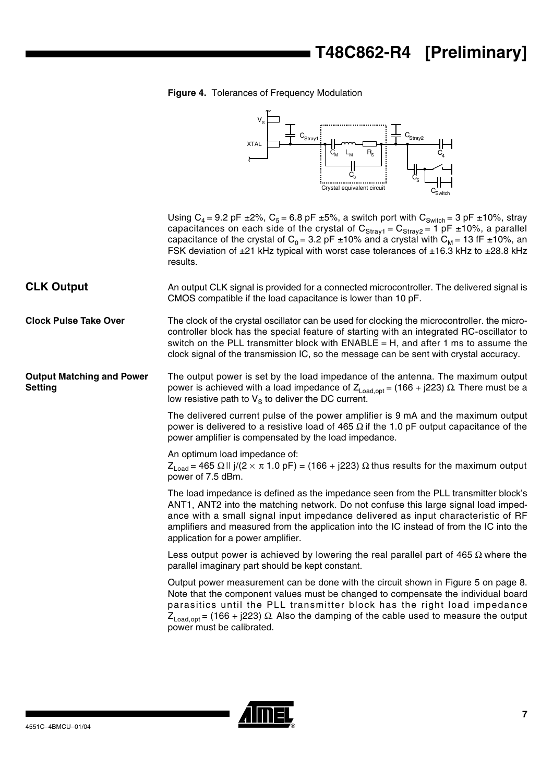### **Figure 4.** Tolerances of Frequency Modulation



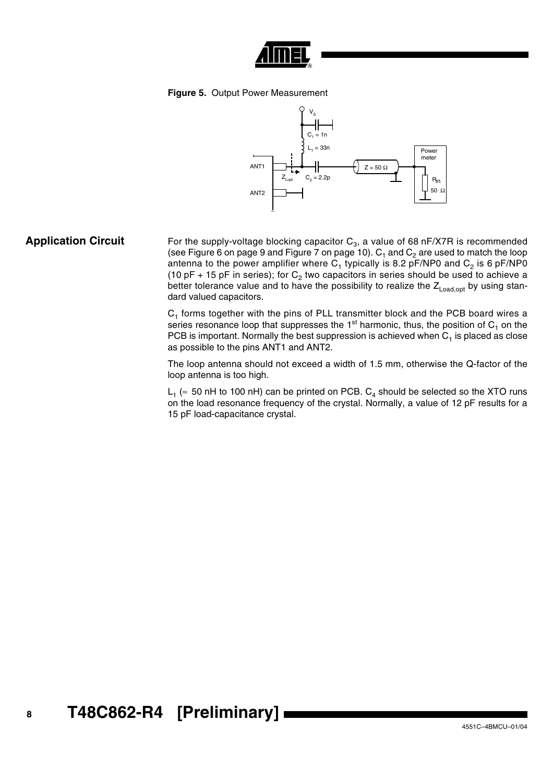

### <span id="page-7-0"></span>**Figure 5.** Output Power Measurement



### **Application Circuit** For the supply-voltage blocking capacitor C<sub>3</sub>, a value of 68 nF/X7R is recommended (see [Figure 6 on page 9](#page-8-0) and [Figure 7 on page 10](#page-9-0)).  $C_1$  and  $C_2$  are used to match the loop antenna to the power amplifier where  $C_1$  typically is 8.2 pF/NP0 and  $C_2$  is 6 pF/NP0 (10 pF + 15 pF in series); for  $C_2$  two capacitors in series should be used to achieve a better tolerance value and to have the possibility to realize the  $Z_{\text{Load,opt}}$  by using standard valued capacitors.

 $C_1$  forms together with the pins of PLL transmitter block and the PCB board wires a series resonance loop that suppresses the  $1<sup>st</sup>$  harmonic, thus, the position of  $C_1$  on the PCB is important. Normally the best suppression is achieved when  $C_1$  is placed as close as possible to the pins ANT1 and ANT2.

The loop antenna should not exceed a width of 1.5 mm, otherwise the Q-factor of the loop antenna is too high.

L<sub>1</sub> ( $\approx$  50 nH to 100 nH) can be printed on PCB. C<sub>4</sub> should be selected so the XTO runs on the load resonance frequency of the crystal. Normally, a value of 12 pF results for a 15 pF load-capacitance crystal.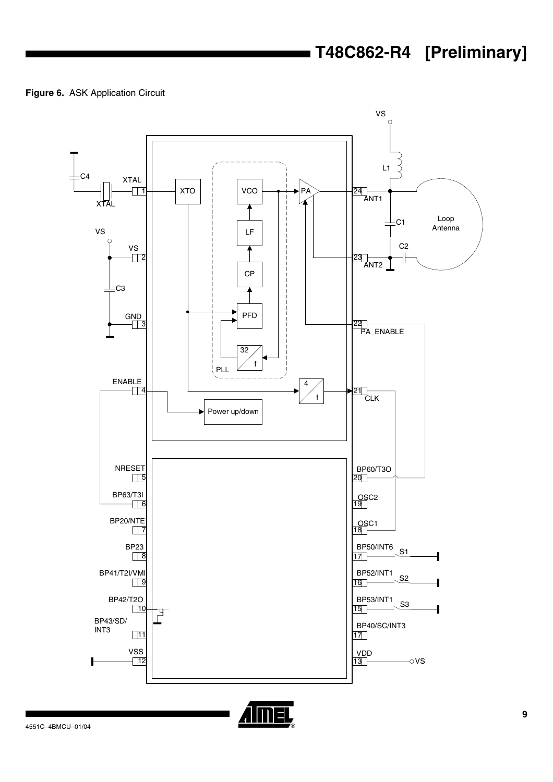<span id="page-8-0"></span>**Figure 6.** ASK Application Circuit



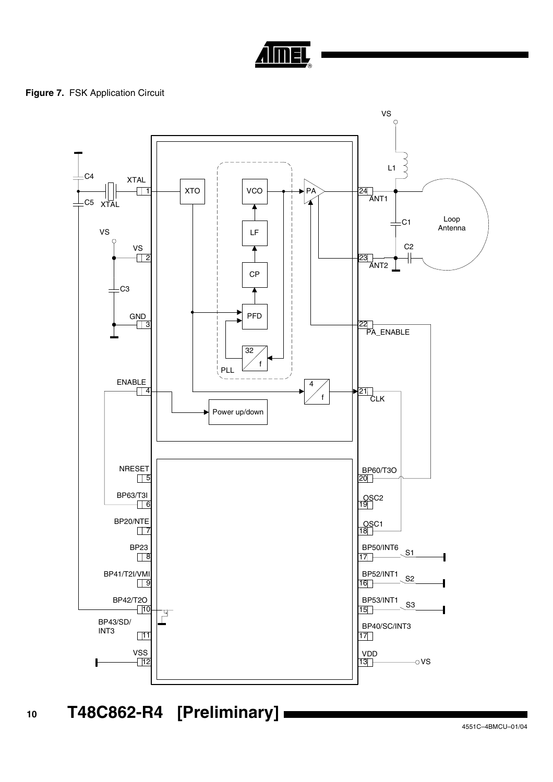

### <span id="page-9-0"></span>**Figure 7. FSK Application Circuit**

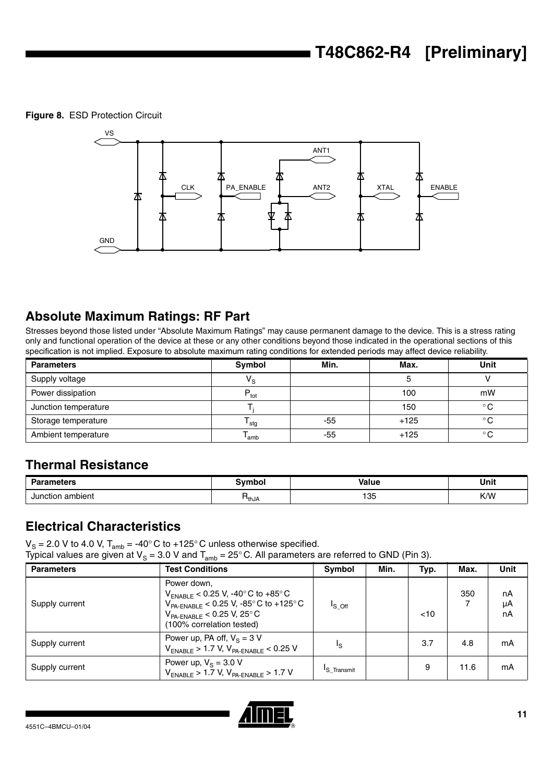<span id="page-10-0"></span>**Figure 8.** ESD Protection Circuit



## **Absolute Maximum Ratings: RF Part**

Stresses beyond those listed under "Absolute Maximum Ratings" may cause permanent damage to the device. This is a stress rating only and functional operation of the device at these or any other conditions beyond those indicated in the operational sections of this specification is not implied. Exposure to absolute maximum rating conditions for extended periods may affect device reliability.

| <b>Parameters</b>    | Symbol                  | Min. | Max.   | <b>Unit</b>  |
|----------------------|-------------------------|------|--------|--------------|
| Supply voltage       | $\mathsf{V}_\mathbf{S}$ |      |        |              |
| Power dissipation    | $P_{\text{tot}}$        |      | 100    | mW           |
| Junction temperature |                         |      | 150    | $^{\circ}$ C |
| Storage temperature  | <sup>I</sup> stg        | -55  | $+125$ | $^{\circ}$ C |
| Ambient temperature  | <sup>l</sup> amb        | -55  | $+125$ | $^{\circ}$ C |

## **Thermal Resistance**

| <b>Parameters</b>     | ivmbol        | <b>Value</b>       | Unit |
|-----------------------|---------------|--------------------|------|
|                       |               | .                  |      |
| Junction ambient<br>. | <b>T</b> thJA | 105<br>ט ו<br>$ -$ | K/W  |

## **Electrical Characteristics**

 $V_{\rm S}$  = 2.0 V to 4.0 V, T<sub>amb</sub> = -40° C to +125° C unless otherwise specified.

Typical values are given at V<sub>S</sub> = 3.0 V and T<sub>amb</sub> = 25° C. All parameters are referred to GND (Pin 3).

| <b>Parameters</b> | <b>Test Conditions</b>                                                                                                                                                                                                  | Symbol          | Min. | Typ. | Max. | Unit           |
|-------------------|-------------------------------------------------------------------------------------------------------------------------------------------------------------------------------------------------------------------------|-----------------|------|------|------|----------------|
| Supply current    | Power down,<br>$V_{ENABLE}$ < 0.25 V, -40 $^{\circ}$ C to +85 $^{\circ}$ C<br>$V_{PA-ENABLE}$ < 0.25 V, -85 $^{\circ}$ C to +125 $^{\circ}$ C<br>$V_{PA-ENABLE}$ < 0.25 V, 25 $^{\circ}$ C<br>(100% correlation tested) | $I_{\rm S}$ off |      | < 10 | 350  | nA<br>μA<br>nA |
| Supply current    | Power up, PA off, $V_s = 3 V$<br>$V_{ENABLE}$ > 1.7 V, $V_{PA-ENABLE}$ < 0.25 V                                                                                                                                         | Ιs              |      | 3.7  | 4.8  | mA             |
| Supply current    | Power up, $V_s = 3.0 V$<br>$V_{ENABLE}$ > 1.7 V, $V_{PA-ENABLE}$ > 1.7 V                                                                                                                                                | 'S Transmit     |      | 9    | 11.6 | mA             |

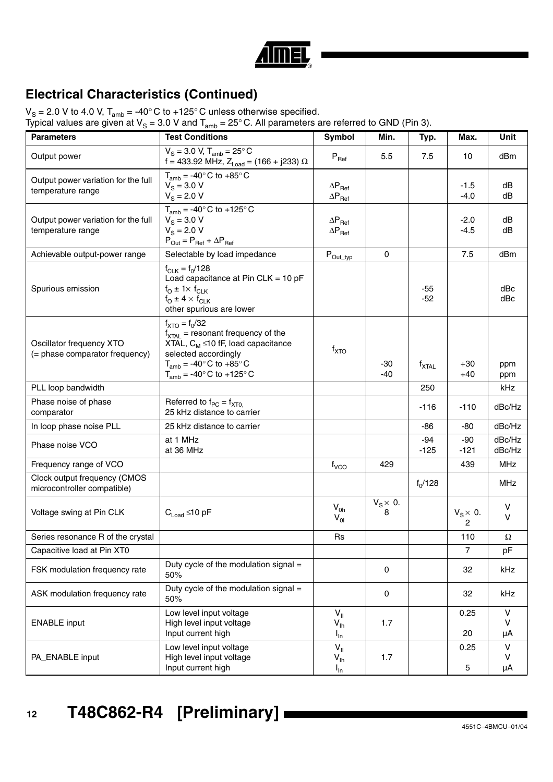

## **Electrical Characteristics (Continued)**

 $V_{\rm S}$  = 2.0 V to 4.0 V, T<sub>amb</sub> = -40° C to +125° C unless otherwise specified.

Typical values are given at V<sub>S</sub> = 3.0 V and T<sub>amb</sub> = 25° C. All parameters are referred to GND (Pin 3).

| <b>Parameters</b>                                                                                                                                                                                         | <b>Test Conditions</b>                                                                                                                                                                                          | Symbol                                                | Min.                  | Typ.              | Max.                               | Unit                         |
|-----------------------------------------------------------------------------------------------------------------------------------------------------------------------------------------------------------|-----------------------------------------------------------------------------------------------------------------------------------------------------------------------------------------------------------------|-------------------------------------------------------|-----------------------|-------------------|------------------------------------|------------------------------|
| Output power                                                                                                                                                                                              | $\overline{V}_\text{S}$ = 3.0 V, T <sub>amb</sub> = 25°C<br>f = 433.92 MHz, $Z_{Load}$ = (166 + j233) $\Omega$                                                                                                  | $P_{\text{Ref}}$                                      | 5.5                   | 7.5               | 10                                 | dBm                          |
| Output power variation for the full<br>temperature range                                                                                                                                                  | $T_{amb}$ = -40 $^{\circ}$ C to +85 $^{\circ}$ C<br>$V_{\rm S} = 3.0 \text{ V}$<br>$V_{\rm s} = 2.0 V$                                                                                                          | $\Delta P_{\text{Ref}}$<br>$\Delta P_{\text{Ref}}$    |                       |                   | -1.5<br>$-4.0$                     | dB<br>dB                     |
| Output power variation for the full<br>temperature range                                                                                                                                                  | $T_{amb}$ = -40° C to +125° C<br>$V_{\rm s} = 3.0 \text{ V}$<br>$V_{\rm s} = 2.0 V$<br>$P_{Out} = P_{Ref} + \Delta P_{Ref}$                                                                                     | $\Delta P_{\text{Ref}}$<br>$\Delta P_{\text{Ref}}$    |                       |                   | $-2.0$<br>$-4.5$                   | dB<br>dB                     |
| Achievable output-power range                                                                                                                                                                             | Selectable by load impedance                                                                                                                                                                                    | $\mathsf{P}_{\mathsf{Out\_typ}}$                      | $\mathbf 0$           |                   | 7.5                                | dBm                          |
| $f_{CLK} = f_0/128$<br>Load capacitance at Pin CLK = $10$ pF<br>Spurious emission<br>$f_{\text{O}} \pm 1 \times f_{\text{CLK}}$<br>$f_{\text{O}} \pm 4 \times f_{\text{CLK}}$<br>other spurious are lower |                                                                                                                                                                                                                 |                                                       |                       | $-55$<br>$-52$    |                                    | dBc<br>dBc                   |
| Oscillator frequency XTO<br>(= phase comparator frequency)                                                                                                                                                | $f_{\text{XTO}} = f_0/32$<br>$f_{\text{XTAL}}$ = resonant frequency of the<br>XTAL, $C_M \leq 10$ fF, load capacitance<br>selected accordingly<br>$T_{amb}$ = -40° C to +85° C<br>$T_{amb}$ = -40° C to +125° C | $f_{\text{XTO}}$                                      | $-30$<br>$-40$        | $f_{\text{XTAL}}$ | +30<br>$+40$                       | ppm<br>ppm                   |
| PLL loop bandwidth                                                                                                                                                                                        |                                                                                                                                                                                                                 |                                                       |                       | 250               |                                    | kHz                          |
| Phase noise of phase<br>comparator                                                                                                                                                                        | Referred to $f_{PC} = f_{XT0}$<br>25 kHz distance to carrier                                                                                                                                                    |                                                       |                       | $-116$            | $-110$                             | dBc/Hz                       |
| In loop phase noise PLL                                                                                                                                                                                   | 25 kHz distance to carrier                                                                                                                                                                                      |                                                       |                       | -86               | -80                                | dBc/Hz                       |
| Phase noise VCO                                                                                                                                                                                           | at 1 MHz<br>at 36 MHz                                                                                                                                                                                           |                                                       |                       | -94<br>$-125$     | $-90$<br>$-121$                    | dBc/Hz<br>dBc/Hz             |
| Frequency range of VCO                                                                                                                                                                                    |                                                                                                                                                                                                                 | f <sub>VCO</sub>                                      | 429                   |                   | 439                                | <b>MHz</b>                   |
| Clock output frequency (CMOS<br>microcontroller compatible)                                                                                                                                               |                                                                                                                                                                                                                 |                                                       |                       | $f_0/128$         |                                    | <b>MHz</b>                   |
| Voltage swing at Pin CLK                                                                                                                                                                                  | $C_{\text{load}}$ ≤10 pF                                                                                                                                                                                        | $V_{0h}$<br>$V_{01}$                                  | $V_S \times 0$ .<br>8 |                   | $V_S \times 0$ .<br>$\overline{c}$ | v<br>v                       |
| Series resonance R of the crystal                                                                                                                                                                         |                                                                                                                                                                                                                 | <b>Rs</b>                                             |                       |                   | 110                                | $\Omega$                     |
| Capacitive load at Pin XT0                                                                                                                                                                                |                                                                                                                                                                                                                 |                                                       |                       |                   | $\overline{7}$                     | pF                           |
| FSK modulation frequency rate                                                                                                                                                                             | Duty cycle of the modulation signal =<br>50%                                                                                                                                                                    |                                                       | $\mathbf 0$           |                   | 32                                 | kHz                          |
| ASK modulation frequency rate                                                                                                                                                                             | Duty cycle of the modulation signal =<br>50%                                                                                                                                                                    |                                                       | $\mathbf 0$           |                   | 32                                 | kHz                          |
| Low level input voltage<br>High level input voltage<br><b>ENABLE</b> input<br>Input current high                                                                                                          |                                                                                                                                                                                                                 | $V_{\parallel}$<br>$V_{\text{lh}}$<br>$I_{\text{In}}$ | 1.7                   |                   | 0.25<br>20                         | $\vee$<br>v<br>μA            |
| PA_ENABLE input                                                                                                                                                                                           | Low level input voltage<br>High level input voltage<br>Input current high                                                                                                                                       | $V_{\parallel}$<br>$V_{\text{lh}}$<br>$I_{\text{In}}$ | 1.7                   |                   | 0.25<br>5                          | $\mathsf{V}$<br>$\vee$<br>μA |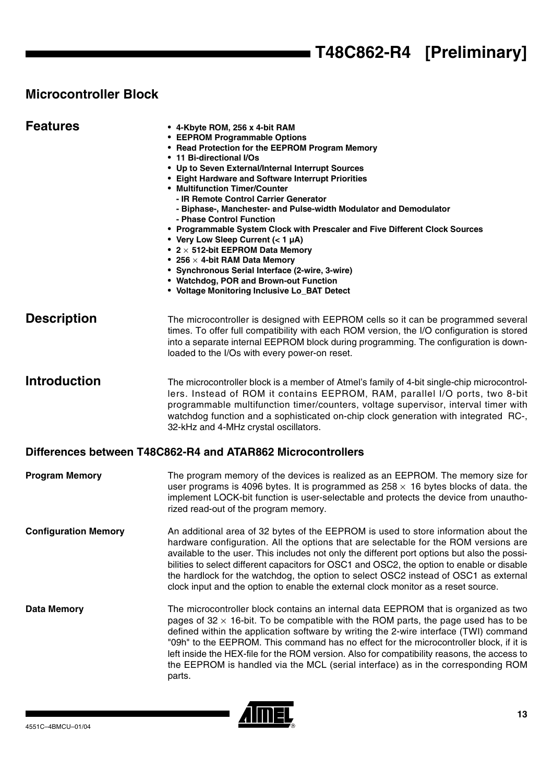# **Microcontroller Block**

| <b>Features</b>             | • 4-Kbyte ROM, 256 x 4-bit RAM<br>• EEPROM Programmable Options<br>• Read Protection for the EEPROM Program Memory<br>• 11 Bi-directional I/Os<br>• Up to Seven External/Internal Interrupt Sources<br>• Eight Hardware and Software Interrupt Priorities<br>• Multifunction Timer/Counter<br>- IR Remote Control Carrier Generator<br>- Biphase-, Manchester- and Pulse-width Modulator and Demodulator<br>- Phase Control Function<br>• Programmable System Clock with Prescaler and Five Different Clock Sources<br>• Very Low Sleep Current (< 1 µA)<br>• $2 \times 512$ -bit EEPROM Data Memory<br>• 256 $\times$ 4-bit RAM Data Memory<br>• Synchronous Serial Interface (2-wire, 3-wire)<br>• Watchdog, POR and Brown-out Function<br>• Voltage Monitoring Inclusive Lo_BAT Detect |
|-----------------------------|-------------------------------------------------------------------------------------------------------------------------------------------------------------------------------------------------------------------------------------------------------------------------------------------------------------------------------------------------------------------------------------------------------------------------------------------------------------------------------------------------------------------------------------------------------------------------------------------------------------------------------------------------------------------------------------------------------------------------------------------------------------------------------------------|
| <b>Description</b>          | The microcontroller is designed with EEPROM cells so it can be programmed several<br>times. To offer full compatibility with each ROM version, the I/O configuration is stored<br>into a separate internal EEPROM block during programming. The configuration is down-<br>loaded to the I/Os with every power-on reset.                                                                                                                                                                                                                                                                                                                                                                                                                                                                   |
| <b>Introduction</b>         | The microcontroller block is a member of Atmel's family of 4-bit single-chip microcontrol-<br>lers. Instead of ROM it contains EEPROM, RAM, parallel I/O ports, two 8-bit<br>programmable multifunction timer/counters, voltage supervisor, interval timer with<br>watchdog function and a sophisticated on-chip clock generation with integrated RC-,<br>32-kHz and 4-MHz crystal oscillators.                                                                                                                                                                                                                                                                                                                                                                                           |
|                             | Differences between T48C862-R4 and ATAR862 Microcontrollers                                                                                                                                                                                                                                                                                                                                                                                                                                                                                                                                                                                                                                                                                                                               |
| <b>Program Memory</b>       | The program memory of the devices is realized as an EEPROM. The memory size for<br>user programs is 4096 bytes. It is programmed as $258 \times 16$ bytes blocks of data. the<br>implement LOCK-bit function is user-selectable and protects the device from unautho-<br>rized read-out of the program memory.                                                                                                                                                                                                                                                                                                                                                                                                                                                                            |
| <b>Configuration Memory</b> | An additional area of 32 bytes of the EEPROM is used to store information about the<br>hardware configuration. All the options that are selectable for the ROM versions are<br>available to the user. This includes not only the different port options but also the possi-<br>bilities to select different capacitors for OSC1 and OSC2, the option to enable or disable<br>the hardlock for the watchdog, the option to select OSC2 instead of OSC1 as external<br>clock input and the option to enable the external clock monitor as a reset source.                                                                                                                                                                                                                                   |
| <b>Data Memory</b>          | The microcontroller block contains an internal data EEPROM that is organized as two<br>pages of $32 \times 16$ -bit. To be compatible with the ROM parts, the page used has to be<br>defined within the application software by writing the 2-wire interface (TWI) command<br>"09h" to the EEPROM. This command has no effect for the microcontroller block, if it is<br>left inside the HEX-file for the ROM version. Also for compatibility reasons, the access to<br>the EEPROM is handled via the MCL (serial interface) as in the corresponding ROM<br>parts.                                                                                                                                                                                                                        |

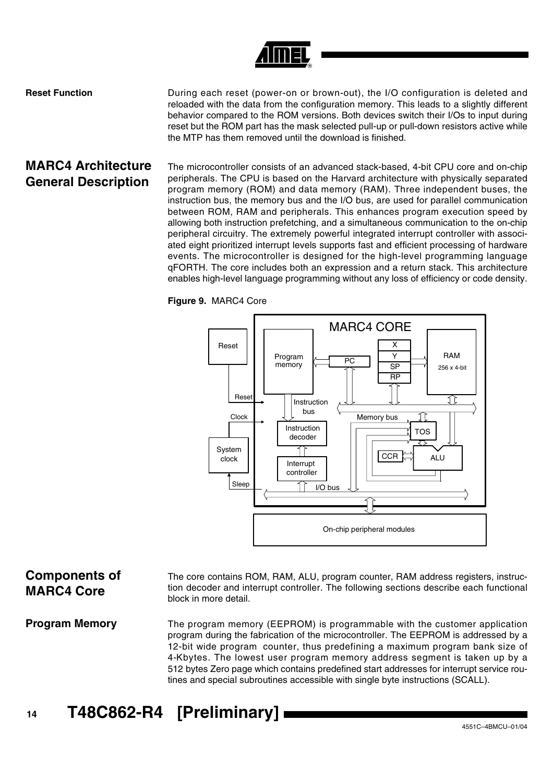

**Reset Function Example 2** During each reset (power-on or brown-out), the I/O configuration is deleted and reloaded with the data from the configuration memory. This leads to a slightly different behavior compared to the ROM versions. Both devices switch their I/Os to input during reset but the ROM part has the mask selected pull-up or pull-down resistors active while the MTP has them removed until the download is finished.

## **MARC4 Architecture General Description**

The microcontroller consists of an advanced stack-based, 4-bit CPU core and on-chip peripherals. The CPU is based on the Harvard architecture with physically separated program memory (ROM) and data memory (RAM). Three independent buses, the instruction bus, the memory bus and the I/O bus, are used for parallel communication between ROM, RAM and peripherals. This enhances program execution speed by allowing both instruction prefetching, and a simultaneous communication to the on-chip peripheral circuitry. The extremely powerful integrated interrupt controller with associated eight prioritized interrupt levels supports fast and efficient processing of hardware events. The microcontroller is designed for the high-level programming language qFORTH. The core includes both an expression and a return stack. This architecture enables high-level language programming without any loss of efficiency or code density.





### **Components of MARC4 Core**

The core contains ROM, RAM, ALU, program counter, RAM address registers, instruction decoder and interrupt controller. The following sections describe each functional block in more detail.

**Program Memory** The program memory (EEPROM) is programmable with the customer application program during the fabrication of the microcontroller. The EEPROM is addressed by a 12-bit wide program counter, thus predefining a maximum program bank size of 4-Kbytes. The lowest user program memory address segment is taken up by a 512 bytes Zero page which contains predefined start addresses for interrupt service routines and special subroutines accessible with single byte instructions (SCALL).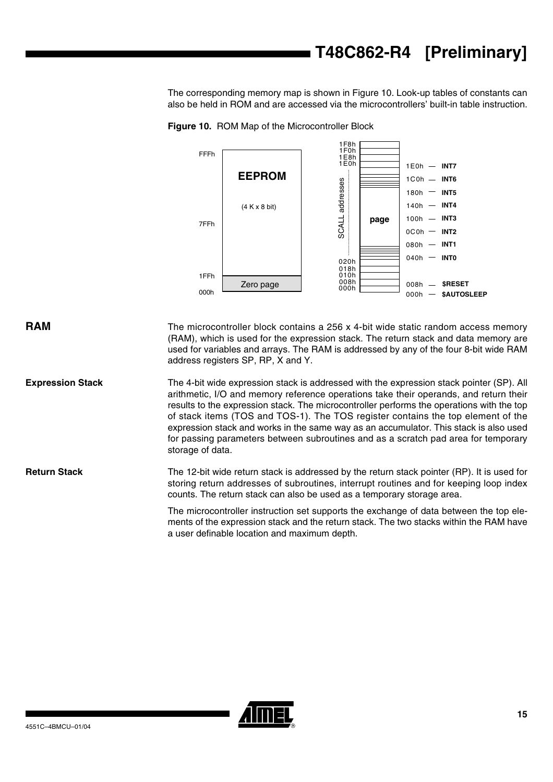The corresponding memory map is shown in [Figure 10](#page-14-0). Look-up tables of constants can also be held in ROM and are accessed via the microcontrollers' built-in table instruction.

<span id="page-14-0"></span>**Figure 10.** ROM Map of the Microcontroller Block



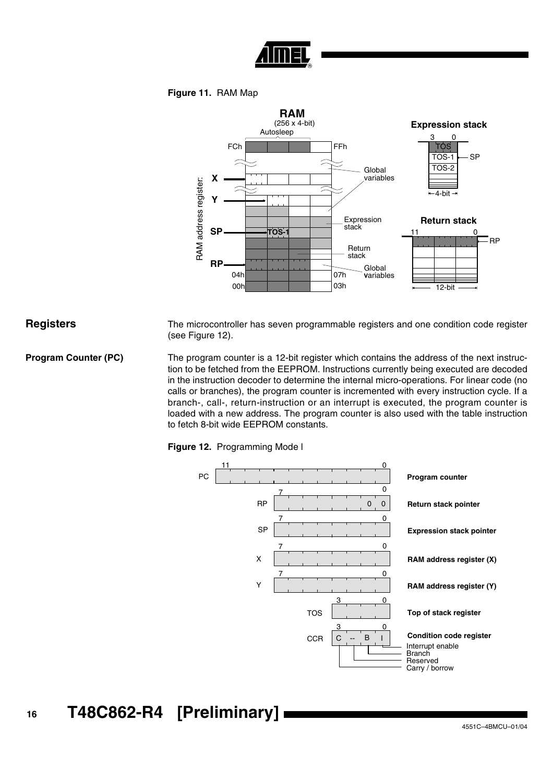

### **Figure 11.** RAM Map



**Registers** The microcontroller has seven programmable registers and one condition code register (see [Figure 12\)](#page-15-0).

**Program Counter (PC)** The program counter is a 12-bit register which contains the address of the next instruction to be fetched from the EEPROM. Instructions currently being executed are decoded in the instruction decoder to determine the internal micro-operations. For linear code (no calls or branches), the program counter is incremented with every instruction cycle. If a branch-, call-, return-instruction or an interrupt is executed, the program counter is loaded with a new address. The program counter is also used with the table instruction to fetch 8-bit wide EEPROM constants.

<span id="page-15-0"></span>

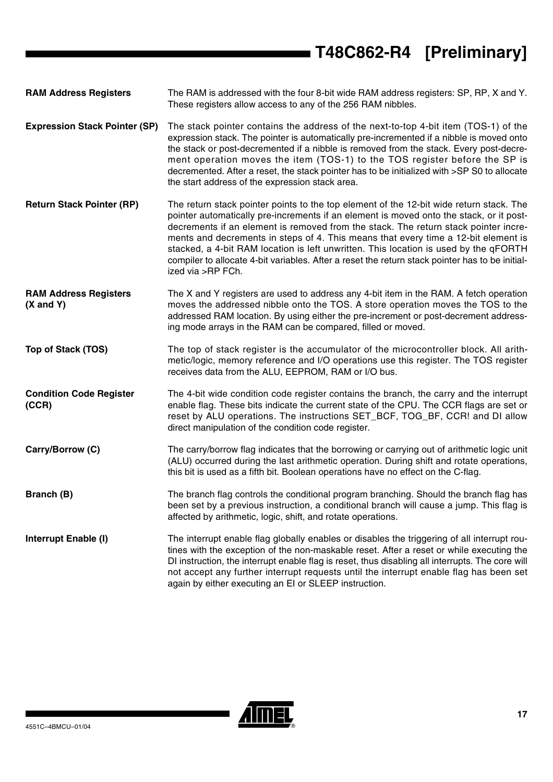# **T48C862-R4 [Preliminary]**

**RAM Address Registers** The RAM is addressed with the four 8-bit wide RAM address registers: SP, RP, X and Y. These registers allow access to any of the 256 RAM nibbles.

- **Expression Stack Pointer (SP)** The stack pointer contains the address of the next-to-top 4-bit item (TOS-1) of the expression stack. The pointer is automatically pre-incremented if a nibble is moved onto the stack or post-decremented if a nibble is removed from the stack. Every post-decrement operation moves the item (TOS-1) to the TOS register before the SP is decremented. After a reset, the stack pointer has to be initialized with >SP S0 to allocate the start address of the expression stack area.
- **Return Stack Pointer (RP)** The return stack pointer points to the top element of the 12-bit wide return stack. The pointer automatically pre-increments if an element is moved onto the stack, or it postdecrements if an element is removed from the stack. The return stack pointer increments and decrements in steps of 4. This means that every time a 12-bit element is stacked, a 4-bit RAM location is left unwritten. This location is used by the qFORTH compiler to allocate 4-bit variables. After a reset the return stack pointer has to be initialized via >RP FCh.
- **RAM Address Registers (X and Y)** The X and Y registers are used to address any 4-bit item in the RAM. A fetch operation moves the addressed nibble onto the TOS. A store operation moves the TOS to the addressed RAM location. By using either the pre-increment or post-decrement addressing mode arrays in the RAM can be compared, filled or moved.
- **Top of Stack (TOS)** The top of stack register is the accumulator of the microcontroller block. All arithmetic/logic, memory reference and I/O operations use this register. The TOS register receives data from the ALU, EEPROM, RAM or I/O bus.
- **Condition Code Register (CCR)** The 4-bit wide condition code register contains the branch, the carry and the interrupt enable flag. These bits indicate the current state of the CPU. The CCR flags are set or reset by ALU operations. The instructions SET\_BCF, TOG\_BF, CCR! and DI allow direct manipulation of the condition code register.
- **Carry/Borrow (C)** The carry/borrow flag indicates that the borrowing or carrying out of arithmetic logic unit (ALU) occurred during the last arithmetic operation. During shift and rotate operations, this bit is used as a fifth bit. Boolean operations have no effect on the C-flag.
- **Branch (B)** The branch flag controls the conditional program branching. Should the branch flag has been set by a previous instruction, a conditional branch will cause a jump. This flag is affected by arithmetic, logic, shift, and rotate operations.
- **Interrupt Enable (I)** The interrupt enable flag globally enables or disables the triggering of all interrupt routines with the exception of the non-maskable reset. After a reset or while executing the DI instruction, the interrupt enable flag is reset, thus disabling all interrupts. The core will not accept any further interrupt requests until the interrupt enable flag has been set again by either executing an EI or SLEEP instruction.

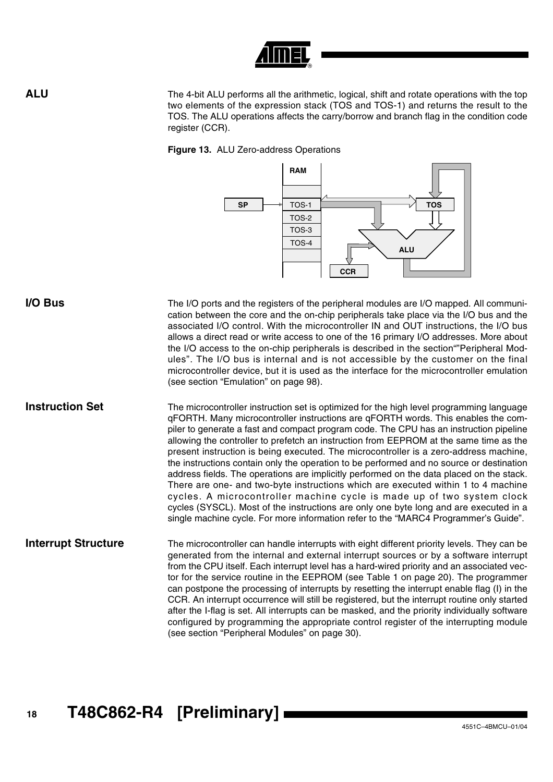

**ALU** The 4-bit ALU performs all the arithmetic, logical, shift and rotate operations with the top two elements of the expression stack (TOS and TOS-1) and returns the result to the TOS. The ALU operations affects the carry/borrow and branch flag in the condition code register (CCR).

**Figure 13.** ALU Zero-address Operations



**I/O Bus** The I/O ports and the registers of the peripheral modules are I/O mapped. All communication between the core and the on-chip peripherals take place via the I/O bus and the associated I/O control. With the microcontroller IN and OUT instructions, the I/O bus allows a direct read or write access to one of the 16 primary I/O addresses. More about the I/O access to the on-chip peripherals is described in the section""Peripheral Modules". The I/O bus is internal and is not accessible by the customer on the final microcontroller device, but it is used as the interface for the microcontroller emulation (see section ["Emulation" on page 98](#page-97-0)).

**Instruction Set** The microcontroller instruction set is optimized for the high level programming language qFORTH. Many microcontroller instructions are qFORTH words. This enables the compiler to generate a fast and compact program code. The CPU has an instruction pipeline allowing the controller to prefetch an instruction from EEPROM at the same time as the present instruction is being executed. The microcontroller is a zero-address machine, the instructions contain only the operation to be performed and no source or destination address fields. The operations are implicitly performed on the data placed on the stack. There are one- and two-byte instructions which are executed within 1 to 4 machine cycles. A microcontroller machine cycle is made up of two system clock cycles (SYSCL). Most of the instructions are only one byte long and are executed in a single machine cycle. For more information refer to the "MARC4 Programmer's Guide".

**Interrupt Structure** The microcontroller can handle interrupts with eight different priority levels. They can be generated from the internal and external interrupt sources or by a software interrupt from the CPU itself. Each interrupt level has a hard-wired priority and an associated vector for the service routine in the EEPROM (see [Table 1 on page 20\)](#page-19-0). The programmer can postpone the processing of interrupts by resetting the interrupt enable flag (I) in the CCR. An interrupt occurrence will still be registered, but the interrupt routine only started after the I-flag is set. All interrupts can be masked, and the priority individually software configured by programming the appropriate control register of the interrupting module (see section ["Peripheral Modules" on page 30\)](#page-29-0).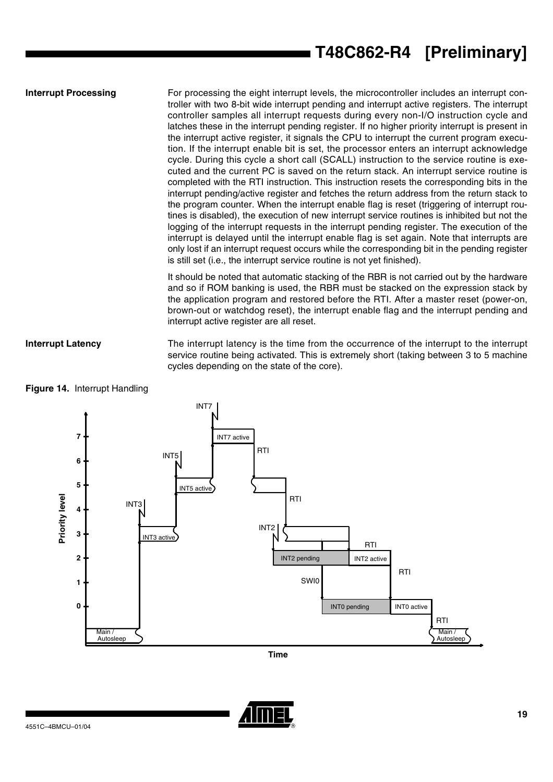**Interrupt Processing** For processing the eight interrupt levels, the microcontroller includes an interrupt controller with two 8-bit wide interrupt pending and interrupt active registers. The interrupt controller samples all interrupt requests during every non-I/O instruction cycle and latches these in the interrupt pending register. If no higher priority interrupt is present in the interrupt active register, it signals the CPU to interrupt the current program execution. If the interrupt enable bit is set, the processor enters an interrupt acknowledge cycle. During this cycle a short call (SCALL) instruction to the service routine is executed and the current PC is saved on the return stack. An interrupt service routine is completed with the RTI instruction. This instruction resets the corresponding bits in the interrupt pending/active register and fetches the return address from the return stack to the program counter. When the interrupt enable flag is reset (triggering of interrupt routines is disabled), the execution of new interrupt service routines is inhibited but not the logging of the interrupt requests in the interrupt pending register. The execution of the interrupt is delayed until the interrupt enable flag is set again. Note that interrupts are only lost if an interrupt request occurs while the corresponding bit in the pending register is still set (i.e., the interrupt service routine is not yet finished).

> It should be noted that automatic stacking of the RBR is not carried out by the hardware and so if ROM banking is used, the RBR must be stacked on the expression stack by the application program and restored before the RTI. After a master reset (power-on, brown-out or watchdog reset), the interrupt enable flag and the interrupt pending and interrupt active register are all reset.

### **Interrupt Latency** The interrupt latency is the time from the occurrence of the interrupt to the interrupt service routine being activated. This is extremely short (taking between 3 to 5 machine cycles depending on the state of the core).



**Figure 14.** Interrupt Handling

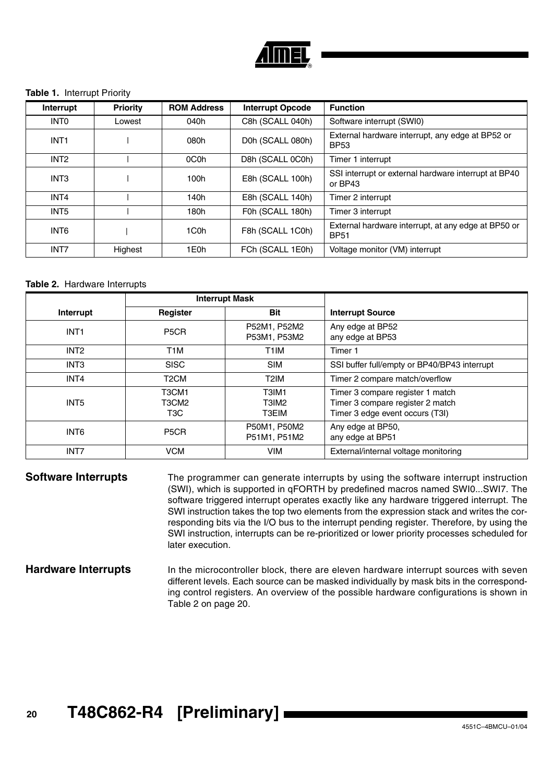

### <span id="page-19-0"></span>**Table 1.** Interrupt Priority

| Interrupt        | Priority | <b>ROM Address</b> | <b>Interrupt Opcode</b> | <b>Function</b>                                                    |
|------------------|----------|--------------------|-------------------------|--------------------------------------------------------------------|
| <b>INTO</b>      | Lowest   | 040h               | C8h (SCALL 040h)        | Software interrupt (SWI0)                                          |
| INT <sub>1</sub> |          | 080h               | D0h (SCALL 080h)        | External hardware interrupt, any edge at BP52 or<br><b>BP53</b>    |
| INT <sub>2</sub> |          | 0C <sub>0</sub> h  | D8h (SCALL 0C0h)        | Timer 1 interrupt                                                  |
| INT <sub>3</sub> |          | 100h               | E8h (SCALL 100h)        | SSI interrupt or external hardware interrupt at BP40<br>or BP43    |
| INT4             |          | 140h               | E8h (SCALL 140h)        | Timer 2 interrupt                                                  |
| INT <sub>5</sub> |          | 180h               | F0h (SCALL 180h)        | Timer 3 interrupt                                                  |
| INT6             |          | 1C <sub>0</sub> h  | F8h (SCALL 1C0h)        | External hardware interrupt, at any edge at BP50 or<br><b>BP51</b> |
| INT7             | Highest  | 1E0h               | FCh (SCALL 1E0h)        | Voltage monitor (VM) interrupt                                     |

### <span id="page-19-1"></span>**Table 2.** Hardware Interrupts

|                  | <b>Interrupt Mask</b>                                                                |                                     |                                                                                                         |
|------------------|--------------------------------------------------------------------------------------|-------------------------------------|---------------------------------------------------------------------------------------------------------|
| Interrupt        | Register                                                                             | <b>Bit</b>                          | <b>Interrupt Source</b>                                                                                 |
| INT <sub>1</sub> | P <sub>5</sub> CR                                                                    | P52M1, P52M2<br>P53M1, P53M2        | Any edge at BP52<br>any edge at BP53                                                                    |
| INT <sub>2</sub> | T <sub>1</sub> M                                                                     | T <sub>1</sub> IM                   | Timer 1                                                                                                 |
| INT <sub>3</sub> | <b>SISC</b>                                                                          | <b>SIM</b>                          | SSI buffer full/empty or BP40/BP43 interrupt                                                            |
| INT4             | T <sub>2</sub> CM                                                                    | T2IM                                | Timer 2 compare match/overflow                                                                          |
| INT <sub>5</sub> | T <sub>3</sub> CM <sub>1</sub><br>T <sub>3</sub> CM <sub>2</sub><br>T <sub>3</sub> C | T3IM1<br>T3IM <sub>2</sub><br>T3EIM | Timer 3 compare register 1 match<br>Timer 3 compare register 2 match<br>Timer 3 edge event occurs (T3I) |
| INT6             | P <sub>5</sub> CR                                                                    | P50M1, P50M2<br>P51M1, P51M2        | Any edge at BP50,<br>any edge at BP51                                                                   |
| INT7             | <b>VCM</b>                                                                           | <b>VIM</b>                          | External/internal voltage monitoring                                                                    |

**Software Interrupts** The programmer can generate interrupts by using the software interrupt instruction (SWI), which is supported in qFORTH by predefined macros named SWI0...SWI7. The software triggered interrupt operates exactly like any hardware triggered interrupt. The SWI instruction takes the top two elements from the expression stack and writes the corresponding bits via the I/O bus to the interrupt pending register. Therefore, by using the SWI instruction, interrupts can be re-prioritized or lower priority processes scheduled for later execution.

### **Hardware Interrupts** In the microcontroller block, there are eleven hardware interrupt sources with seven different levels. Each source can be masked individually by mask bits in the corresponding control registers. An overview of the possible hardware configurations is shown in [Table 2 on page 20.](#page-19-1)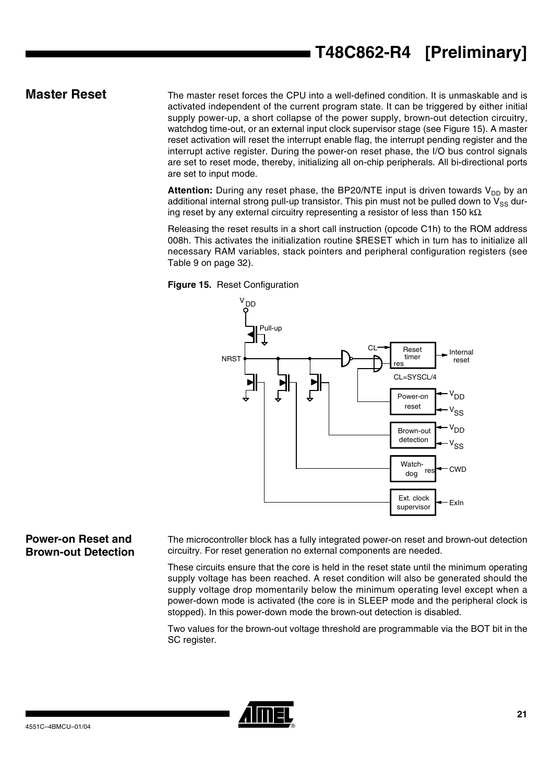# **T48C862-R4 [Preliminary]**

<span id="page-20-0"></span>**Master Reset** The master reset forces the CPU into a well-defined condition. It is unmaskable and is activated independent of the current program state. It can be triggered by either initial supply power-up, a short collapse of the power supply, brown-out detection circuitry, watchdog time-out, or an external input clock supervisor stage (see [Figure 15](#page-20-1)). A master reset activation will reset the interrupt enable flag, the interrupt pending register and the interrupt active register. During the power-on reset phase, the I/O bus control signals are set to reset mode, thereby, initializing all on-chip peripherals. All bi-directional ports are set to input mode.

> Attention: During any reset phase, the BP20/NTE input is driven towards V<sub>DD</sub> by an additional internal strong pull-up transistor. This pin must not be pulled down to  $V_{SS}$  during reset by any external circuitry representing a resistor of less than 150 k $\Omega$ .

> Releasing the reset results in a short call instruction (opcode C1h) to the ROM address 008h. This activates the initialization routine \$RESET which in turn has to initialize all necessary RAM variables, stack pointers and peripheral configuration registers (see [Table 9 on page 32\)](#page-31-0).

<span id="page-20-1"></span>



### **Power-on Reset and Brown-out Detection**

The microcontroller block has a fully integrated power-on reset and brown-out detection circuitry. For reset generation no external components are needed.

These circuits ensure that the core is held in the reset state until the minimum operating supply voltage has been reached. A reset condition will also be generated should the supply voltage drop momentarily below the minimum operating level except when a power-down mode is activated (the core is in SLEEP mode and the peripheral clock is stopped). In this power-down mode the brown-out detection is disabled.

Two values for the brown-out voltage threshold are programmable via the BOT bit in the SC register.

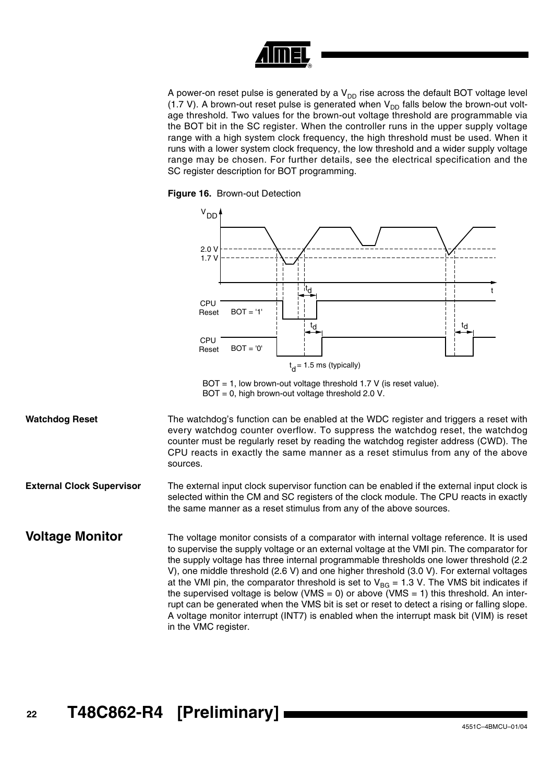

A power-on reset pulse is generated by a  $V_{DD}$  rise across the default BOT voltage level (1.7 V). A brown-out reset pulse is generated when  $V_{DD}$  falls below the brown-out voltage threshold. Two values for the brown-out voltage threshold are programmable via the BOT bit in the SC register. When the controller runs in the upper supply voltage range with a high system clock frequency, the high threshold must be used. When it runs with a lower system clock frequency, the low threshold and a wider supply voltage range may be chosen. For further details, see the electrical specification and the SC register description for BOT programming.





 $BOT = 1$ , low brown-out voltage threshold 1.7 V (is reset value).  $BOT = 0$ , high brown-out voltage threshold 2.0 V.

Watchdog Reset The watchdog's function can be enabled at the WDC register and triggers a reset with every watchdog counter overflow. To suppress the watchdog reset, the watchdog counter must be regularly reset by reading the watchdog register address (CWD). The CPU reacts in exactly the same manner as a reset stimulus from any of the above sources.

**External Clock Supervisor** The external input clock supervisor function can be enabled if the external input clock is selected within the CM and SC registers of the clock module. The CPU reacts in exactly the same manner as a reset stimulus from any of the above sources.

**Voltage Monitor** The voltage monitor consists of a comparator with internal voltage reference. It is used to supervise the supply voltage or an external voltage at the VMI pin. The comparator for the supply voltage has three internal programmable thresholds one lower threshold (2.2 V), one middle threshold (2.6 V) and one higher threshold (3.0 V). For external voltages at the VMI pin, the comparator threshold is set to  $V_{BG} = 1.3$  V. The VMS bit indicates if the supervised voltage is below (VMS = 0) or above (VMS = 1) this threshold. An interrupt can be generated when the VMS bit is set or reset to detect a rising or falling slope. A voltage monitor interrupt (INT7) is enabled when the interrupt mask bit (VIM) is reset in the VMC register.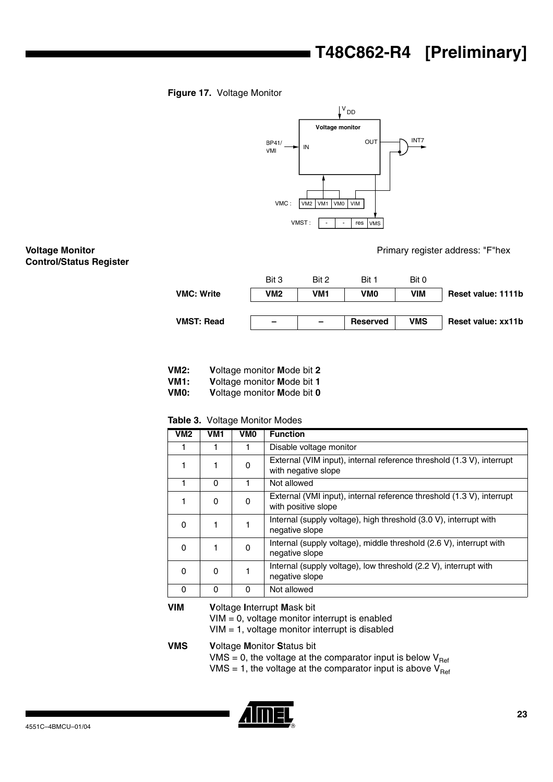# **T48C862-R4 [Preliminary]**

### **Figure 17.** Voltage Monitor



### **Voltage Monitor Control/Status Register**

Primary register address: "F"hex

|                   | Bit 3                    | Bit 2 | Bit 1           | Bit 0      |                    |
|-------------------|--------------------------|-------|-----------------|------------|--------------------|
| <b>VMC: Write</b> | VM2                      | VM1   | VMO             | <b>VIM</b> | Reset value: 1111b |
|                   |                          |       |                 |            |                    |
| <b>VMST: Read</b> | $\overline{\phantom{a}}$ | -     | <b>Reserved</b> | VMS        | Reset value: xx11b |

- **VM2: V**oltage monitor **M**ode bit **2**
- **VM1: V**oltage monitor **M**ode bit **1**
- **Voltage monitor Mode bit 0**

### **Table 3.** Voltage Monitor Modes

| VM2        | VM <sub>1</sub> | VM <sub>0</sub> | <b>Function</b>                                                                              |
|------------|-----------------|-----------------|----------------------------------------------------------------------------------------------|
|            |                 | 1               | Disable voltage monitor                                                                      |
| 1          |                 | 0               | External (VIM input), internal reference threshold (1.3 V), interrupt<br>with negative slope |
|            | 0               | 1               | Not allowed                                                                                  |
| 1          | $\Omega$        | 0               | External (VMI input), internal reference threshold (1.3 V), interrupt<br>with positive slope |
| $\Omega$   |                 | 1               | Internal (supply voltage), high threshold (3.0 V), interrupt with<br>negative slope          |
| $\Omega$   |                 | 0               | Internal (supply voltage), middle threshold (2.6 V), interrupt with<br>negative slope        |
| 0          | $\Omega$        | 1               | Internal (supply voltage), low threshold (2.2 V), interrupt with<br>negative slope           |
| $\Omega$   | 0               | 0               | Not allowed                                                                                  |
| <b>VIM</b> |                 |                 | Valtoge Internet Mosk hit                                                                    |

**VIM V**oltage **I**nterrupt **M**ask bit VIM = 0, voltage monitor interrupt is enabled VIM = 1, voltage monitor interrupt is disabled

**VMS V**oltage **M**onitor **S**tatus bit

VMS = 0, the voltage at the comparator input is below  $V_{\text{Ref}}$ 

VMS = 1, the voltage at the comparator input is above  $V_{Ref}$ 

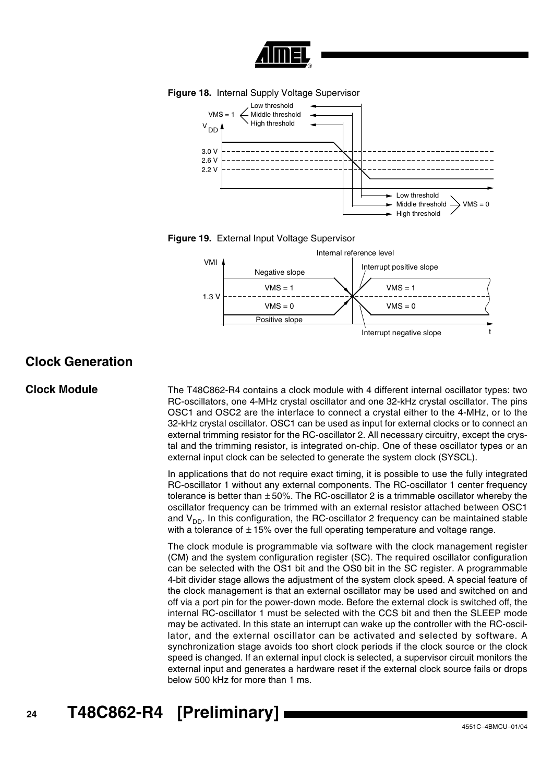









### **Clock Generation**

**Clock Module** The T48C862-R4 contains a clock module with 4 different internal oscillator types: two RC-oscillators, one 4-MHz crystal oscillator and one 32-kHz crystal oscillator. The pins OSC1 and OSC2 are the interface to connect a crystal either to the 4-MHz, or to the 32-kHz crystal oscillator. OSC1 can be used as input for external clocks or to connect an external trimming resistor for the RC-oscillator 2. All necessary circuitry, except the crystal and the trimming resistor, is integrated on-chip. One of these oscillator types or an external input clock can be selected to generate the system clock (SYSCL).

> In applications that do not require exact timing, it is possible to use the fully integrated RC-oscillator 1 without any external components. The RC-oscillator 1 center frequency tolerance is better than  $\pm 50\%$ . The RC-oscillator 2 is a trimmable oscillator whereby the oscillator frequency can be trimmed with an external resistor attached between OSC1 and  $V_{DD}$ . In this configuration, the RC-oscillator 2 frequency can be maintained stable with a tolerance of  $\pm$  15% over the full operating temperature and voltage range.

> The clock module is programmable via software with the clock management register (CM) and the system configuration register (SC). The required oscillator configuration can be selected with the OS1 bit and the OS0 bit in the SC register. A programmable 4-bit divider stage allows the adjustment of the system clock speed. A special feature of the clock management is that an external oscillator may be used and switched on and off via a port pin for the power-down mode. Before the external clock is switched off, the internal RC-oscillator 1 must be selected with the CCS bit and then the SLEEP mode may be activated. In this state an interrupt can wake up the controller with the RC-oscillator, and the external oscillator can be activated and selected by software. A synchronization stage avoids too short clock periods if the clock source or the clock speed is changed. If an external input clock is selected, a supervisor circuit monitors the external input and generates a hardware reset if the external clock source fails or drops below 500 kHz for more than 1 ms.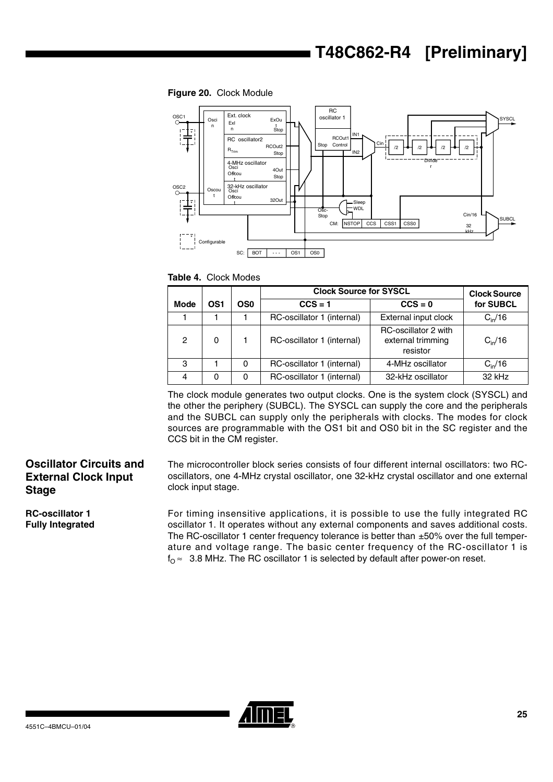**Figure 20.** Clock Module



**Table 4.** Clock Modes

|                |     |          | <b>Clock Source for SYSCL</b> | <b>Clock Source</b>                                          |                 |
|----------------|-----|----------|-------------------------------|--------------------------------------------------------------|-----------------|
| <b>Mode</b>    | OS1 | OS0      | $CCS = 1$                     | $CCS = 0$                                                    | for SUBCL       |
|                |     |          | RC-oscillator 1 (internal)    | External input clock                                         | $C_{\rm in}/16$ |
| $\overline{c}$ | 0   |          | RC-oscillator 1 (internal)    | <b>RC-oscillator 2 with</b><br>external trimming<br>resistor | $C_{\rm in}/16$ |
| 3              |     | $\Omega$ | RC-oscillator 1 (internal)    | 4-MHz oscillator                                             | $C_{\rm in}/16$ |
| 4              | 0   | 0        | RC-oscillator 1 (internal)    | 32-kHz oscillator                                            | 32 kHz          |

The clock module generates two output clocks. One is the system clock (SYSCL) and the other the periphery (SUBCL). The SYSCL can supply the core and the peripherals and the SUBCL can supply only the peripherals with clocks. The modes for clock sources are programmable with the OS1 bit and OS0 bit in the SC register and the CCS bit in the CM register.

### **Oscillator Circuits and External Clock Input Stage**

**RC-oscillator 1 Fully Integrated** The microcontroller block series consists of four different internal oscillators: two RCoscillators, one 4-MHz crystal oscillator, one 32-kHz crystal oscillator and one external clock input stage.

For timing insensitive applications, it is possible to use the fully integrated RC oscillator 1. It operates without any external components and saves additional costs. The RC-oscillator 1 center frequency tolerance is better than  $\pm 50\%$  over the full temperature and voltage range. The basic center frequency of the RC-oscillator 1 is  $f_{\Omega} \approx 3.8$  MHz. The RC oscillator 1 is selected by default after power-on reset.

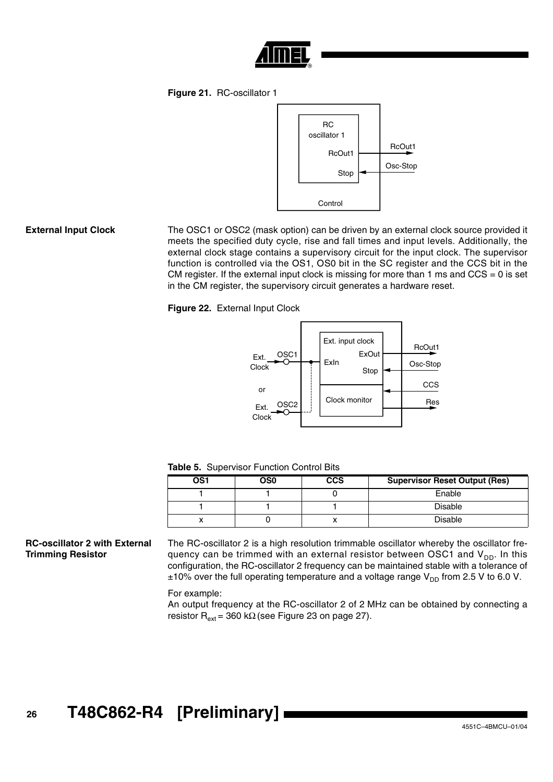

**Figure 21.** RC-oscillator 1



**External Input Clock** The OSC1 or OSC2 (mask option) can be driven by an external clock source provided it meets the specified duty cycle, rise and fall times and input levels. Additionally, the external clock stage contains a supervisory circuit for the input clock. The supervisor function is controlled via the OS1, OS0 bit in the SC register and the CCS bit in the CM register. If the external input clock is missing for more than 1 ms and  $CCS = 0$  is set in the CM register, the supervisory circuit generates a hardware reset.

**Figure 22.** External Input Clock



**Table 5.** Supervisor Function Control Bits

| OS1 | OS0 | <b>CCS</b> | <b>Supervisor Reset Output (Res)</b> |
|-----|-----|------------|--------------------------------------|
|     |     |            | Enable                               |
|     |     |            | <b>Disable</b>                       |
|     |     |            | <b>Disable</b>                       |

### **RC-oscillator 2 with External Trimming Resistor**

The RC-oscillator 2 is a high resolution trimmable oscillator whereby the oscillator frequency can be trimmed with an external resistor between OSC1 and  $V_{DD}$ . In this configuration, the RC-oscillator 2 frequency can be maintained stable with a tolerance of  $\pm$ 10% over the full operating temperature and a voltage range V<sub>DD</sub> from 2.5 V to 6.0 V.

### For example:

An output frequency at the RC-oscillator 2 of 2 MHz can be obtained by connecting a resistor R<sub>ext</sub> = 360 kΩ (see [Figure 23 on page 27](#page-26-0)).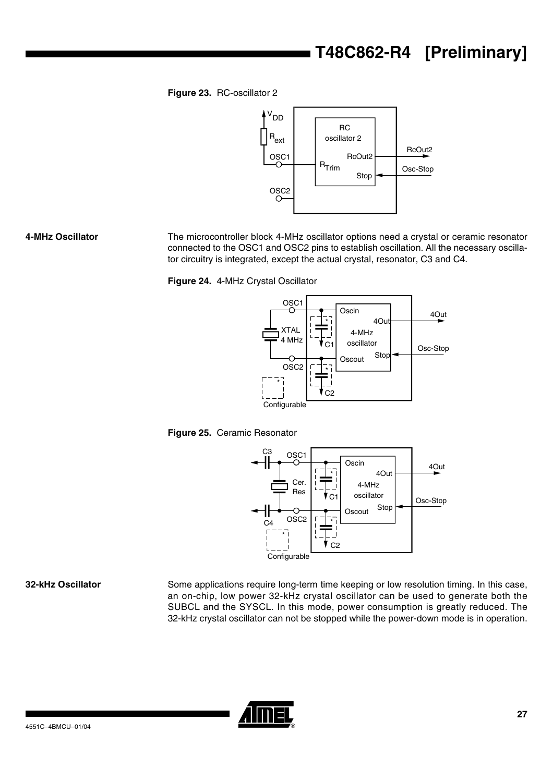# **T48C862-R4 [Preliminary]**

<span id="page-26-0"></span>**Figure 23.** RC-oscillator 2



**4-MHz Oscillator** The microcontroller block 4-MHz oscillator options need a crystal or ceramic resonator connected to the OSC1 and OSC2 pins to establish oscillation. All the necessary oscillator circuitry is integrated, except the actual crystal, resonator, C3 and C4.

**Figure 24.** 4-MHz Crystal Oscillator







**32-kHz Oscillator** Some applications require long-term time keeping or low resolution timing. In this case, an on-chip, low power 32-kHz crystal oscillator can be used to generate both the SUBCL and the SYSCL. In this mode, power consumption is greatly reduced. The 32-kHz crystal oscillator can not be stopped while the power-down mode is in operation.

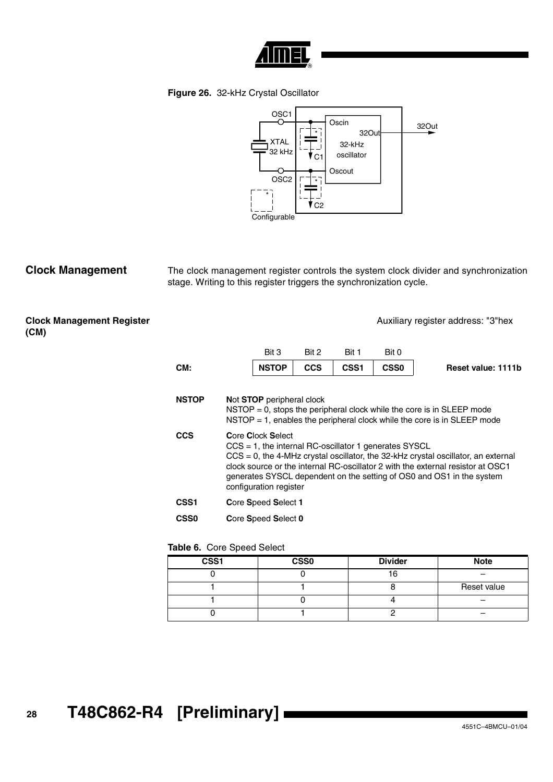

**Figure 26.** 32-kHz Crystal Oscillator



**Clock Management** The clock management register controls the system clock divider and synchronization stage. Writing to this register triggers the synchronization cycle.

**Clock Management Register (CM)**

Auxiliary register address: "3"hex

| CM: | <b>NSTOP</b> |       | $CCS$ $\qquad$ $CSS1$ | CSS <sub>0</sub> | <b>Reset value: 1111b</b> |
|-----|--------------|-------|-----------------------|------------------|---------------------------|
|     | Bit 3        | Rit 2 | Bit 1                 | Bit 0            |                           |

| <b>NSTOP</b>     | Not STOP peripheral clock<br>$NSTOP = 0$ , stops the peripheral clock while the core is in SLEEP mode<br>$NSTOP = 1$ , enables the peripheral clock while the core is in SLEEP mode                                                                                                                                                                                |
|------------------|--------------------------------------------------------------------------------------------------------------------------------------------------------------------------------------------------------------------------------------------------------------------------------------------------------------------------------------------------------------------|
| <b>CCS</b>       | <b>Core Clock Select</b><br>$CCS = 1$ , the internal RC-oscillator 1 generates SYSCL<br>$CCS = 0$ , the 4-MHz crystal oscillator, the 32-kHz crystal oscillator, an external<br>clock source or the internal RC-oscillator 2 with the external resistor at OSC1<br>generates SYSCL dependent on the setting of OS0 and OS1 in the system<br>configuration register |
| CSS <sub>1</sub> | Core Speed Select 1                                                                                                                                                                                                                                                                                                                                                |
| <b>CSS0</b>      | Core Speed Select 0                                                                                                                                                                                                                                                                                                                                                |

### **Table 6.** Core Speed Select

| CSS1 | $\overline{\text{CSS}}$ | <b>Divider</b> | <b>Note</b> |
|------|-------------------------|----------------|-------------|
|      |                         | 16             |             |
|      |                         |                | Reset value |
|      |                         |                |             |
|      |                         |                |             |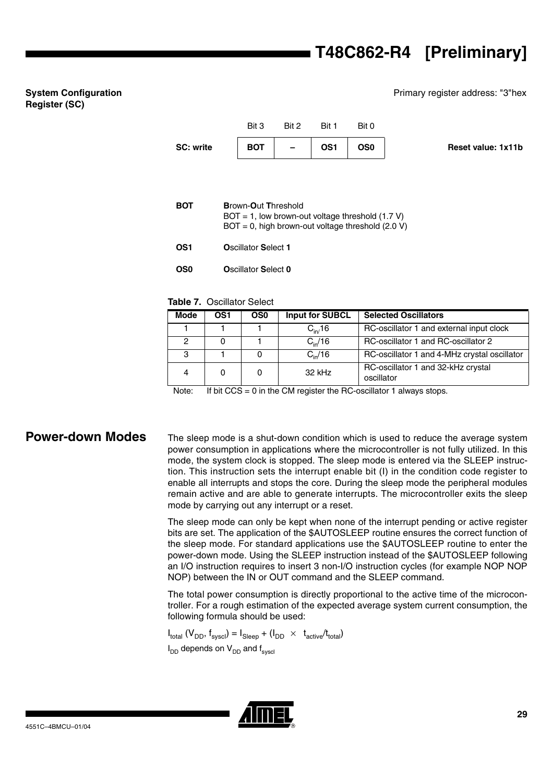Primary register address: "3"hex

# Bit 3 Bit 2 Bit 1 Bit 0 SC: write BOT – OS1 OS0 Reset value: 1x11b **BOT B**rown-**O**ut **T**hreshold  $BOT = 1$ , low brown-out voltage threshold (1.7 V)  $BOT = 0$ , high brown-out voltage threshold (2.0 V) **OS1 O**scillator **S**elect **1**

**Table 7.** Oscillator Select

**OS0 O**scillator **S**elect **0**

| <b>Mode</b> | OS1 | OS <sub>0</sub> | <b>Input for SUBCL</b> | <b>Selected Oscillators</b>                      |
|-------------|-----|-----------------|------------------------|--------------------------------------------------|
|             |     |                 | $C_{\text{in}}/16$     | RC-oscillator 1 and external input clock         |
| 2           |     |                 | $C_{\rm in}/16$        | RC-oscillator 1 and RC-oscillator 2              |
| 3           |     |                 | $C_{\rm in}/16$        | RC-oscillator 1 and 4-MHz crystal oscillator     |
| 4           |     | 0               | 32 kHz                 | RC-oscillator 1 and 32-kHz crystal<br>oscillator |

Note: If bit  $CCS = 0$  in the CM register the RC-oscillator 1 always stops.

**System Configuration** 

**Register (SC)**

**Power-down Modes** The sleep mode is a shut-down condition which is used to reduce the average system power consumption in applications where the microcontroller is not fully utilized. In this mode, the system clock is stopped. The sleep mode is entered via the SLEEP instruction. This instruction sets the interrupt enable bit (I) in the condition code register to enable all interrupts and stops the core. During the sleep mode the peripheral modules remain active and are able to generate interrupts. The microcontroller exits the sleep mode by carrying out any interrupt or a reset.

> The sleep mode can only be kept when none of the interrupt pending or active register bits are set. The application of the \$AUTOSLEEP routine ensures the correct function of the sleep mode. For standard applications use the \$AUTOSLEEP routine to enter the power-down mode. Using the SLEEP instruction instead of the \$AUTOSLEEP following an I/O instruction requires to insert 3 non-I/O instruction cycles (for example NOP NOP NOP) between the IN or OUT command and the SLEEP command.

> The total power consumption is directly proportional to the active time of the microcontroller. For a rough estimation of the expected average system current consumption, the following formula should be used:

 $I_{total}$  ( $V_{DD}$ ,  $f_{svscl}$ ) =  $I_{Sleen}$  + ( $I_{DD}$   $\times$   $t_{active}/t_{total}$ )  $I_{DD}$  depends on  $V_{DD}$  and  $f_{s$ <sub>vscl</sub>

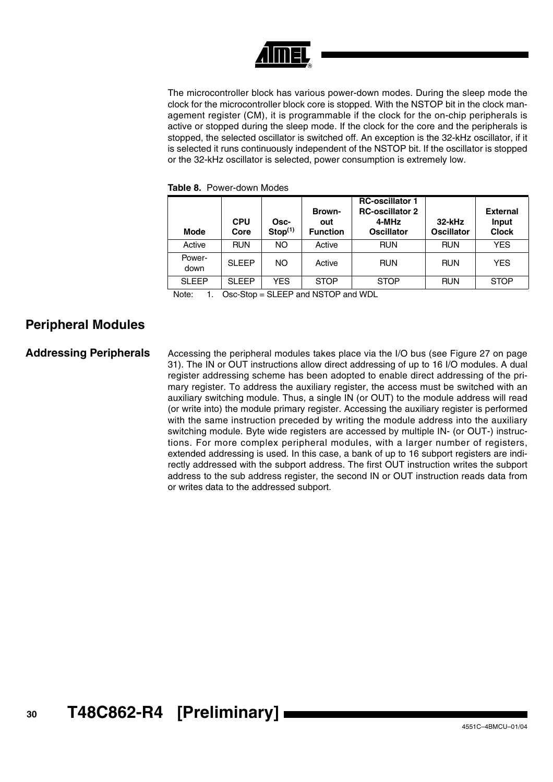

The microcontroller block has various power-down modes. During the sleep mode the clock for the microcontroller block core is stopped. With the NSTOP bit in the clock management register (CM), it is programmable if the clock for the on-chip peripherals is active or stopped during the sleep mode. If the clock for the core and the peripherals is stopped, the selected oscillator is switched off. An exception is the 32-kHz oscillator, if it is selected it runs continuously independent of the NSTOP bit. If the oscillator is stopped or the 32-kHz oscillator is selected, power consumption is extremely low.

| <b>Mode</b>    | <b>CPU</b><br>Core | Osc-<br>Stop <sup>(1)</sup> | <b>Brown-</b><br>out<br><b>Function</b> | <b>RC-oscillator 1</b><br><b>RC-oscillator 2</b><br>4-MHz<br><b>Oscillator</b> | $32$ -kHz<br><b>Oscillator</b> | <b>External</b><br>Input<br><b>Clock</b> |
|----------------|--------------------|-----------------------------|-----------------------------------------|--------------------------------------------------------------------------------|--------------------------------|------------------------------------------|
| Active         | <b>RUN</b>         | NO.                         | Active                                  | <b>RUN</b>                                                                     | <b>RUN</b>                     | <b>YES</b>                               |
| Power-<br>down | <b>SLEEP</b>       | NO.                         | Active                                  | <b>RUN</b>                                                                     | <b>RUN</b>                     | <b>YES</b>                               |
| <b>SLEEP</b>   | SLEEP              | YES                         | <b>STOP</b>                             | <b>STOP</b>                                                                    | <b>RUN</b>                     | <b>STOP</b>                              |

**Table 8.** Power-down Modes

Note: 1. Osc-Stop = SLEEP and NSTOP and WDL

### <span id="page-29-0"></span>**Peripheral Modules**

<span id="page-29-1"></span>Addressing Peripherals Accessing the peripheral modules takes place via the I/O bus (see [Figure 27 on page](#page-30-0) [31\)](#page-30-0). The IN or OUT instructions allow direct addressing of up to 16 I/O modules. A dual register addressing scheme has been adopted to enable direct addressing of the primary register. To address the auxiliary register, the access must be switched with an auxiliary switching module. Thus, a single IN (or OUT) to the module address will read (or write into) the module primary register. Accessing the auxiliary register is performed with the same instruction preceded by writing the module address into the auxiliary switching module. Byte wide registers are accessed by multiple IN- (or OUT-) instructions. For more complex peripheral modules, with a larger number of registers, extended addressing is used. In this case, a bank of up to 16 subport registers are indirectly addressed with the subport address. The first OUT instruction writes the subport address to the sub address register, the second IN or OUT instruction reads data from or writes data to the addressed subport.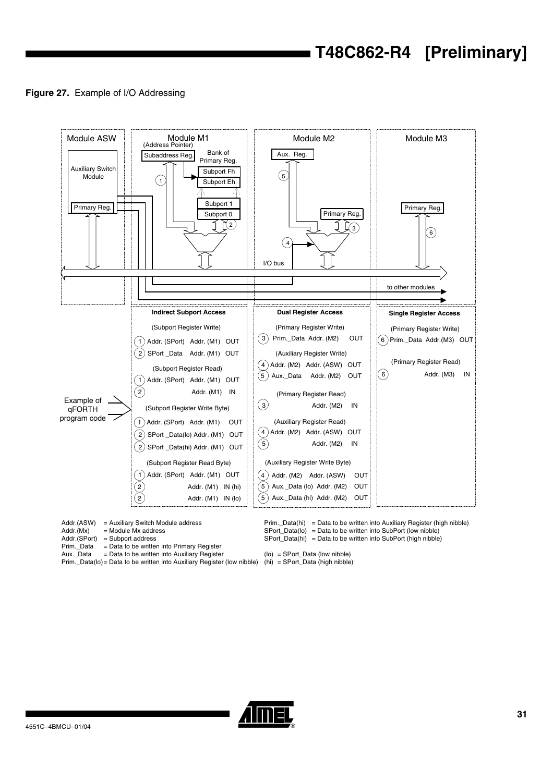### <span id="page-30-0"></span>**Figure 27.** Example of I/O Addressing



 $Addr.(ASW) = Auxiliary Switch Module address  
Addr.(Mx) = Module Mx address$ 

- 
- $Addr.(Mx) = Module Mx address  
Addr.(SPort) = Subport address$ Addr.(SPort) = Subport address<br>Prim.\_Data = Data to be writter
- 
- Prim.\_Data = Data to be written into Primary Register<br>Aux.\_Data = Data to be written into Auxiliary Register  $=$  Data to be written into Auxiliary Register
- Prim.\_Data(lo)= Data to be written into Auxiliary Register (low nibble)

Prim.\_Data(hi) = Data to be written into Auxiliary Register (high nibble) SPort\_Data(lo) = Data to be written into SubPort (low nibble) SPort\_Data(hi) = Data to be written into SubPort (high nibble)

(lo) = SPort\_Data (low nibble) (hi) = SPort\_Data (high nibble)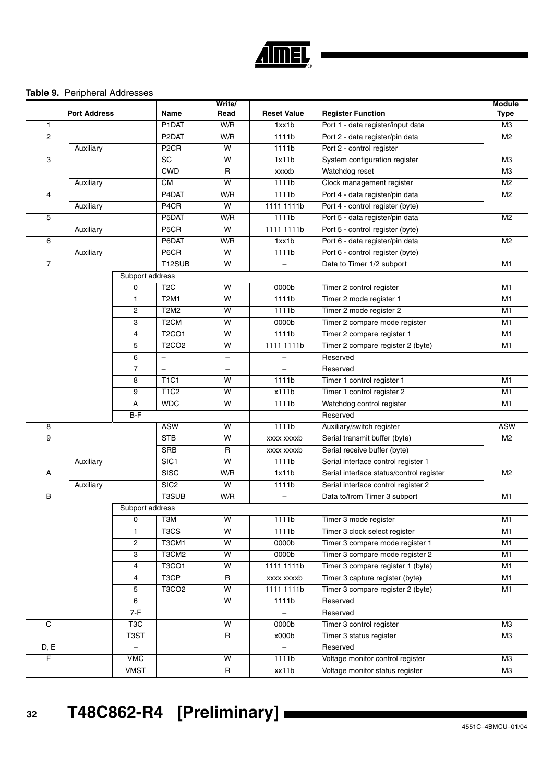

### <span id="page-31-0"></span>**Table 9.** Peripheral Addresses

|                | <b>Port Address</b> |                  | Name                          | Write/<br>Read           | <b>Reset Value</b>       | <b>Register Function</b>                 | <b>Module</b>  |
|----------------|---------------------|------------------|-------------------------------|--------------------------|--------------------------|------------------------------------------|----------------|
|                |                     |                  |                               |                          |                          |                                          | <b>Type</b>    |
| $\mathbf{1}$   |                     |                  | P1DAT                         | W/R                      | 1xx1b                    | Port 1 - data register/input data        | M <sub>3</sub> |
| $\overline{c}$ |                     |                  | P <sub>2</sub> DAT            | W/R                      | 1111b                    | Port 2 - data register/pin data          | M <sub>2</sub> |
|                | Auxiliary           |                  | P <sub>2</sub> CR             | W                        | 1111b                    | Port 2 - control register                |                |
| 3              |                     |                  | SC                            | w                        | 1x11b                    | System configuration register            | M <sub>3</sub> |
|                |                     |                  | <b>CWD</b>                    | $\mathsf{R}$<br>W        | xxxxb                    | Watchdog reset                           | M <sub>3</sub> |
|                | Auxiliary           |                  | <b>CM</b>                     |                          | 1111b                    | Clock management register                | M <sub>2</sub> |
| 4              |                     |                  | P4DAT                         | W/R                      | 1111b                    | Port 4 - data register/pin data          | M <sub>2</sub> |
|                | Auxiliary           |                  | P4CR                          | W                        | 1111 1111b               | Port 4 - control register (byte)         |                |
| 5              |                     |                  | P5DAT                         | W/R                      | 1111b                    | Port 5 - data register/pin data          | M <sub>2</sub> |
|                | Auxiliary           |                  | P5CR                          | w                        | 1111 1111b               | Port 5 - control register (byte)         |                |
| 6              |                     |                  | P6DAT                         | W/R                      | 1xx1b                    | Port 6 - data register/pin data          | M <sub>2</sub> |
|                | Auxiliary           |                  | P6CR                          | W                        | 1111b                    | Port 6 - control register (byte)         |                |
| $\overline{7}$ |                     |                  | T12SUB                        | W                        |                          | Data to Timer 1/2 subport                | M <sub>1</sub> |
|                |                     | Subport address  |                               |                          |                          |                                          |                |
|                |                     | 0                | T <sub>2</sub> C              | W                        | 0000b                    | Timer 2 control register                 | M <sub>1</sub> |
|                |                     | $\mathbf{1}$     | <b>T2M1</b>                   | W                        | 1111b                    | Timer 2 mode register 1                  | M1             |
|                |                     | 2                | <b>T2M2</b>                   | W                        | 1111b                    | Timer 2 mode register 2                  | M1             |
|                |                     | 3                | T <sub>2</sub> CM             | W                        | 0000b                    | Timer 2 compare mode register            | M1             |
|                |                     | 4                | <b>T2CO1</b>                  | W                        | 1111b                    | Timer 2 compare register 1               | M1             |
|                |                     | 5                | <b>T2CO2</b>                  | w                        | 1111 1111b               | Timer 2 compare register 2 (byte)        | M1             |
|                |                     | 6                | $\qquad \qquad -$             | -                        | $\qquad \qquad -$        | Reserved                                 |                |
|                |                     | $\overline{7}$   | $\overline{\phantom{0}}$      | $\overline{\phantom{0}}$ |                          | Reserved                                 |                |
|                |                     | 8                | <b>T1C1</b>                   | W                        | 1111b                    | Timer 1 control register 1               | M <sub>1</sub> |
|                |                     | 9                | <b>T1C2</b>                   | W                        | x111b                    | Timer 1 control register 2               | M <sub>1</sub> |
|                |                     | А                | <b>WDC</b>                    | w                        | 1111b                    | Watchdog control register                | M <sub>1</sub> |
|                |                     | $B-F$            |                               |                          |                          | Reserved                                 |                |
| 8              |                     |                  | <b>ASW</b>                    | W                        | 1111b                    | Auxiliary/switch register                | <b>ASW</b>     |
| 9              |                     |                  | <b>STB</b>                    | W                        | xxxx xxxxb               | Serial transmit buffer (byte)            | M <sub>2</sub> |
|                |                     |                  | <b>SRB</b>                    | $\mathsf{R}$             | xxxx xxxxb               | Serial receive buffer (byte)             |                |
|                | Auxiliary           |                  | SIC1                          | W                        | 1111b                    | Serial interface control register 1      |                |
| Α              |                     |                  | <b>SISC</b>                   | W/R                      | 1x11b                    | Serial interface status/control register | M <sub>2</sub> |
|                | Auxiliary           |                  | SIC <sub>2</sub>              | w                        | 1111b                    | Serial interface control register 2      |                |
| $\, {\bf B}$   |                     |                  | T3SUB                         | W/R                      | $\overline{\phantom{0}}$ | Data to/from Timer 3 subport             | M1             |
|                |                     | Subport address  |                               |                          |                          |                                          |                |
|                |                     | 0                | T3M                           | W                        | 1111b                    | Timer 3 mode register                    | M <sub>1</sub> |
|                |                     | $\mathbf{1}$     | T <sub>3</sub> C <sub>S</sub> | W                        | 1111b                    | Timer 3 clock select register            | M <sub>1</sub> |
|                |                     | 2                | T3CM1                         | W                        | 0000b                    | Timer 3 compare mode register 1          | M1             |
|                |                     | 3                | T3CM2                         | W                        | 0000 <sub>b</sub>        | Timer 3 compare mode register 2          | M1             |
|                |                     | 4                | T3CO1                         | W                        | 1111 1111b               | Timer 3 compare register 1 (byte)        | M <sub>1</sub> |
|                |                     | 4                | T <sub>3</sub> CP             | $\mathsf{R}$             | xxxx xxxxb               | Timer 3 capture register (byte)          | M <sub>1</sub> |
|                |                     | 5                | T3CO <sub>2</sub>             | W                        | 1111 1111b               | Timer 3 compare register 2 (byte)        | M <sub>1</sub> |
|                |                     | 6                |                               | W                        | 1111b                    | Reserved                                 |                |
|                |                     | $7-F$            |                               |                          |                          | Reserved                                 |                |
| $\mathbf C$    |                     | T <sub>3</sub> C |                               | W                        | 0000b                    | Timer 3 control register                 | ΜЗ             |
|                |                     | T3ST             |                               | $\mathsf{R}$             | x000b                    | Timer 3 status register                  | M3             |
| D, E           |                     |                  |                               |                          |                          | Reserved                                 |                |
| $\overline{F}$ |                     | <b>VMC</b>       |                               | W                        | 1111b                    | Voltage monitor control register         | M <sub>3</sub> |
|                |                     | <b>VMST</b>      |                               | $\mathsf R$              | xx11b                    | Voltage monitor status register          | M3             |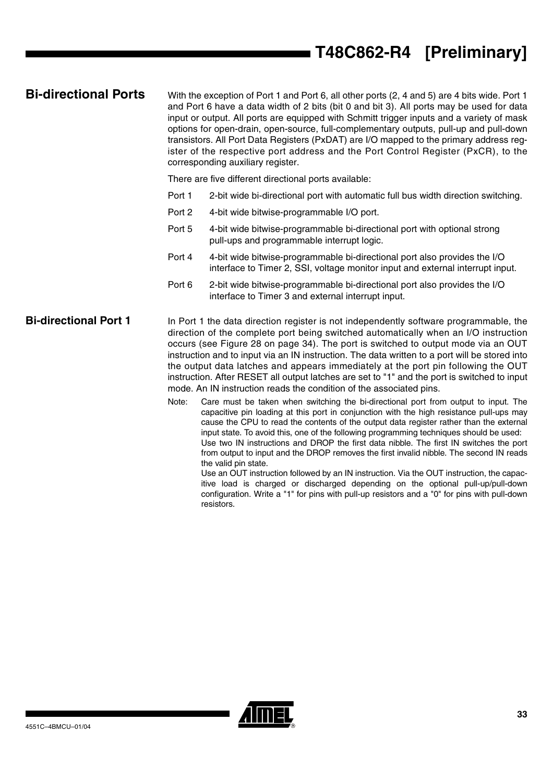# **T48C862-R4 [Preliminary]**

**Bi-directional Ports** With the exception of Port 1 and Port 6, all other ports (2, 4 and 5) are 4 bits wide. Port 1 and Port 6 have a data width of 2 bits (bit 0 and bit 3). All ports may be used for data input or output. All ports are equipped with Schmitt trigger inputs and a variety of mask options for open-drain, open-source, full-complementary outputs, pull-up and pull-down transistors. All Port Data Registers (PxDAT) are I/O mapped to the primary address register of the respective port address and the Port Control Register (PxCR), to the corresponding auxiliary register.

There are five different directional ports available:

- Port 1 2-bit wide bi-directional port with automatic full bus width direction switching.
- Port 2 4-bit wide bitwise-programmable I/O port.
- Port 5 4-bit wide bitwise-programmable bi-directional port with optional strong pull-ups and programmable interrupt logic.
- Port 4 4-bit wide bitwise-programmable bi-directional port also provides the I/O interface to Timer 2, SSI, voltage monitor input and external interrupt input.
- Port 6 2-bit wide bitwise-programmable bi-directional port also provides the I/O interface to Timer 3 and external interrupt input.

### **Bi-directional Port 1** In Port 1 the data direction register is not independently software programmable, the direction of the complete port being switched automatically when an I/O instruction occurs (see [Figure 28 on page 34](#page-33-0)). The port is switched to output mode via an OUT instruction and to input via an IN instruction. The data written to a port will be stored into the output data latches and appears immediately at the port pin following the OUT instruction. After RESET all output latches are set to "1" and the port is switched to input mode. An IN instruction reads the condition of the associated pins.

Note: Care must be taken when switching the bi-directional port from output to input. The capacitive pin loading at this port in conjunction with the high resistance pull-ups may cause the CPU to read the contents of the output data register rather than the external input state. To avoid this, one of the following programming techniques should be used: Use two IN instructions and DROP the first data nibble. The first IN switches the port from output to input and the DROP removes the first invalid nibble. The second IN reads the valid pin state.

Use an OUT instruction followed by an IN instruction. Via the OUT instruction, the capacitive load is charged or discharged depending on the optional pull-up/pull-down configuration. Write a "1" for pins with pull-up resistors and a "0" for pins with pull-down resistors.

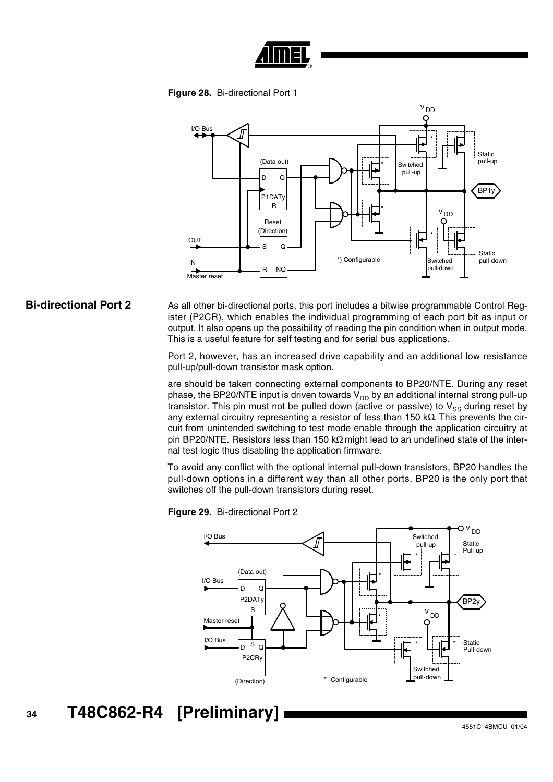

**Figure 28.** Bi-directional Port 1

<span id="page-33-0"></span>

### **Bi-directional Port 2** As all other bi-directional ports, this port includes a bitwise programmable Control Register (P2CR), which enables the individual programming of each port bit as input or output. It also opens up the possibility of reading the pin condition when in output mode. This is a useful feature for self testing and for serial bus applications.

Port 2, however, has an increased drive capability and an additional low resistance pull-up/pull-down transistor mask option.

are should be taken connecting external components to BP20/NTE. During any reset phase, the BP20/NTE input is driven towards  $V_{DD}$  by an additional internal strong pull-up transistor. This pin must not be pulled down (active or passive) to  $V_{SS}$  during reset by any external circuitry representing a resistor of less than 150 kΩ. This prevents the circuit from unintended switching to test mode enable through the application circuitry at pin BP20/NTE. Resistors less than 150 k $\Omega$  might lead to an undefined state of the internal test logic thus disabling the application firmware.

To avoid any conflict with the optional internal pull-down transistors, BP20 handles the pull-down options in a different way than all other ports. BP20 is the only port that switches off the pull-down transistors during reset.



**Figure 29.** Bi-directional Port 2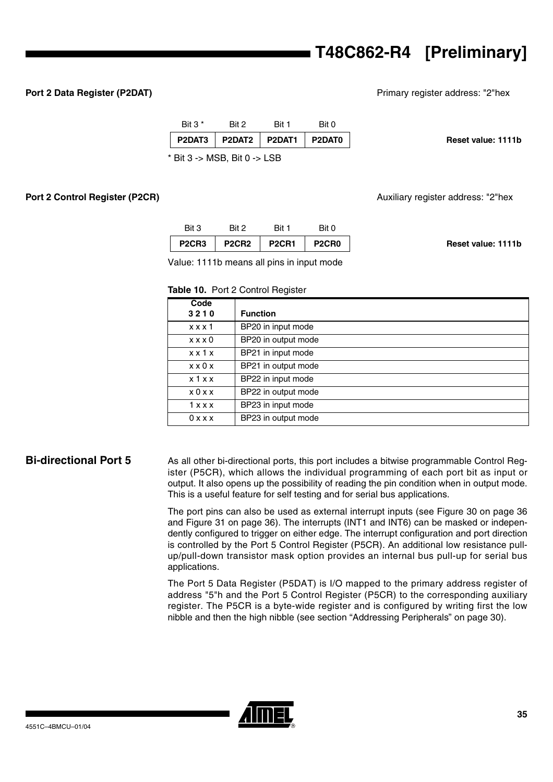# **T48C862-R4 [Preliminary]**

**Port 2 Data Register (P2DAT) Port 2 Data Register (P2DAT) Primary register address:** "2"hex

| Bit $3*$ | Rit 2                          | Rit 1                             | Bit 0 |                    |
|----------|--------------------------------|-----------------------------------|-------|--------------------|
|          |                                | P2DAT3   P2DAT2   P2DAT1   P2DAT0 |       | Reset value: 1111b |
|          | $*$ Bit 3 -> MSB, Bit 0 -> LSB |                                   |       |                    |

**Port 2 Control Register (P2CR)** Auxiliary register address: "2"hex

|                    | Bit 0                          | Bit 1        | Bit 2                          | Bit 3                          |
|--------------------|--------------------------------|--------------|--------------------------------|--------------------------------|
| Reset value: 1111b | P <sub>2</sub> CR <sub>0</sub> | <b>P2CR1</b> | P <sub>2</sub> CR <sub>2</sub> | P <sub>2</sub> CR <sub>3</sub> |

Value: 1111b means all pins in input mode

### **Table 10.** Port 2 Control Register

| Code                |                     |
|---------------------|---------------------|
| 3210                | <b>Function</b>     |
| x x x 1             | BP20 in input mode  |
| x x x 0             | BP20 in output mode |
| $x \times 1$ $x$    | BP21 in input mode  |
| $x \times 0 \times$ | BP21 in output mode |
| x 1 x x             | BP22 in input mode  |
| x0xx                | BP22 in output mode |
| 1 x x x             | BP23 in input mode  |
| 0 x x x             | BP23 in output mode |

**Bi-directional Port 5** As all other bi-directional ports, this port includes a bitwise programmable Control Register (P5CR), which allows the individual programming of each port bit as input or output. It also opens up the possibility of reading the pin condition when in output mode. This is a useful feature for self testing and for serial bus applications.

> The port pins can also be used as external interrupt inputs (see [Figure 30 on page 36](#page-35-0) and [Figure 31 on page 36](#page-35-1)). The interrupts (INT1 and INT6) can be masked or independently configured to trigger on either edge. The interrupt configuration and port direction is controlled by the Port 5 Control Register (P5CR). An additional low resistance pullup/pull-down transistor mask option provides an internal bus pull-up for serial bus applications.

> The Port 5 Data Register (P5DAT) is I/O mapped to the primary address register of address "5"h and the Port 5 Control Register (P5CR) to the corresponding auxiliary register. The P5CR is a byte-wide register and is configured by writing first the low nibble and then the high nibble (see section ["Addressing Peripherals" on page 30\)](#page-29-1).

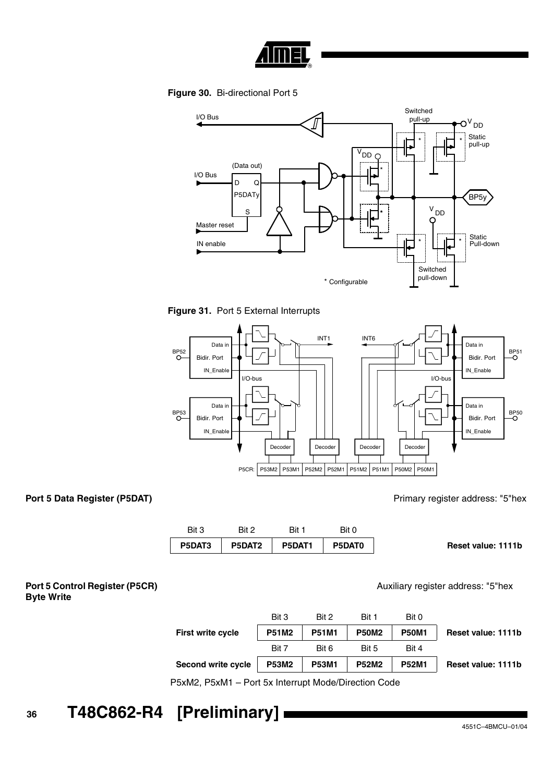

**Figure 30.** Bi-directional Port 5

<span id="page-35-0"></span>

<span id="page-35-1"></span>



**Port 5 Data Register (P5DAT) Port 5 Data Register (P5DAT) Primary register address:** "5"hex

Auxiliary register address: "5"hex

| Bit 3  | Rit 2  | Bit    | Bit 0  |                    |
|--------|--------|--------|--------|--------------------|
| P5DAT3 | P5DAT2 | P5DAT1 | P5DAT0 | Reset value: 1111b |

**Port 5 Control Register (P5CR) Byte Write**

|                           | Bit 3        | Bit 2        | Bit 1        | Bit 0        |                    |
|---------------------------|--------------|--------------|--------------|--------------|--------------------|
| First write cycle         | <b>P51M2</b> | <b>P51M1</b> | <b>P50M2</b> | <b>P50M1</b> | Reset value: 1111b |
|                           | Bit 7        | Bit 6        | Bit 5        | Bit 4        |                    |
| <b>Second write cycle</b> | <b>P53M2</b> | <b>P53M1</b> | <b>P52M2</b> | <b>P52M1</b> | Reset value: 1111b |

P5xM2, P5xM1 – Port 5x Interrupt Mode/Direction Code

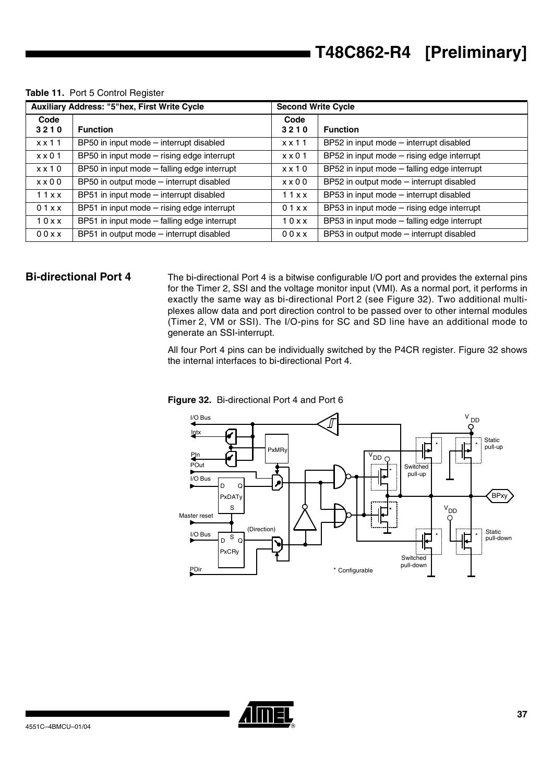|               | <b>Auxiliary Address: "5"hex, First Write Cycle</b> | <b>Second Write Cycle</b> |                                             |  |
|---------------|-----------------------------------------------------|---------------------------|---------------------------------------------|--|
| Code          |                                                     | Code                      |                                             |  |
| 3210          | <b>Function</b>                                     | 3210                      | <b>Function</b>                             |  |
| $x \times 11$ | BP50 in input mode - interrupt disabled             | $x \times 11$             | BP52 in input mode - interrupt disabled     |  |
| $x \times 01$ | BP50 in input mode - rising edge interrupt          | $x \times 01$             | BP52 in input mode - rising edge interrupt  |  |
| $x \times 10$ | BP50 in input mode - falling edge interrupt         | $x \times 10$             | BP52 in input mode - falling edge interrupt |  |
| $x \times 00$ | BP50 in output mode - interrupt disabled            | $x \times 00$             | BP52 in output mode - interrupt disabled    |  |
| 11xx          | BP51 in input mode - interrupt disabled             | 11xx                      | BP53 in input mode - interrupt disabled     |  |
| 01xx          | BP51 in input mode - rising edge interrupt          | 01xx                      | BP53 in input mode - rising edge interrupt  |  |
| 10xx          | BP51 in input mode - falling edge interrupt         | 10xx                      | BP53 in input mode - falling edge interrupt |  |
| 00xx          | BP51 in output mode - interrupt disabled            | 00xx                      | BP53 in output mode - interrupt disabled    |  |

### **Table 11.** Port 5 Control Register

**Bi-directional Port 4** The bi-directional Port 4 is a bitwise configurable I/O port and provides the external pins for the Timer 2, SSI and the voltage monitor input (VMI). As a normal port, it performs in exactly the same way as bi-directional Port 2 (see [Figure 32\)](#page-36-0). Two additional multiplexes allow data and port direction control to be passed over to other internal modules (Timer 2, VM or SSI). The I/O-pins for SC and SD line have an additional mode to generate an SSI-interrupt.

> All four Port 4 pins can be individually switched by the P4CR register. [Figure 32](#page-36-0) shows the internal interfaces to bi-directional Port 4.



### <span id="page-36-0"></span>**Figure 32.** Bi-directional Port 4 and Port 6

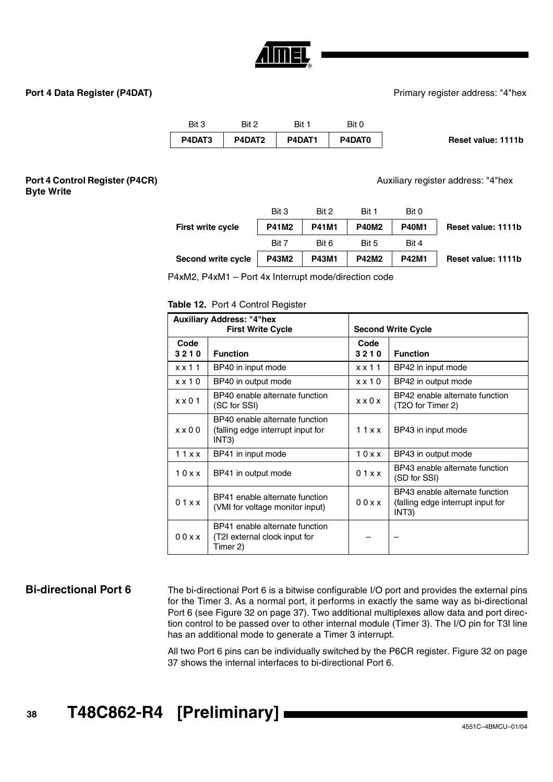

**Port 4 Data Register (P4DAT) Port 4 Data Register (P4DAT) Primary register address:** "4"hex

| Bit 3  | Bit 2  | Bit 1  | Bit 0  |                    |
|--------|--------|--------|--------|--------------------|
| P4DAT3 | P4DAT2 | P4DAT1 | P4DAT0 | Reset value: 1111b |

### **Port 4 Control Register (P4CR) Byte Write**

Auxiliary register address: "4"hex

|                           | Bit 3        | Bit 2        | Bit 1        | Bit 0        |                    |
|---------------------------|--------------|--------------|--------------|--------------|--------------------|
| <b>First write cycle</b>  | <b>P41M2</b> | <b>P41M1</b> | <b>P40M2</b> | <b>P40M1</b> | Reset value: 1111b |
|                           | Bit 7        | Bit 6        | Bit 5        | Bit 4        |                    |
| <b>Second write cycle</b> | <b>P43M2</b> | <b>P43M1</b> | <b>P42M2</b> | <b>P42M1</b> | Reset value: 1111b |
|                           |              |              |              |              |                    |

P4xM2, P4xM1 – Port 4x Interrupt mode/direction code

### **Table 12.** Port 4 Control Register

|                | <b>Auxiliary Address: "4"hex</b><br><b>First Write Cycle</b>                 |                     | <b>Second Write Cycle</b>                                                                 |
|----------------|------------------------------------------------------------------------------|---------------------|-------------------------------------------------------------------------------------------|
| Code<br>3210   | <b>Function</b>                                                              | Code<br>3210        | <b>Function</b>                                                                           |
| $x \times 11$  | BP40 in input mode                                                           | $x \times 11$       | BP42 in input mode                                                                        |
| $x \times 10$  | BP40 in output mode                                                          | $x \times 10$       | BP42 in output mode                                                                       |
| $x \times 01$  | BP40 enable alternate function<br>(SC for SSI)                               | $x \times 0 \times$ | BP42 enable alternate function<br>(T2O for Timer 2)                                       |
| $x \times 0$ 0 | BP40 enable alternate function<br>(falling edge interrupt input for<br>INT3) | 11xx                | BP43 in input mode                                                                        |
| 11xx           | BP41 in input mode                                                           | 10xx                | BP43 in output mode                                                                       |
| 10xx           | BP41 in output mode                                                          | 01xx                | BP43 enable alternate function<br>(SD for SSI)                                            |
| 01xx           | BP41 enable alternate function<br>(VMI for voltage monitor input)            | 00x                 | BP43 enable alternate function<br>(falling edge interrupt input for<br>INT <sub>3</sub> ) |
| 00xx           | BP41 enable alternate function<br>(T2I external clock input for<br>Timer 2)  |                     |                                                                                           |

**Bi-directional Port 6** The bi-directional Port 6 is a bitwise configurable I/O port and provides the external pins for the Timer 3. As a normal port, it performs in exactly the same way as bi-directional Port 6 (see [Figure 32 on page 37\)](#page-36-0). Two additional multiplexes allow data and port direction control to be passed over to other internal module (Timer 3). The I/O pin for T3I line has an additional mode to generate a Timer 3 interrupt.

> All two Port 6 pins can be individually switched by the P6CR register. [Figure 32 on page](#page-36-0) [37](#page-36-0) shows the internal interfaces to bi-directional Port 6.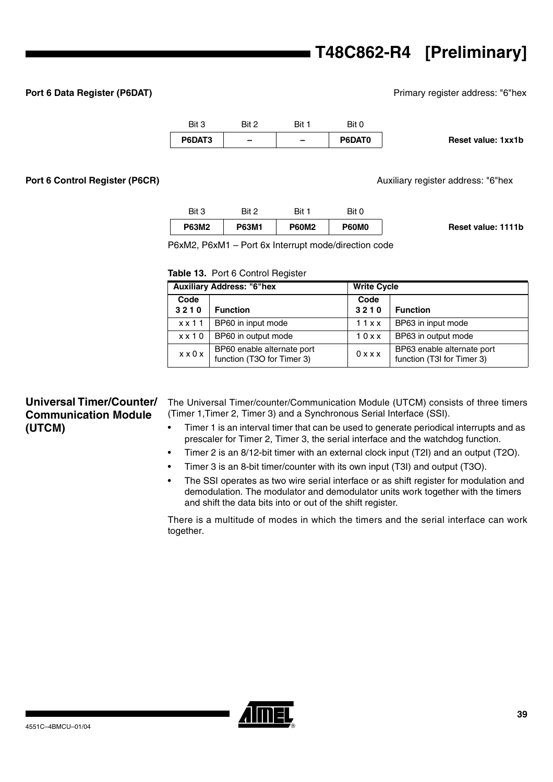# **T48C862-R4 [Preliminary]**

**Port 6 Data Register (P6DAT) Port 6 Data Register (P6DAT) Primary register address: "6"hex** 

|                    | Bit 0  | Bit 1                    | Bit 2                    | Bit 3  |
|--------------------|--------|--------------------------|--------------------------|--------|
| Reset value: 1xx1b | P6DAT0 | $\overline{\phantom{0}}$ | $\overline{\phantom{0}}$ | P6DAT3 |

**Port 6 Control Register (P6CR)** Auxiliary register address: "6"hex

|                    | Bit 0        | Bit 1        | Bit 2        | Bit 3        |
|--------------------|--------------|--------------|--------------|--------------|
| Reset value: 1111b | <b>P60M0</b> | <b>P60M2</b> | <b>P63M1</b> | <b>P63M2</b> |

P6xM2, P6xM1 – Port 6x Interrupt mode/direction code

### **Table 13.** Port 6 Control Register

| <b>Auxiliary Address: "6"hex</b> |                                                          | <b>Write Cycle</b> |                                                          |
|----------------------------------|----------------------------------------------------------|--------------------|----------------------------------------------------------|
| Code<br>3210                     | <b>Function</b>                                          | Code<br>3210       | <b>Function</b>                                          |
| $x \times 11$                    | BP60 in input mode                                       | 11xx               | BP63 in input mode                                       |
| $x \times 10$                    | BP60 in output mode                                      | 10xx               | BP63 in output mode                                      |
| $x \times 0 x$                   | BP60 enable alternate port<br>function (T3O for Timer 3) | 0 x x x            | BP63 enable alternate port<br>function (T3I for Timer 3) |

# **Universal Timer/Counter/ Communication Module (UTCM)**

The Universal Timer/counter/Communication Module (UTCM) consists of three timers (Timer 1,Timer 2, Timer 3) and a Synchronous Serial Interface (SSI).

- Timer 1 is an interval timer that can be used to generate periodical interrupts and as prescaler for Timer 2, Timer 3, the serial interface and the watchdog function.
- Timer 2 is an 8/12-bit timer with an external clock input (T2I) and an output (T2O).
- Timer 3 is an 8-bit timer/counter with its own input (T3I) and output (T3O).
- The SSI operates as two wire serial interface or as shift register for modulation and demodulation. The modulator and demodulator units work together with the timers and shift the data bits into or out of the shift register.

There is a multitude of modes in which the timers and the serial interface can work together.

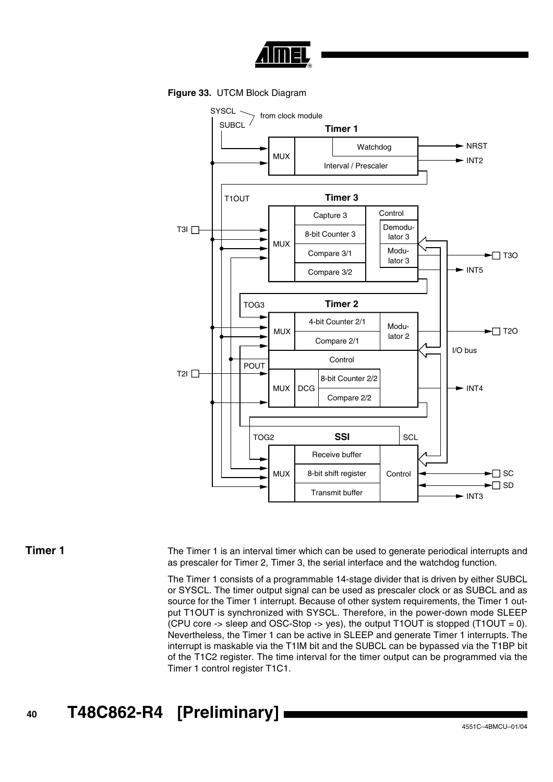

**Figure 33.** UTCM Block Diagram



**Timer 1** The Timer 1 is an interval timer which can be used to generate periodical interrupts and as prescaler for Timer 2, Timer 3, the serial interface and the watchdog function.

> The Timer 1 consists of a programmable 14-stage divider that is driven by either SUBCL or SYSCL. The timer output signal can be used as prescaler clock or as SUBCL and as source for the Timer 1 interrupt. Because of other system requirements, the Timer 1 output T1OUT is synchronized with SYSCL. Therefore, in the power-down mode SLEEP (CPU core -> sleep and OSC-Stop -> yes), the output T1OUT is stopped  $(T1OUT = 0)$ . Nevertheless, the Timer 1 can be active in SLEEP and generate Timer 1 interrupts. The interrupt is maskable via the T1IM bit and the SUBCL can be bypassed via the T1BP bit of the T1C2 register. The time interval for the timer output can be programmed via the Timer 1 control register T1C1.

**<sup>40</sup> T48C862-R4 [Preliminary]**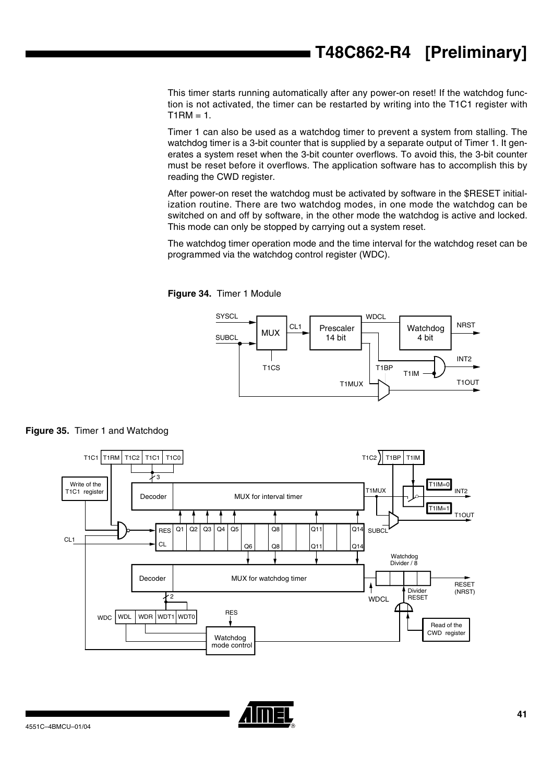# **T48C862-R4 [Preliminary]**

This timer starts running automatically after any power-on reset! If the watchdog function is not activated, the timer can be restarted by writing into the T1C1 register with  $T1RM = 1.$ 

Timer 1 can also be used as a watchdog timer to prevent a system from stalling. The watchdog timer is a 3-bit counter that is supplied by a separate output of Timer 1. It generates a system reset when the 3-bit counter overflows. To avoid this, the 3-bit counter must be reset before it overflows. The application software has to accomplish this by reading the CWD register.

After power-on reset the watchdog must be activated by software in the \$RESET initialization routine. There are two watchdog modes, in one mode the watchdog can be switched on and off by software, in the other mode the watchdog is active and locked. This mode can only be stopped by carrying out a system reset.

The watchdog timer operation mode and the time interval for the watchdog reset can be programmed via the watchdog control register (WDC).

<span id="page-40-0"></span>







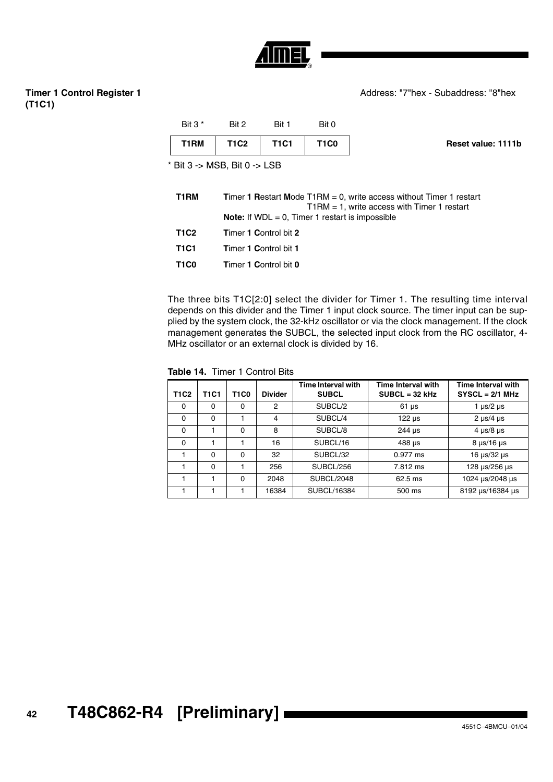

# **Timer 1 Control Register 1 (T1C1)**

| Bit $3^*$                    | Rit 2       | Rit 1       | Bit 0       |                    |
|------------------------------|-------------|-------------|-------------|--------------------|
| T1RM                         | <b>T1C2</b> | <b>T1C1</b> | <b>T1C0</b> | Reset value: 1111b |
| * Bit 3 -> MSB, Bit 0 -> LSB |             |             |             |                    |

| T1RM        | <b>Timer 1 Restart Mode T1RM = 0, write access without Timer 1 restart</b><br>$T1RM = 1$ , write access with Timer 1 restart |
|-------------|------------------------------------------------------------------------------------------------------------------------------|
|             | <b>Note:</b> If $WDL = 0$ , Timer 1 restart is impossible                                                                    |
| <b>T1C2</b> | Timer 1 Control bit 2                                                                                                        |
| T1C1        | <b>Timer 1 Control bit 1</b>                                                                                                 |
| <b>T1C0</b> | <b>Timer 1 Control bit 0</b>                                                                                                 |

The three bits T1C[2:0] select the divider for Timer 1. The resulting time interval depends on this divider and the Timer 1 input clock source. The timer input can be supplied by the system clock, the 32-kHz oscillator or via the clock management. If the clock management generates the SUBCL, the selected input clock from the RC oscillator, 4- MHz oscillator or an external clock is divided by 16.

**Table 14.** Timer 1 Control Bits

| <b>T1C2</b> | <b>T1C1</b> | <b>T1C0</b> | <b>Divider</b> | Time Interval with<br><b>SUBCL</b> | <b>Time Interval with</b><br>$SUBCL = 32 kHz$ | Time Interval with<br>$SYSCL = 2/1 MHz$ |
|-------------|-------------|-------------|----------------|------------------------------------|-----------------------------------------------|-----------------------------------------|
| 0           | $\Omega$    | 0           | 2              | SUBCL/2                            | $61 \,\mu s$                                  | 1 $\mu$ s/2 $\mu$ s                     |
| $\Omega$    | $\Omega$    |             | 4              | SUBCL/4                            | $122 \mu s$                                   | $2 \mu s/4 \mu s$                       |
| $\Omega$    |             | 0           | 8              | SUBCL/8                            | $244 \text{ }\mu\text{s}$                     | $4 \mu s/8 \mu s$                       |
| $\Omega$    |             |             | 16             | SUBCL/16                           | 488 µs                                        | $8 \mu s / 16 \mu s$                    |
|             | $\Omega$    | 0           | 32             | SUBCL/32                           | $0.977$ ms                                    | 16 $\mu$ s/32 $\mu$ s                   |
|             | $\Omega$    |             | 256            | SUBCL/256                          | 7.812 ms                                      | 128 µs/256 µs                           |
|             |             | 0           | 2048           | SUBCL/2048                         | $62.5$ ms                                     | 1024 us/2048 us                         |
|             |             |             | 16384          | SUBCL/16384                        | 500 ms                                        | 8192 µs/16384 µs                        |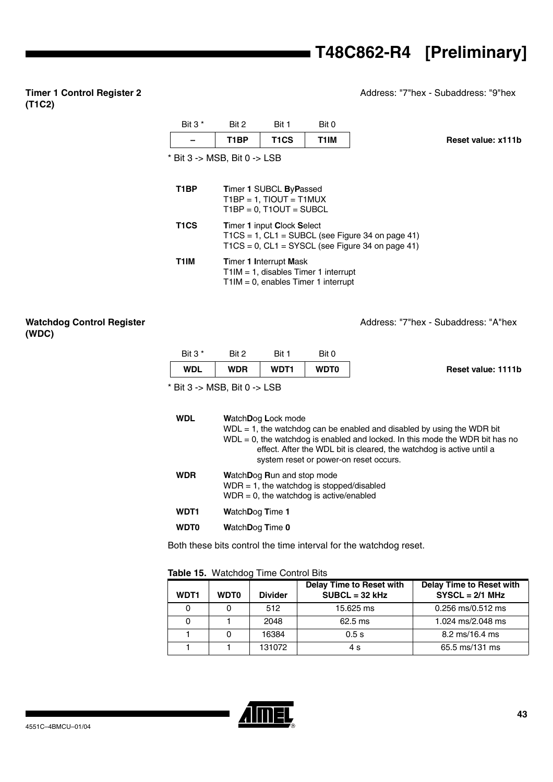Address: "7"hex - Subaddress: "9"hex

# **Timer 1 Control Register 2 (T1C2)**

# \* Bit 3 -> MSB, Bit 0 -> LSB Bit 3<sup>\*</sup> Bit 2 Bit 1 Bit 0 **– T1BP T1CS T1IM Reset value: x111b T1BP T**imer **1** SUBCL **B**y**P**assed  $T1BP = 1$ ,  $TIOUT = T1MUX$  $T1BP = 0$ ,  $T1OUT = SUBCL$ **T1CS T**imer **1** input **C**lock **S**elect  $T1CS = 1$ ,  $CL1 = SUBCL$  (see [Figure 34 on page 41](#page-40-0))  $T1CS = 0$ ,  $CL1 = SYSCL$  (see [Figure 34 on page 41\)](#page-40-0) **T1IM T**imer **1 I**nterrupt **M**ask T1IM = 1, disables Timer 1 interrupt T1IM = 0, enables Timer 1 interrupt

# **Watchdog Control Register (WDC)**

Address: "7"hex - Subaddress: "A"hex

| <b>WDL</b> | <b>WDR</b> | <b>WDT1</b> | <b>WDT0</b> | Reset value: 1111b |
|------------|------------|-------------|-------------|--------------------|
| Bit $3*$   | Bit 2      | Bit         | Bit 0       |                    |

 $*$  Bit 3 -> MSB, Bit 0 -> LSB

| WDL | WatchDog Lock mode<br>$WDL = 1$ , the watchdog can be enabled and disabled by using the WDR bit<br>$WDL = 0$ , the watchdog is enabled and locked. In this mode the WDR bit has no<br>effect. After the WDL bit is cleared, the watchdog is active until a<br>system reset or power-on reset occurs. |
|-----|------------------------------------------------------------------------------------------------------------------------------------------------------------------------------------------------------------------------------------------------------------------------------------------------------|
| WDR | WatchDog Run and stop mode<br>$WDR = 1$ , the watchdog is stopped/disabled<br>$WDR = 0$ , the watchdog is active/enabled                                                                                                                                                                             |
|     |                                                                                                                                                                                                                                                                                                      |

- **WDT1 W**atch**D**og **T**ime **1**
- **WDT0 W**atch**D**og **T**ime **0**

Both these bits control the time interval for the watchdog reset.

# **Table 15.** Watchdog Time Control Bits

| WDT1 | <b>WDT0</b> | <b>Divider</b> | Delay Time to Reset with<br>$SUBCL = 32 kHz$ | <b>Delay Time to Reset with</b><br>$SYSCL = 2/1 MHz$ |
|------|-------------|----------------|----------------------------------------------|------------------------------------------------------|
| 0    |             | 512            | 15.625 ms                                    | 0.256 ms/0.512 ms                                    |
|      |             | 2048           | $62.5$ ms                                    | 1.024 ms/2.048 ms                                    |
|      |             | 16384          | 0.5s                                         | 8.2 ms/16.4 ms                                       |
|      |             | 131072         | 4 s                                          | 65.5 ms/131 ms                                       |

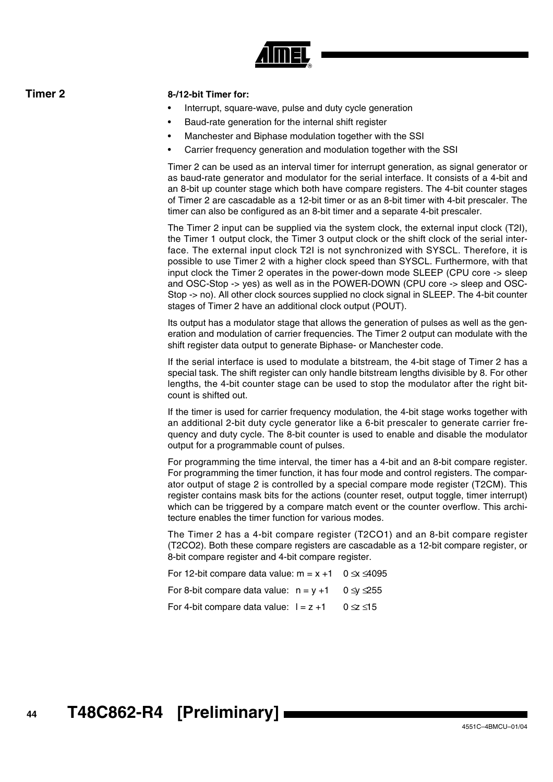

# **Timer 2 8-/12-bit Timer for:**

- Interrupt, square-wave, pulse and duty cycle generation
- Baud-rate generation for the internal shift register
- Manchester and Biphase modulation together with the SSI
- Carrier frequency generation and modulation together with the SSI

Timer 2 can be used as an interval timer for interrupt generation, as signal generator or as baud-rate generator and modulator for the serial interface. It consists of a 4-bit and an 8-bit up counter stage which both have compare registers. The 4-bit counter stages of Timer 2 are cascadable as a 12-bit timer or as an 8-bit timer with 4-bit prescaler. The timer can also be configured as an 8-bit timer and a separate 4-bit prescaler.

The Timer 2 input can be supplied via the system clock, the external input clock (T2I), the Timer 1 output clock, the Timer 3 output clock or the shift clock of the serial interface. The external input clock T2I is not synchronized with SYSCL. Therefore, it is possible to use Timer 2 with a higher clock speed than SYSCL. Furthermore, with that input clock the Timer 2 operates in the power-down mode SLEEP (CPU core -> sleep and OSC-Stop -> yes) as well as in the POWER-DOWN (CPU core -> sleep and OSC-Stop -> no). All other clock sources supplied no clock signal in SLEEP. The 4-bit counter stages of Timer 2 have an additional clock output (POUT).

Its output has a modulator stage that allows the generation of pulses as well as the generation and modulation of carrier frequencies. The Timer 2 output can modulate with the shift register data output to generate Biphase- or Manchester code.

If the serial interface is used to modulate a bitstream, the 4-bit stage of Timer 2 has a special task. The shift register can only handle bitstream lengths divisible by 8. For other lengths, the 4-bit counter stage can be used to stop the modulator after the right bitcount is shifted out.

If the timer is used for carrier frequency modulation, the 4-bit stage works together with an additional 2-bit duty cycle generator like a 6-bit prescaler to generate carrier frequency and duty cycle. The 8-bit counter is used to enable and disable the modulator output for a programmable count of pulses.

For programming the time interval, the timer has a 4-bit and an 8-bit compare register. For programming the timer function, it has four mode and control registers. The comparator output of stage 2 is controlled by a special compare mode register (T2CM). This register contains mask bits for the actions (counter reset, output toggle, timer interrupt) which can be triggered by a compare match event or the counter overflow. This architecture enables the timer function for various modes.

The Timer 2 has a 4-bit compare register (T2CO1) and an 8-bit compare register (T2CO2). Both these compare registers are cascadable as a 12-bit compare register, or 8-bit compare register and 4-bit compare register.

For 12-bit compare data value:  $m = x +1$  0  $\le x \le 4095$ For 8-bit compare data value:  $n = v +1$  0  $\leq v \leq 255$ For 4-bit compare data value:  $1 = z + 1$  0  $\le z \le 15$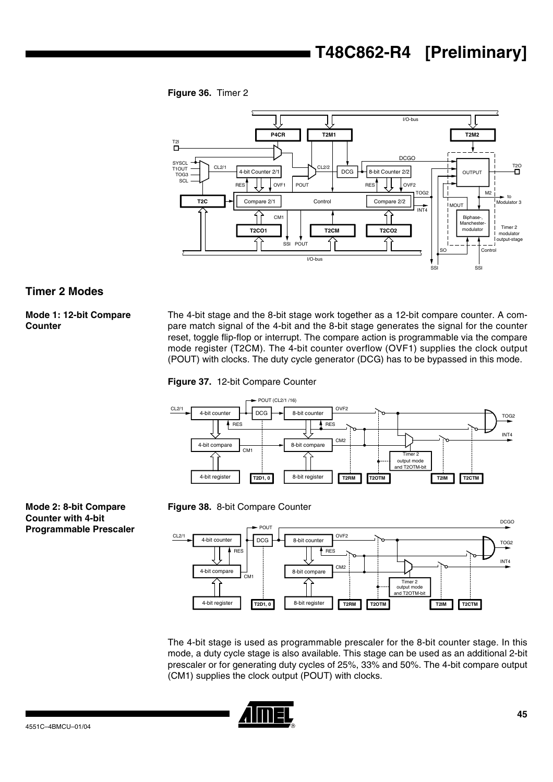**Figure 36.** Timer 2



# **Timer 2 Modes**

# **Mode 1: 12-bit Compare Counter**

The 4-bit stage and the 8-bit stage work together as a 12-bit compare counter. A compare match signal of the 4-bit and the 8-bit stage generates the signal for the counter reset, toggle flip-flop or interrupt. The compare action is programmable via the compare mode register (T2CM). The 4-bit counter overflow (OVF1) supplies the clock output (POUT) with clocks. The duty cycle generator (DCG) has to be bypassed in this mode.









The 4-bit stage is used as programmable prescaler for the 8-bit counter stage. In this mode, a duty cycle stage is also available. This stage can be used as an additional 2-bit prescaler or for generating duty cycles of 25%, 33% and 50%. The 4-bit compare output (CM1) supplies the clock output (POUT) with clocks.



**Mode 2: 8-bit Compare Counter with 4-bit Programmable Prescaler**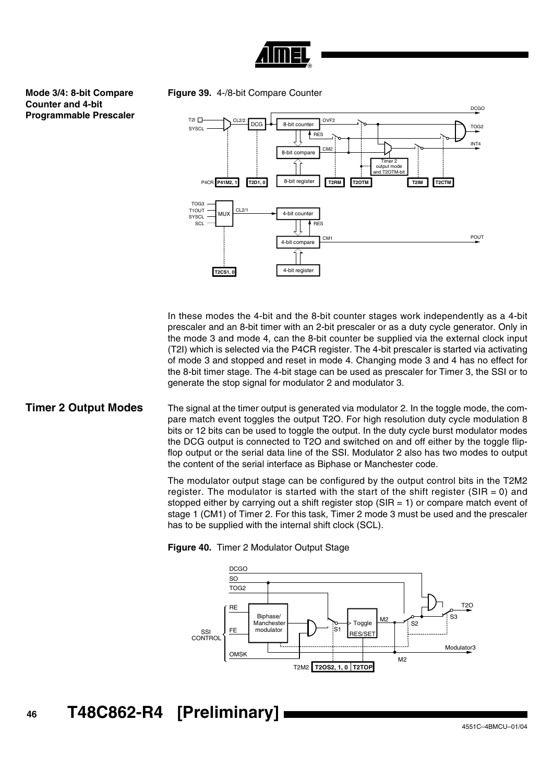

# **Mode 3/4: 8-bit Compare Counter and 4-bit Programmable Prescaler**

**Figure 39.** 4-/8-bit Compare Counter



In these modes the 4-bit and the 8-bit counter stages work independently as a 4-bit prescaler and an 8-bit timer with an 2-bit prescaler or as a duty cycle generator. Only in the mode 3 and mode 4, can the 8-bit counter be supplied via the external clock input (T2I) which is selected via the P4CR register. The 4-bit prescaler is started via activating of mode 3 and stopped and reset in mode 4. Changing mode 3 and 4 has no effect for the 8-bit timer stage. The 4-bit stage can be used as prescaler for Timer 3, the SSI or to generate the stop signal for modulator 2 and modulator 3.

**Timer 2 Output Modes** The signal at the timer output is generated via modulator 2. In the toggle mode, the compare match event toggles the output T2O. For high resolution duty cycle modulation 8 bits or 12 bits can be used to toggle the output. In the duty cycle burst modulator modes the DCG output is connected to T2O and switched on and off either by the toggle flipflop output or the serial data line of the SSI. Modulator 2 also has two modes to output the content of the serial interface as Biphase or Manchester code.

> The modulator output stage can be configured by the output control bits in the T2M2 register. The modulator is started with the start of the shift register ( $SIR = 0$ ) and stopped either by carrying out a shift register stop  $(SIR = 1)$  or compare match event of stage 1 (CM1) of Timer 2. For this task, Timer 2 mode 3 must be used and the prescaler has to be supplied with the internal shift clock (SCL).



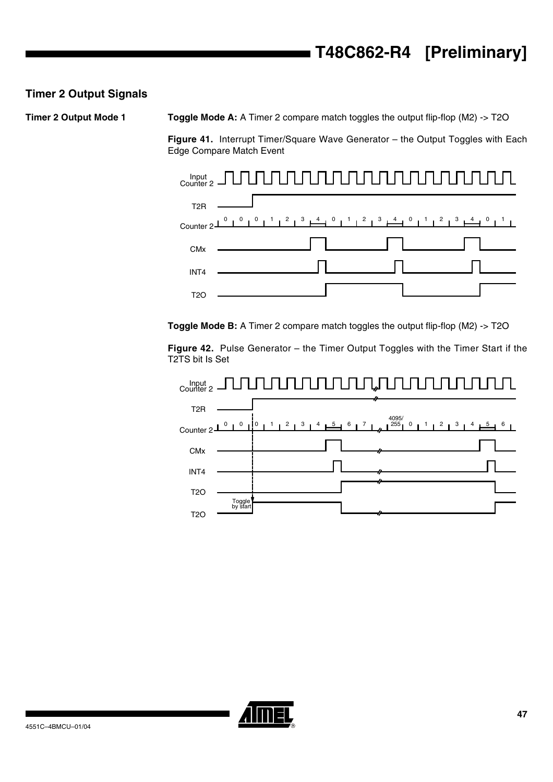# **Timer 2 Output Signals**

**Timer 2 Output Mode 1 Toggle Mode A:** A Timer 2 compare match toggles the output flip-flop (M2) -> T2O

**Figure 41.** Interrupt Timer/Square Wave Generator – the Output Toggles with Each Edge Compare Match Event



**Toggle Mode B:** A Timer 2 compare match toggles the output flip-flop (M2) -> T2O

**Figure 42.** Pulse Generator – the Timer Output Toggles with the Timer Start if the T2TS bit Is Set



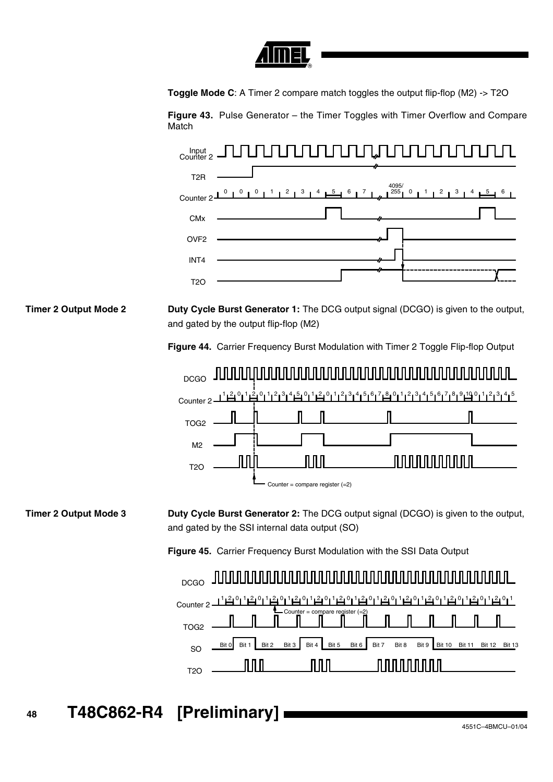

**Toggle Mode C:** A Timer 2 compare match toggles the output flip-flop (M2) -> T2O

**Figure 43.** Pulse Generator – the Timer Toggles with Timer Overflow and Compare **Match** 



**Timer 2 Output Mode 2 Duty Cycle Burst Generator 1:** The DCG output signal (DCGO) is given to the output, and gated by the output flip-flop (M2)

**Figure 44.** Carrier Frequency Burst Modulation with Timer 2 Toggle Flip-flop Output



**Timer 2 Output Mode 3 Duty Cycle Burst Generator 2:** The DCG output signal (DCGO) is given to the output, and gated by the SSI internal data output (SO)

**Figure 45.** Carrier Frequency Burst Modulation with the SSI Data Output



**<sup>48</sup> T48C862-R4 [Preliminary]**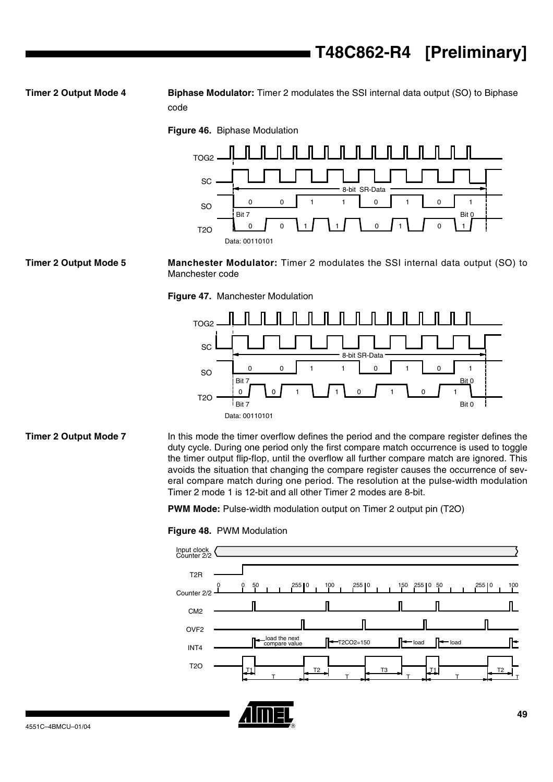**Timer 2 Output Mode 4 Biphase Modulator:** Timer 2 modulates the SSI internal data output (SO) to Biphase code

**Figure 46.** Biphase Modulation



**Timer 2 Output Mode 5 Manchester Modulator:** Timer 2 modulates the SSI internal data output (SO) to Manchester code

**Figure 47.** Manchester Modulation



**Timer 2 Output Mode 7** In this mode the timer overflow defines the period and the compare register defines the duty cycle. During one period only the first compare match occurrence is used to toggle the timer output flip-flop, until the overflow all further compare match are ignored. This avoids the situation that changing the compare register causes the occurrence of several compare match during one period. The resolution at the pulse-width modulation Timer 2 mode 1 is 12-bit and all other Timer 2 modes are 8-bit.

**PWM Mode:** Pulse-width modulation output on Timer 2 output pin (T2O)

### **Figure 48.** PWM Modulation



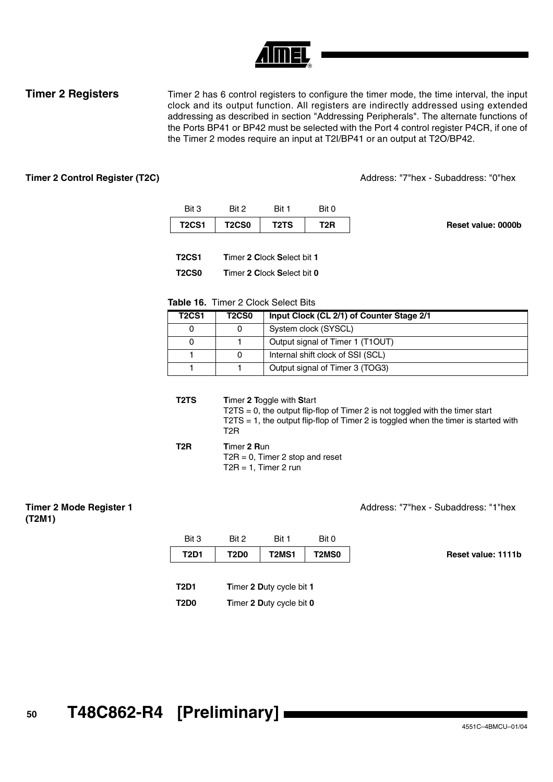**Timer 2 Registers** Timer 2 has 6 control registers to configure the timer mode, the time interval, the input clock and its output function. All registers are indirectly addressed using extended addressing as described in section "Addressing Peripherals". The alternate functions of the Ports BP41 or BP42 must be selected with the Port 4 control register P4CR, if one of the Timer 2 modes require an input at T2I/BP41 or an output at T2O/BP42.

**Timer 2 Control Register (T2C)** Address: "7"hex - Subaddress: "0"hex

|                    | Bit 0 | Bit 1                         | Rit 2        | Bit 3        |
|--------------------|-------|-------------------------------|--------------|--------------|
| Reset value: 0000b | T2R   | T <sub>2</sub> T <sub>S</sub> | <b>T2CS0</b> | <b>T2CS1</b> |

| T2CS1 | Timer 2 Clock Select bit 1 |  |  |  |  |
|-------|----------------------------|--|--|--|--|
|       |                            |  |  |  |  |

**T2CS0 T**imer **2 C**lock **S**elect bit **0**

# **Table 16.** Timer 2 Clock Select Bits

| <b>T2CS1</b> | <b>T2CS0</b> | Input Clock (CL 2/1) of Counter Stage 2/1 |
|--------------|--------------|-------------------------------------------|
|              |              | System clock (SYSCL)                      |
|              |              | Output signal of Timer 1 (T1OUT)          |
|              |              | Internal shift clock of SSI (SCL)         |
|              |              | Output signal of Timer 3 (TOG3)           |

**T2TS T**imer **2 T**oggle with **S**tart T2TS = 0, the output flip-flop of Timer 2 is not toggled with the timer start T2TS = 1, the output flip-flop of Timer 2 is toggled when the timer is started with T2R

| T2R | Timer 2 Run                        |
|-----|------------------------------------|
|     | $T2R = 0$ . Timer 2 stop and reset |
|     | $T2R = 1$ , Timer 2 run            |

## **Timer 2 Mode Register 1 (T2M1)**

Address: "7"hex - Subaddress: "1"hex

| Bit 3       | Bit 2 | Bit 1                    | Bit 0        |                    |
|-------------|-------|--------------------------|--------------|--------------------|
| <b>T2D1</b> | T2D0  | T2MS1                    | <b>T2MS0</b> | Reset value: 1111b |
|             |       |                          |              |                    |
| <b>T2D1</b> |       | Timer 2 Duty cycle bit 1 |              |                    |
| <b>T2D0</b> |       | Timer 2 Duty cycle bit 0 |              |                    |

**<sup>50</sup> T48C862-R4 [Preliminary]**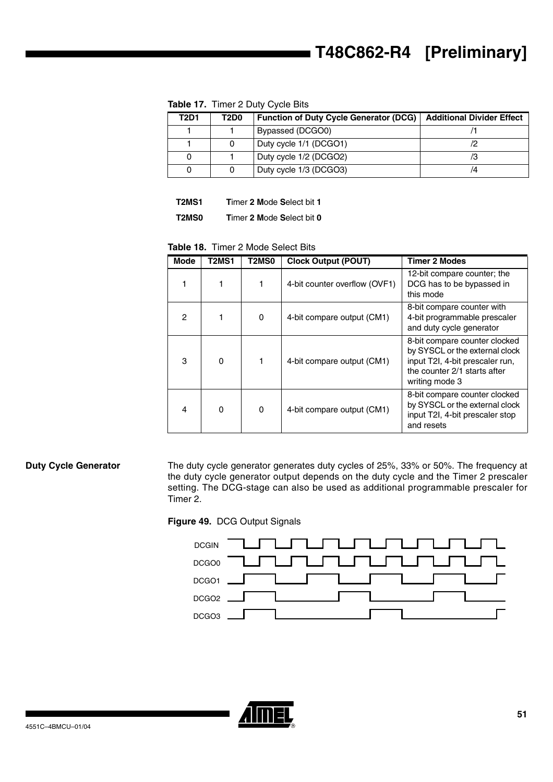| <b>T2D1</b> | T2D0 | <b>Function of Duty Cycle Generator (DCG)</b> | <b>Additional Divider Effect</b> |
|-------------|------|-----------------------------------------------|----------------------------------|
|             |      | Bypassed (DCGO0)                              |                                  |
|             |      | Duty cycle 1/1 (DCGO1)                        |                                  |
|             |      | Duty cycle 1/2 (DCGO2)                        |                                  |
|             |      | Duty cycle 1/3 (DCGO3)                        | 74                               |

**Table 17.** Timer 2 Duty Cycle Bits

**T2MS1 T**imer **2 M**ode **S**elect bit **1**

**T2MS0 T**imer **2 M**ode **S**elect bit **0**

**Table 18.** Timer 2 Mode Select Bits

| <b>Mode</b> | T2MS1    | T2MS0 | <b>Clock Output (POUT)</b>    | <b>Timer 2 Modes</b>                                                                                                                                 |
|-------------|----------|-------|-------------------------------|------------------------------------------------------------------------------------------------------------------------------------------------------|
| 1           |          | 1     | 4-bit counter overflow (OVF1) | 12-bit compare counter; the<br>DCG has to be bypassed in<br>this mode                                                                                |
| 2           |          | 0     | 4-bit compare output (CM1)    | 8-bit compare counter with<br>4-bit programmable prescaler<br>and duty cycle generator                                                               |
| 3           | $\Omega$ |       | 4-bit compare output (CM1)    | 8-bit compare counter clocked<br>by SYSCL or the external clock<br>input T2I, 4-bit prescaler run,<br>the counter 2/1 starts after<br>writing mode 3 |
| 4           | $\Omega$ | 0     | 4-bit compare output (CM1)    | 8-bit compare counter clocked<br>by SYSCL or the external clock<br>input T2I, 4-bit prescaler stop<br>and resets                                     |

**Duty Cycle Generator** The duty cycle generator generates duty cycles of 25%, 33% or 50%. The frequency at the duty cycle generator output depends on the duty cycle and the Timer 2 prescaler setting. The DCG-stage can also be used as additional programmable prescaler for Timer 2.

# **Figure 49.** DCG Output Signals



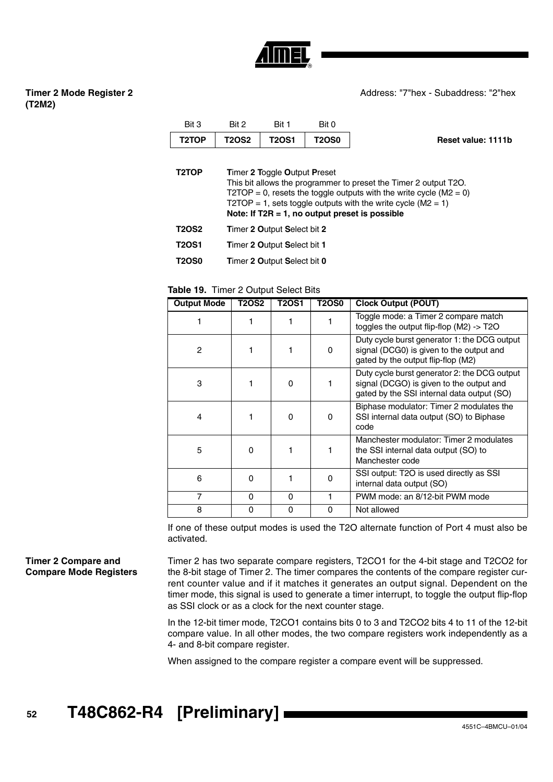

# **Timer 2 Mode Register 2 (T2M2)**

Address: "7"hex - Subaddress: "2"hex

| Bit 3 | Rit <sub>2</sub> | Bit 1        | Bit 0        |                    |
|-------|------------------|--------------|--------------|--------------------|
| T2TOP | <b>T2OS2</b>     | <b>T2OS1</b> | <b>T2OS0</b> | Reset value: 1111b |
|       |                  |              |              |                    |

| T <sub>2</sub> TOP | <b>Timer 2 Toggle Output Preset</b><br>This bit allows the programmer to preset the Timer 2 output T2O.<br>T2TOP = 0, resets the toggle outputs with the write cycle ( $M2 = 0$ )<br>T2TOP = 1, sets toggle outputs with the write cycle ( $M2 = 1$ )<br>Note: If $T2R = 1$ , no output preset is possible |
|--------------------|------------------------------------------------------------------------------------------------------------------------------------------------------------------------------------------------------------------------------------------------------------------------------------------------------------|
| <b>T2OS2</b>       | Timer 2 Output Select bit 2                                                                                                                                                                                                                                                                                |
| <b>T2OS1</b>       | Timer 2 Output Select bit 1                                                                                                                                                                                                                                                                                |

**T2OS0 T**imer **2 O**utput **S**elect bit **0**

**Table 19.** Timer 2 Output Select Bits

| <b>Output Mode</b> | <b>T2OS2</b> | T2OS1    | <b>T2OS0</b> | <b>Clock Output (POUT)</b>                                                                                                             |
|--------------------|--------------|----------|--------------|----------------------------------------------------------------------------------------------------------------------------------------|
|                    |              |          |              | Toggle mode: a Timer 2 compare match<br>toggles the output flip-flop $(M2) \rightarrow T2O$                                            |
| $\overline{c}$     |              |          | $\Omega$     | Duty cycle burst generator 1: the DCG output<br>signal (DCG0) is given to the output and<br>gated by the output flip-flop (M2)         |
| 3                  |              | O        |              | Duty cycle burst generator 2: the DCG output<br>signal (DCGO) is given to the output and<br>gated by the SSI internal data output (SO) |
| 4                  |              | O        | O            | Biphase modulator: Timer 2 modulates the<br>SSI internal data output (SO) to Biphase<br>code                                           |
| 5                  | $\Omega$     |          |              | Manchester modulator: Timer 2 modulates<br>the SSI internal data output (SO) to<br>Manchester code                                     |
| 6                  | 0            |          | 0            | SSI output: T2O is used directly as SSI<br>internal data output (SO)                                                                   |
| 7                  | $\Omega$     | $\Omega$ |              | PWM mode: an 8/12-bit PWM mode                                                                                                         |
| 8                  | 0            | 0        | 0            | Not allowed                                                                                                                            |

If one of these output modes is used the T2O alternate function of Port 4 must also be activated.

## **Timer 2 Compare and Compare Mode Registers**

Timer 2 has two separate compare registers, T2CO1 for the 4-bit stage and T2CO2 for the 8-bit stage of Timer 2. The timer compares the contents of the compare register current counter value and if it matches it generates an output signal. Dependent on the timer mode, this signal is used to generate a timer interrupt, to toggle the output flip-flop as SSI clock or as a clock for the next counter stage.

In the 12-bit timer mode, T2CO1 contains bits 0 to 3 and T2CO2 bits 4 to 11 of the 12-bit compare value. In all other modes, the two compare registers work independently as a 4- and 8-bit compare register.

When assigned to the compare register a compare event will be suppressed.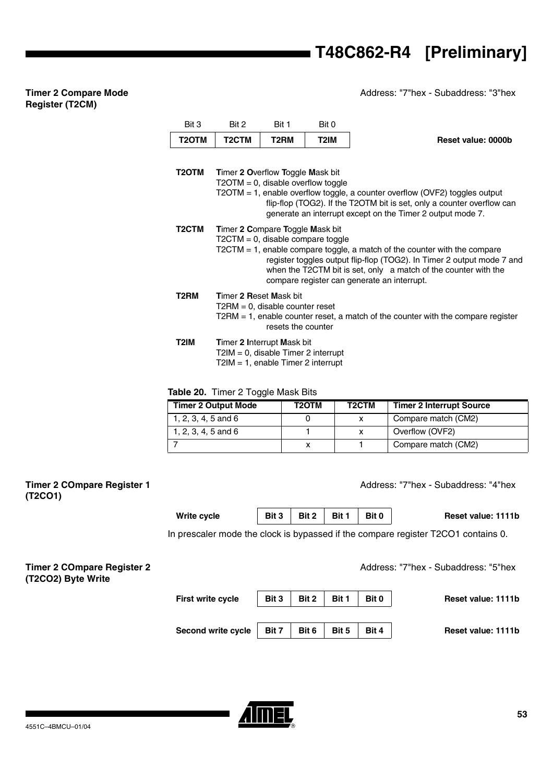Address: "7"hex - Subaddress: "3"hex

# **Timer 2 Compare Mode Register (T2CM)** Bit 3 Bit 2 Bit 1 Bit 0

| T2OTM              | T <sub>2</sub> CTM                                                                                         | T2RM               | T2IM                                 | <b>Reset value: 0000b</b>                                                                                                                                                                                                                                                |
|--------------------|------------------------------------------------------------------------------------------------------------|--------------------|--------------------------------------|--------------------------------------------------------------------------------------------------------------------------------------------------------------------------------------------------------------------------------------------------------------------------|
| T2OTM              | Timer 2 Overflow Toggle Mask bit<br>$T2OTM = 0$ , disable overflow toggle                                  |                    |                                      | T2OTM = 1, enable overflow toggle, a counter overflow (OVF2) toggles output<br>flip-flop (TOG2). If the T2OTM bit is set, only a counter overflow can<br>generate an interrupt except on the Timer 2 output mode 7.                                                      |
| T <sub>2</sub> CTM | Timer 2 Compare Toggle Mask bit                                                                            |                    | $T2CTM = 0$ , disable compare toggle | $T2CTM = 1$ , enable compare toggle, a match of the counter with the compare<br>register toggles output flip-flop (TOG2). In Timer 2 output mode 7 and<br>when the T2CTM bit is set, only a match of the counter with the<br>compare register can generate an interrupt. |
| T <sub>2</sub> RM  | <b>Timer 2 Reset Mask bit</b><br>$T2RM = 0$ , disable counter reset                                        | resets the counter |                                      | $T2RM = 1$ , enable counter reset, a match of the counter with the compare register                                                                                                                                                                                      |
| T2IM               | Timer 2 Interrupt Mask bit<br>$T2IM = 0$ , disable Timer 2 interrupt<br>T2IM = 1, enable Timer 2 interrupt |                    |                                      |                                                                                                                                                                                                                                                                          |

**Table 20.** Timer 2 Toggle Mask Bits

| <b>Timer 2 Output Mode</b> | T2OTM | T <sub>2</sub> CTM | <b>Timer 2 Interrupt Source</b> |
|----------------------------|-------|--------------------|---------------------------------|
| 1, 2, 3, 4, 5 and 6        |       |                    | Compare match (CM2)             |
| 1, 2, 3, 4, 5 and 6        |       |                    | Overflow (OVF2)                 |
|                            |       |                    | Compare match (CM2)             |

| Timer 2 COmpare Register 1<br>(T2CO1)                   |                          |       |       |       |       | Address: "7"hex - Subaddress: "4"hex                                              |
|---------------------------------------------------------|--------------------------|-------|-------|-------|-------|-----------------------------------------------------------------------------------|
|                                                         | <b>Write cycle</b>       | Bit 3 | Bit 2 | Bit 1 | Bit 0 | Reset value: 1111b                                                                |
|                                                         |                          |       |       |       |       | In prescaler mode the clock is bypassed if the compare register T2CO1 contains 0. |
| <b>Timer 2 COmpare Register 2</b><br>(T2CO2) Byte Write |                          |       |       |       |       | Address: "7"hex - Subaddress: "5"hex                                              |
|                                                         | <b>First write cycle</b> | Bit 3 | Bit 2 | Bit 1 | Bit 0 | Reset value: 1111b                                                                |
|                                                         | Second write cycle       | Bit 7 | Bit 6 | Bit 5 | Bit 4 | Reset value: 1111b                                                                |

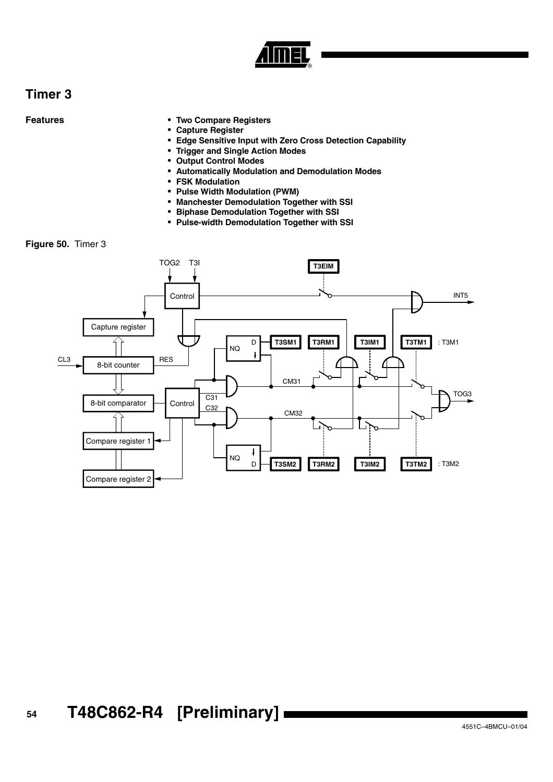

# **Timer 3**

- **Features Two Compare Registers**
	- **Capture Register**
	- **Edge Sensitive Input with Zero Cross Detection Capability**
	- **Trigger and Single Action Modes**
	- **Output Control Modes**
	- **Automatically Modulation and Demodulation Modes**
	- **FSK Modulation**
	- **Pulse Width Modulation (PWM)**
	- **Manchester Demodulation Together with SSI**
	- **Biphase Demodulation Together with SSI**
	- **Pulse-width Demodulation Together with SSI**

**Figure 50.** Timer 3

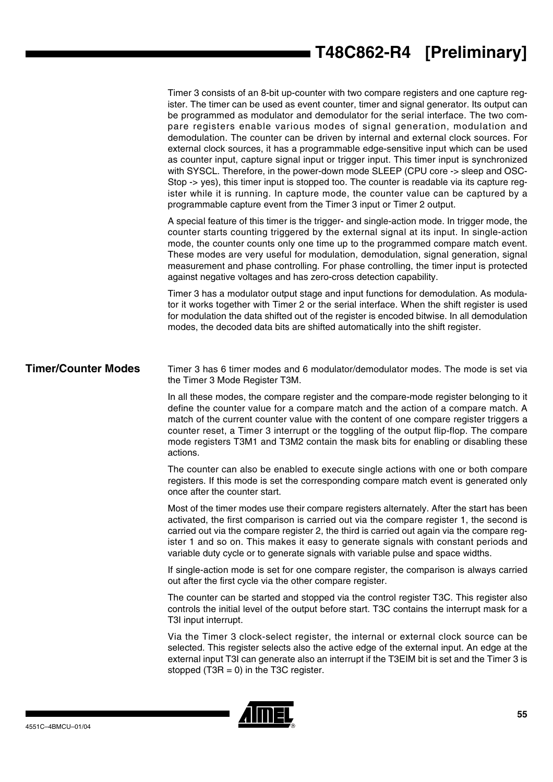Timer 3 consists of an 8-bit up-counter with two compare registers and one capture register. The timer can be used as event counter, timer and signal generator. Its output can be programmed as modulator and demodulator for the serial interface. The two compare registers enable various modes of signal generation, modulation and demodulation. The counter can be driven by internal and external clock sources. For external clock sources, it has a programmable edge-sensitive input which can be used as counter input, capture signal input or trigger input. This timer input is synchronized with SYSCL. Therefore, in the power-down mode SLEEP (CPU core -> sleep and OSC-Stop -> yes), this timer input is stopped too. The counter is readable via its capture register while it is running. In capture mode, the counter value can be captured by a programmable capture event from the Timer 3 input or Timer 2 output.

A special feature of this timer is the trigger- and single-action mode. In trigger mode, the counter starts counting triggered by the external signal at its input. In single-action mode, the counter counts only one time up to the programmed compare match event. These modes are very useful for modulation, demodulation, signal generation, signal measurement and phase controlling. For phase controlling, the timer input is protected against negative voltages and has zero-cross detection capability.

Timer 3 has a modulator output stage and input functions for demodulation. As modulator it works together with Timer 2 or the serial interface. When the shift register is used for modulation the data shifted out of the register is encoded bitwise. In all demodulation modes, the decoded data bits are shifted automatically into the shift register.

# **Timer/Counter Modes** Timer 3 has 6 timer modes and 6 modulator/demodulator modes. The mode is set via the Timer 3 Mode Register T3M.

In all these modes, the compare register and the compare-mode register belonging to it define the counter value for a compare match and the action of a compare match. A match of the current counter value with the content of one compare register triggers a counter reset, a Timer 3 interrupt or the toggling of the output flip-flop. The compare mode registers T3M1 and T3M2 contain the mask bits for enabling or disabling these actions.

The counter can also be enabled to execute single actions with one or both compare registers. If this mode is set the corresponding compare match event is generated only once after the counter start.

Most of the timer modes use their compare registers alternately. After the start has been activated, the first comparison is carried out via the compare register 1, the second is carried out via the compare register 2, the third is carried out again via the compare register 1 and so on. This makes it easy to generate signals with constant periods and variable duty cycle or to generate signals with variable pulse and space widths.

If single-action mode is set for one compare register, the comparison is always carried out after the first cycle via the other compare register.

The counter can be started and stopped via the control register T3C. This register also controls the initial level of the output before start. T3C contains the interrupt mask for a T3I input interrupt.

Via the Timer 3 clock-select register, the internal or external clock source can be selected. This register selects also the active edge of the external input. An edge at the external input T3I can generate also an interrupt if the T3EIM bit is set and the Timer 3 is stopped  $(T3R = 0)$  in the T3C register.

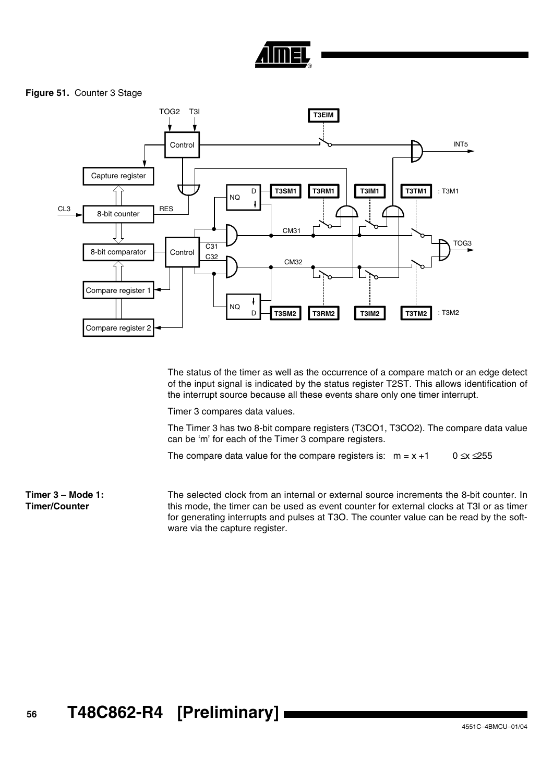# **Figure 51.** Counter 3 Stage



The status of the timer as well as the occurrence of a compare match or an edge detect of the input signal is indicated by the status register T2ST. This allows identification of the interrupt source because all these events share only one timer interrupt.

Timer 3 compares data values.

The Timer 3 has two 8-bit compare registers (T3CO1, T3CO2). The compare data value can be 'm' for each of the Timer 3 compare registers.

The compare data value for the compare registers is:  $m = x +1$  0  $\le x \le 255$ 

**Timer 3 – Mode 1: Timer/Counter** The selected clock from an internal or external source increments the 8-bit counter. In this mode, the timer can be used as event counter for external clocks at T3I or as timer for generating interrupts and pulses at T3O. The counter value can be read by the software via the capture register.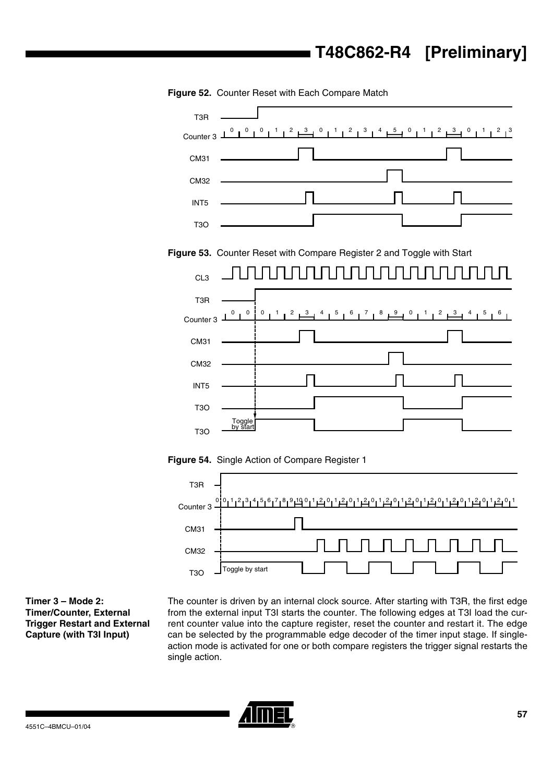

**Figure 52.** Counter Reset with Each Compare Match





**Timer 3 – Mode 2: Timer/Counter, External Trigger Restart and External Capture (with T3I Input)**

The counter is driven by an internal clock source. After starting with T3R, the first edge from the external input T3I starts the counter. The following edges at T3I load the current counter value into the capture register, reset the counter and restart it. The edge can be selected by the programmable edge decoder of the timer input stage. If singleaction mode is activated for one or both compare registers the trigger signal restarts the single action.

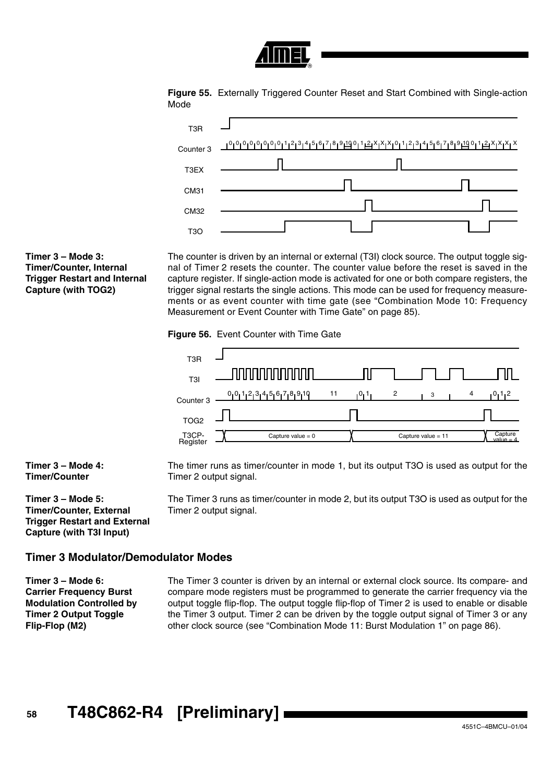





# **Timer 3 – Mode 3: Timer/Counter, Internal Trigger Restart and Internal Capture (with TOG2)**

The counter is driven by an internal or external (T3I) clock source. The output toggle signal of Timer 2 resets the counter. The counter value before the reset is saved in the capture register. If single-action mode is activated for one or both compare registers, the trigger signal restarts the single actions. This mode can be used for frequency measurements or as event counter with time gate (see ["Combination Mode 10: Frequency](#page-84-0) [Measurement or Event Counter with Time Gate" on page 85](#page-84-0)).

**Figure 56.** Event Counter with Time Gate



**Timer 3 – Mode 4: Timer/Counter**

**Timer 3 – Mode 5: Timer/Counter, External Trigger Restart and External Capture (with T3I Input)**

The timer runs as timer/counter in mode 1, but its output T3O is used as output for the Timer 2 output signal.

The Timer 3 runs as timer/counter in mode 2, but its output T3O is used as output for the Timer 2 output signal.

# **Timer 3 Modulator/Demodulator Modes**

**Timer 3 – Mode 6: Carrier Frequency Burst Modulation Controlled by Timer 2 Output Toggle Flip-Flop (M2)**

The Timer 3 counter is driven by an internal or external clock source. Its compare- and compare mode registers must be programmed to generate the carrier frequency via the output toggle flip-flop. The output toggle flip-flop of Timer 2 is used to enable or disable the Timer 3 output. Timer 2 can be driven by the toggle output signal of Timer 3 or any other clock source (see ["Combination Mode 11: Burst Modulation 1" on page 86\)](#page-85-0).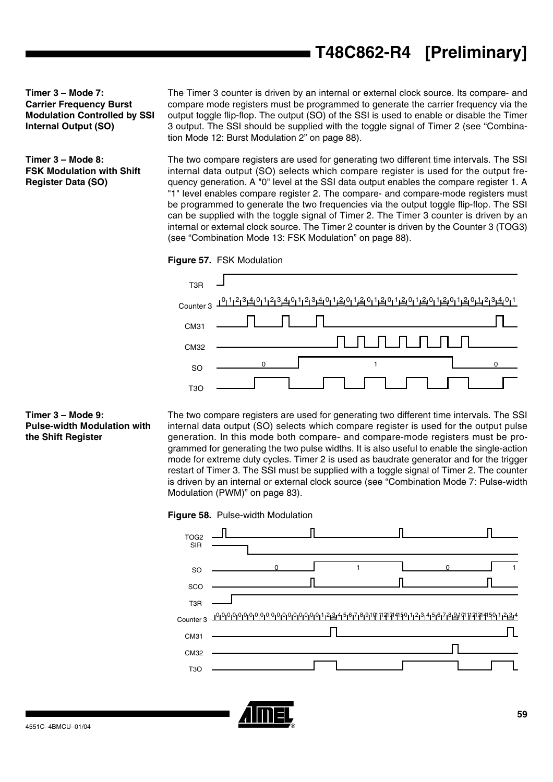**Timer 3 – Mode 7: Carrier Frequency Burst Modulation Controlled by SSI Internal Output (SO)**

**Timer 3 – Mode 8: FSK Modulation with Shift Register Data (SO)**

The Timer 3 counter is driven by an internal or external clock source. Its compare- and compare mode registers must be programmed to generate the carrier frequency via the output toggle flip-flop. The output (SO) of the SSI is used to enable or disable the Timer 3 output. The SSI should be supplied with the toggle signal of Timer 2 (see ["Combina](#page-87-0)[tion Mode 12: Burst Modulation 2" on page 88](#page-87-0)).

The two compare registers are used for generating two different time intervals. The SSI internal data output (SO) selects which compare register is used for the output frequency generation. A "0" level at the SSI data output enables the compare register 1. A "1" level enables compare register 2. The compare- and compare-mode registers must be programmed to generate the two frequencies via the output toggle flip-flop. The SSI can be supplied with the toggle signal of Timer 2. The Timer 3 counter is driven by an internal or external clock source. The Timer 2 counter is driven by the Counter 3 (TOG3) (see ["Combination Mode 13: FSK Modulation" on page 88\)](#page-87-1).





### **Timer 3 – Mode 9: Pulse-width Modulation with the Shift Register**

The two compare registers are used for generating two different time intervals. The SSI internal data output (SO) selects which compare register is used for the output pulse generation. In this mode both compare- and compare-mode registers must be programmed for generating the two pulse widths. It is also useful to enable the single-action mode for extreme duty cycles. Timer 2 is used as baudrate generator and for the trigger restart of Timer 3. The SSI must be supplied with a toggle signal of Timer 2. The counter is driven by an internal or external clock source (see ["Combination Mode 7: Pulse-width](#page-82-0) [Modulation \(PWM\)" on page 83](#page-82-0)).





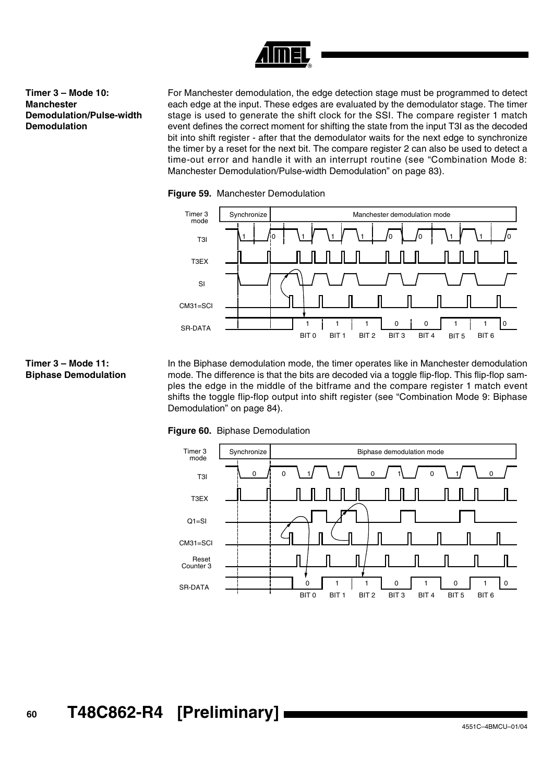

# **Timer 3 – Mode 10: Manchester Demodulation/Pulse-width Demodulation**

For Manchester demodulation, the edge detection stage must be programmed to detect each edge at the input. These edges are evaluated by the demodulator stage. The timer stage is used to generate the shift clock for the SSI. The compare register 1 match event defines the correct moment for shifting the state from the input T3I as the decoded bit into shift register - after that the demodulator waits for the next edge to synchronize the timer by a reset for the next bit. The compare register 2 can also be used to detect a time-out error and handle it with an interrupt routine (see ["Combination Mode 8:](#page-82-1) [Manchester Demodulation/Pulse-width Demodulation" on page 83](#page-82-1)).





# **Timer 3 – Mode 11: Biphase Demodulation**

In the Biphase demodulation mode, the timer operates like in Manchester demodulation mode. The difference is that the bits are decoded via a toggle flip-flop. This flip-flop samples the edge in the middle of the bitframe and the compare register 1 match event shifts the toggle flip-flop output into shift register (see ["Combination Mode 9: Biphase](#page-83-0) [Demodulation" on page 84](#page-83-0)).





# **<sup>60</sup> T48C862-R4 [Preliminary]**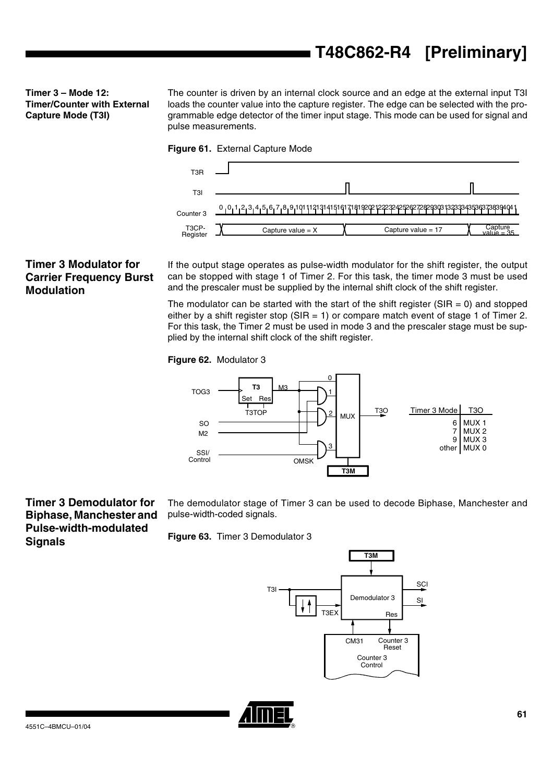**Timer 3 – Mode 12: Timer/Counter with External Capture Mode (T3I)**

The counter is driven by an internal clock source and an edge at the external input T3I loads the counter value into the capture register. The edge can be selected with the programmable edge detector of the timer input stage. This mode can be used for signal and pulse measurements.





# **Timer 3 Modulator for Carrier Frequency Burst Modulation**

If the output stage operates as pulse-width modulator for the shift register, the output can be stopped with stage 1 of Timer 2. For this task, the timer mode 3 must be used and the prescaler must be supplied by the internal shift clock of the shift register.

The modulator can be started with the start of the shift register ( $SIR = 0$ ) and stopped either by a shift register stop ( $SIR = 1$ ) or compare match event of stage 1 of Timer 2. For this task, the Timer 2 must be used in mode 3 and the prescaler stage must be supplied by the internal shift clock of the shift register.

### **Figure 62.** Modulator 3



**Timer 3 Demodulator for Biphase, Manchester and Pulse-width-modulated Signals**

The demodulator stage of Timer 3 can be used to decode Biphase, Manchester and pulse-width-coded signals.

**Figure 63.** Timer 3 Demodulator 3



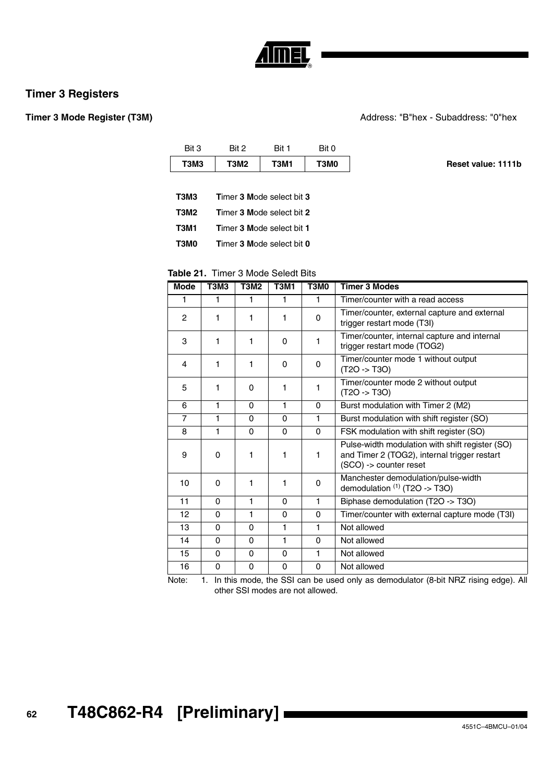

# **Timer 3 Registers**

### **Timer 3 Mode Register (T3M)**  $\qquad$  Address: "B"hex - Subaddress: "0"hex

|                    | Bit 0 | Bit 1                            | Bit 2 | Bit 3       |
|--------------------|-------|----------------------------------|-------|-------------|
| Reset value: 1111b | T3M0  | T3M1                             | T3M2  | T3M3        |
|                    |       |                                  |       |             |
|                    |       | <b>Timer 3 Mode select bit 3</b> |       | <b>T3M3</b> |
|                    |       | Timer 3 Mode select bit 2        |       | <b>T3M2</b> |
|                    |       | <b>Timer 3 Mode select bit 1</b> |       | <b>T3M1</b> |

**T3M0 T**imer **3 M**ode select bit **0**

# **Table 21.** Timer 3 Mode Seledt Bits

| <b>Mode</b>    | <b>T3M3</b> | <b>T3M2</b> | <b>T3M1</b> | T3M0         | <b>Timer 3 Modes</b>                                                                                                      |
|----------------|-------------|-------------|-------------|--------------|---------------------------------------------------------------------------------------------------------------------------|
| 1              |             | 1           | 1           | 1            | Timer/counter with a read access                                                                                          |
| $\overline{2}$ | 1           | 1           | 1           | $\Omega$     | Timer/counter, external capture and external<br>trigger restart mode (T3I)                                                |
| 3              | 1           | 1           | $\Omega$    | 1            | Timer/counter, internal capture and internal<br>trigger restart mode (TOG2)                                               |
| 4              | 1           | 1           | 0           | 0            | Timer/counter mode 1 without output<br>$(T2O - > T3O)$                                                                    |
| 5              | 1           | $\Omega$    | 1           | 1            | Timer/counter mode 2 without output<br>$(T2O - > T3O)$                                                                    |
| 6              | 1           | $\Omega$    | 1           | $\Omega$     | Burst modulation with Timer 2 (M2)                                                                                        |
| 7              | 1           | $\Omega$    | 0           | 1            | Burst modulation with shift register (SO)                                                                                 |
| 8              | 1           | $\Omega$    | $\Omega$    | 0            | FSK modulation with shift register (SO)                                                                                   |
| 9              | $\Omega$    | 1           | 1           | 1            | Pulse-width modulation with shift register (SO)<br>and Timer 2 (TOG2), internal trigger restart<br>(SCO) -> counter reset |
| 10             | $\Omega$    | 1           | 1           | 0            | Manchester demodulation/pulse-width<br>demodulation $(1)$ (T2O -> T3O)                                                    |
| 11             | $\Omega$    | 1           | $\Omega$    | $\mathbf{1}$ | Biphase demodulation (T2O -> T3O)                                                                                         |
| 12             | $\Omega$    | 1           | $\Omega$    | 0            | Timer/counter with external capture mode (T3I)                                                                            |
| 13             | $\Omega$    | $\Omega$    | 1           | 1            | Not allowed                                                                                                               |
| 14             | $\Omega$    | $\Omega$    | 1           | $\Omega$     | Not allowed                                                                                                               |
| 15             | $\Omega$    | $\Omega$    | $\Omega$    | 1            | Not allowed                                                                                                               |
| 16             | $\Omega$    | $\Omega$    | 0           | $\Omega$     | Not allowed                                                                                                               |

Note: 1. In this mode, the SSI can be used only as demodulator (8-bit NRZ rising edge). All other SSI modes are not allowed.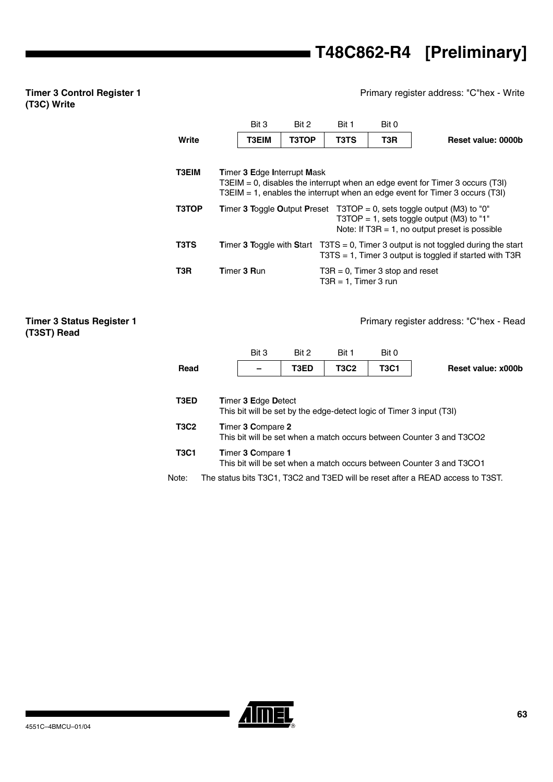# **T48C862-R4 [Preliminary]**

## Primary register address: "C"hex - Write

## **Timer 3 Control Register 1 (T3C) Write**

**Timer 3 Status Register 1** 

**(T3ST) Read**

|                     |                                                                                                                                                                                                        | Bit 3        | Bit 2 | Bit 1                         | Bit 0       |                    |  |  |  |  |  |
|---------------------|--------------------------------------------------------------------------------------------------------------------------------------------------------------------------------------------------------|--------------|-------|-------------------------------|-------------|--------------------|--|--|--|--|--|
| Write               |                                                                                                                                                                                                        | <b>T3EIM</b> | T3TOP | T <sub>3</sub> T <sub>S</sub> | T3R         | Reset value: 0000b |  |  |  |  |  |
| T3EIM               | <b>Timer 3 Edge Interrupt Mask</b><br>T3EIM $= 0$ , disables the interrupt when an edge event for Timer 3 occurs (T3I)<br>T3EIM = 1, enables the interrupt when an edge event for Timer 3 occurs (T3I) |              |       |                               |             |                    |  |  |  |  |  |
| <b>T3TOP</b>        | T3TOP = 0, sets toggle output (M3) to "0"<br><b>Timer 3 Toggle Output Preset</b><br>T3TOP = 1, sets toggle output (M3) to "1"<br>Note: If $T3R = 1$ , no output preset is possible                     |              |       |                               |             |                    |  |  |  |  |  |
| T3TS                | <b>Timer 3 Toggle with Start</b><br>$T3TS = 0$ , Timer 3 output is not toggled during the start<br>$T3TS = 1$ , Timer 3 output is toggled if started with T3R                                          |              |       |                               |             |                    |  |  |  |  |  |
| T <sub>3</sub> R    | Timer 3 Run<br>$T3R = 0$ , Timer 3 stop and reset<br>$T3R = 1$ , Timer 3 run                                                                                                                           |              |       |                               |             |                    |  |  |  |  |  |
|                     | Primary register address: "C"hex - Read                                                                                                                                                                |              |       |                               |             |                    |  |  |  |  |  |
|                     |                                                                                                                                                                                                        | Bit 3        | Bit 2 | Bit 1                         | Bit 0       |                    |  |  |  |  |  |
| Read                |                                                                                                                                                                                                        |              | T3ED  | <b>T3C2</b>                   | <b>T3C1</b> | Reset value: x000b |  |  |  |  |  |
| T3ED<br><b>T3C2</b> | <b>Timer 3 Edge Detect</b><br>This bit will be set by the edge-detect logic of Timer 3 input (T3I)<br>Timer 3 Compare 2<br>This bit will be set when a match occurs between Counter 3 and T3CO2        |              |       |                               |             |                    |  |  |  |  |  |
| <b>T3C1</b>         | Timer 3 Compare 1                                                                                                                                                                                      |              |       |                               |             |                    |  |  |  |  |  |

This bit will be set when a match occurs between Counter 3 and T3CO1

Note: The status bits T3C1, T3C2 and T3ED will be reset after a READ access to T3ST.

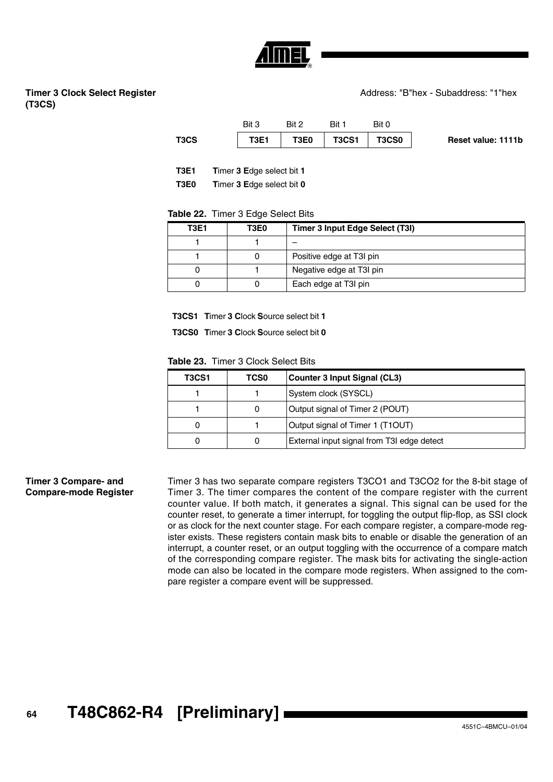

# **Timer 3 Clock Select Register (T3CS)**

| T3CS | <b>T3E1</b> | T3E0  | T3CS1 | T3CS0 | <b>Reset value: 1111b</b> |
|------|-------------|-------|-------|-------|---------------------------|
|      | Bit 3       | Bit 2 | Rit 1 | Bit 0 |                           |

**T3E1 T**imer **3 E**dge select bit **1**

**T3E0 T**imer **3 E**dge select bit **0**

### **Table 22.** Timer 3 Edge Select Bits

| <b>T3E1</b> | T3E0 | <b>Timer 3 Input Edge Select (T3I)</b> |
|-------------|------|----------------------------------------|
|             |      |                                        |
|             |      | Positive edge at T3I pin               |
| 0           |      | Negative edge at T3I pin               |
|             |      | Each edge at T3I pin                   |

**T3CS1 T**imer **3 C**lock **S**ource select bit **1**

**T3CS0 T**imer **3 C**lock **S**ource select bit **0**

**Table 23.** Timer 3 Clock Select Bits

| T3CS1 | <b>TCS0</b> | Counter 3 Input Signal (CL3)               |
|-------|-------------|--------------------------------------------|
|       |             | System clock (SYSCL)                       |
|       | O           | Output signal of Timer 2 (POUT)            |
| 0     |             | Output signal of Timer 1 (T1OUT)           |
|       |             | External input signal from T3I edge detect |

**Timer 3 Compare- and Compare-mode Register** Timer 3 has two separate compare registers T3CO1 and T3CO2 for the 8-bit stage of Timer 3. The timer compares the content of the compare register with the current counter value. If both match, it generates a signal. This signal can be used for the counter reset, to generate a timer interrupt, for toggling the output flip-flop, as SSI clock or as clock for the next counter stage. For each compare register, a compare-mode register exists. These registers contain mask bits to enable or disable the generation of an interrupt, a counter reset, or an output toggling with the occurrence of a compare match of the corresponding compare register. The mask bits for activating the single-action mode can also be located in the compare mode registers. When assigned to the compare register a compare event will be suppressed.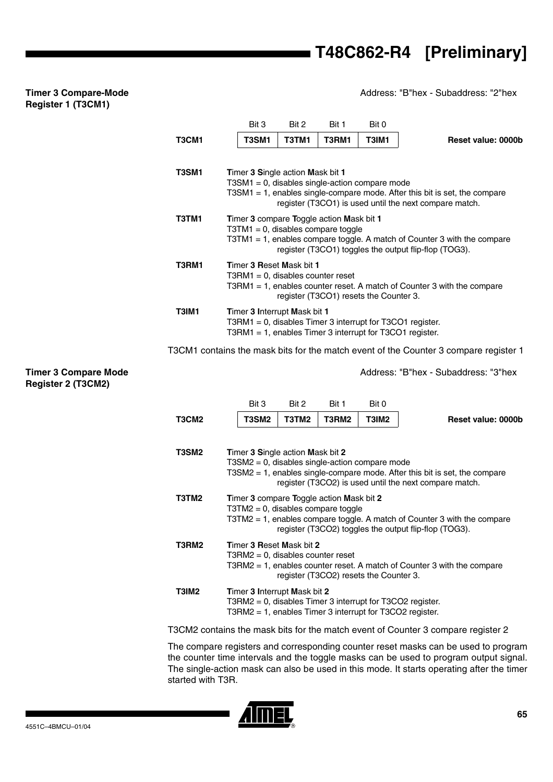Address: "B"hex - Subaddress: "2"hex

Address: "B"hex - Subaddress: "3"hex

# Bit 3 Bit 2 Bit 1 Bit 0 **T3CM1 T3SM1 T3TM1 T3RM1 T3IM1 Reset value: 0000b T3SM1 T**imer **3 S**ingle action **M**ask bit **1** T3SM1 = 0, disables single-action compare mode T3SM1 = 1, enables single-compare mode. After this bit is set, the compare register (T3CO1) is used until the next compare match. **T3TM1 T**imer **3** compare **T**oggle action **M**ask bit **1**  $T3TM1 = 0$ , disables compare toggle T3TM1 = 1, enables compare toggle. A match of Counter 3 with the compare register (T3CO1) toggles the output flip-flop (TOG3). **T3RM1 T**imer **3 R**eset **M**ask bit **1** T3RM1 = 0, disables counter reset T3RM1 = 1, enables counter reset. A match of Counter 3 with the compare register (T3CO1) resets the Counter 3. **T3IM1 T**imer **3 I**nterrupt **M**ask bit **1** T3RM1 = 0, disables Timer 3 interrupt for T3CO1 register. T3RM1 = 1, enables Timer 3 interrupt for T3CO1 register.

T3CM1 contains the mask bits for the match event of the Counter 3 compare register 1

### **Timer 3 Compare Mode Register 2 (T3CM2)**

**Timer 3 Compare-Mode Register 1 (T3CM1)**

> Bit 3 Bit 2 Bit 1 Bit 0 **T3CM2 T3SM2 T3TM2 T3RM2 T3IM2 Reset value: 0000b T3SM2 T**imer **3 S**ingle action **M**ask bit **2** T3SM2 = 0, disables single-action compare mode T3SM2 = 1, enables single-compare mode. After this bit is set, the compare register (T3CO2) is used until the next compare match. **T3TM2 T**imer **3** compare **T**oggle action **M**ask bit **2**  $T3TM2 = 0$ , disables compare toggle T3TM2 = 1, enables compare toggle. A match of Counter 3 with the compare register (T3CO2) toggles the output flip-flop (TOG3). **T3RM2 T**imer **3 R**eset **M**ask bit **2** T3RM2 = 0, disables counter reset T3RM2 = 1, enables counter reset. A match of Counter 3 with the compare register (T3CO2) resets the Counter 3. **T3IM2 T**imer **3 I**nterrupt **M**ask bit **2** T3RM2 = 0, disables Timer 3 interrupt for T3CO2 register. T3RM2 = 1, enables Timer 3 interrupt for T3CO2 register.

T3CM2 contains the mask bits for the match event of Counter 3 compare register 2

The compare registers and corresponding counter reset masks can be used to program the counter time intervals and the toggle masks can be used to program output signal. The single-action mask can also be used in this mode. It starts operating after the timer started with T3R.

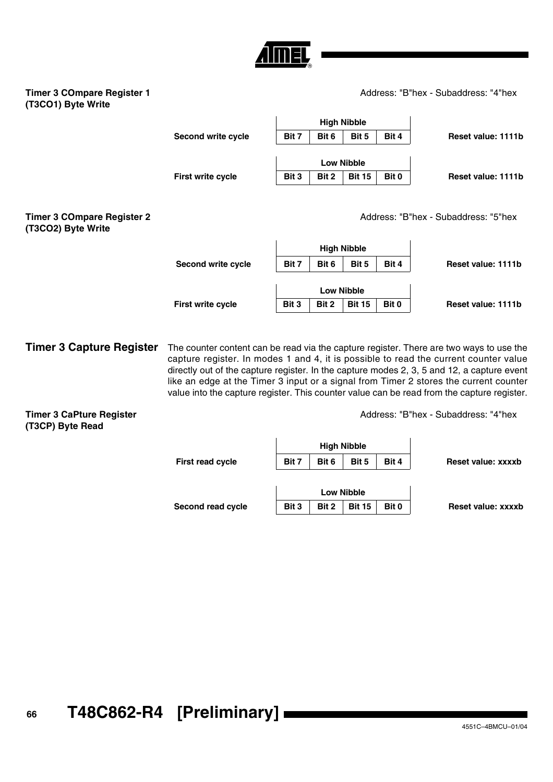# Address: "B"hex - Subaddress: "4"hex

# **Timer 3 COmpare Register 1 (T3CO1) Byte Write**

| Bit 7             | Bit 6 | Bit 5         | Bit 4              | Reset value: 1111b |  |  |
|-------------------|-------|---------------|--------------------|--------------------|--|--|
|                   |       |               |                    |                    |  |  |
| <b>Low Nibble</b> |       |               |                    |                    |  |  |
| Bit 3             | Bit 2 | <b>Bit 15</b> | Bit 0              | Reset value: 1111b |  |  |
|                   |       |               | <b>High Nibble</b> |                    |  |  |

Address: "B"hex - Subaddress: "5"hex

| <b>Timer 3 COmpare Register 2</b> |
|-----------------------------------|
| (T3CO2) Byte Write                |

|                    |       |                   | <b>High Nibble</b> |       |                    |
|--------------------|-------|-------------------|--------------------|-------|--------------------|
| Second write cycle | Bit 7 | Bit 6             | Bit 5              | Bit 4 | Reset value: 1111b |
|                    |       |                   |                    |       |                    |
|                    |       | <b>Low Nibble</b> |                    |       |                    |
| First write cycle  | Bit 3 | Bit 2             | <b>Bit 15</b>      | Bit 0 | Reset value: 1111b |

**Timer 3 Capture Register** The counter content can be read via the capture register. There are two ways to use the capture register. In modes 1 and 4, it is possible to read the current counter value directly out of the capture register. In the capture modes 2, 3, 5 and 12, a capture event like an edge at the Timer 3 input or a signal from Timer 2 stores the current counter value into the capture register. This counter value can be read from the capture register.

**Timer 3 CaPture Register (T3CP) Byte Read**

Address: "B"hex - Subaddress: "4"hex

|                         |       |       | <b>High Nibble</b> |       |                    |
|-------------------------|-------|-------|--------------------|-------|--------------------|
| <b>First read cycle</b> | Bit 7 | Bit 6 | Bit 5              | Bit 4 | Reset value: xxxxb |
|                         |       |       |                    |       |                    |
|                         |       |       | <b>Low Nibble</b>  |       |                    |
| Second read cycle       | Bit 3 | Bit 2 | <b>Bit 15</b>      | Bit 0 | Reset value: xxxxb |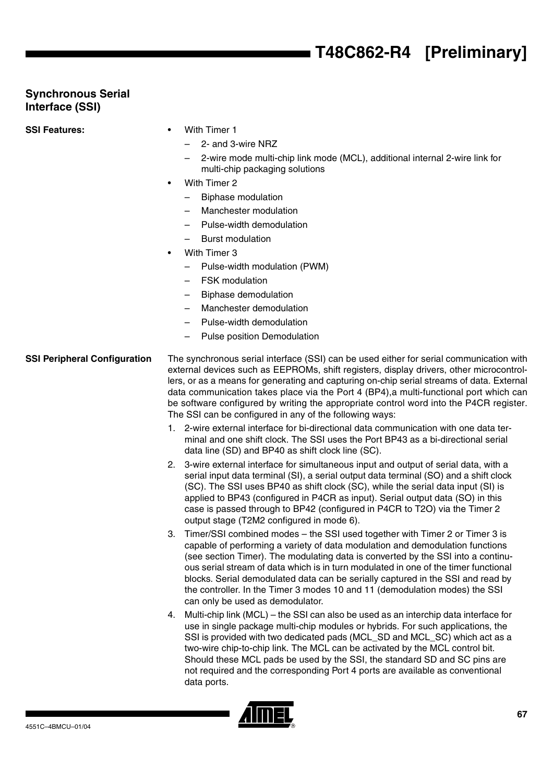# **T48C862-R4 [Preliminary]**

# **Synchronous Serial Interface (SSI)**

**SSI Features:** • With Timer 1

- - 2- and 3-wire NRZ
	- 2-wire mode multi-chip link mode (MCL), additional internal 2-wire link for multi-chip packaging solutions
- With Timer 2
	- Biphase modulation
	- Manchester modulation
	- Pulse-width demodulation
	- Burst modulation
- With Timer 3
	- Pulse-width modulation (PWM)
	- FSK modulation
	- Biphase demodulation
	- Manchester demodulation
	- Pulse-width demodulation
	- Pulse position Demodulation

# <span id="page-66-0"></span>**SSI Peripheral Configuration** The synchronous serial interface (SSI) can be used either for serial communication with external devices such as EEPROMs, shift registers, display drivers, other microcontrollers, or as a means for generating and capturing on-chip serial streams of data. External data communication takes place via the Port 4 (BP4),a multi-functional port which can be software configured by writing the appropriate control word into the P4CR register. The SSI can be configured in any of the following ways:

- 1. 2-wire external interface for bi-directional data communication with one data terminal and one shift clock. The SSI uses the Port BP43 as a bi-directional serial data line (SD) and BP40 as shift clock line (SC).
- 2. 3-wire external interface for simultaneous input and output of serial data, with a serial input data terminal (SI), a serial output data terminal (SO) and a shift clock (SC). The SSI uses BP40 as shift clock (SC), while the serial data input (SI) is applied to BP43 (configured in P4CR as input). Serial output data (SO) in this case is passed through to BP42 (configured in P4CR to T2O) via the Timer 2 output stage (T2M2 configured in mode 6).
- 3. Timer/SSI combined modes the SSI used together with Timer 2 or Timer 3 is capable of performing a variety of data modulation and demodulation functions (see section Timer). The modulating data is converted by the SSI into a continuous serial stream of data which is in turn modulated in one of the timer functional blocks. Serial demodulated data can be serially captured in the SSI and read by the controller. In the Timer 3 modes 10 and 11 (demodulation modes) the SSI can only be used as demodulator.
- 4. Multi-chip link (MCL) the SSI can also be used as an interchip data interface for use in single package multi-chip modules or hybrids. For such applications, the SSI is provided with two dedicated pads (MCL\_SD and MCL\_SC) which act as a two-wire chip-to-chip link. The MCL can be activated by the MCL control bit. Should these MCL pads be used by the SSI, the standard SD and SC pins are not required and the corresponding Port 4 ports are available as conventional data ports.

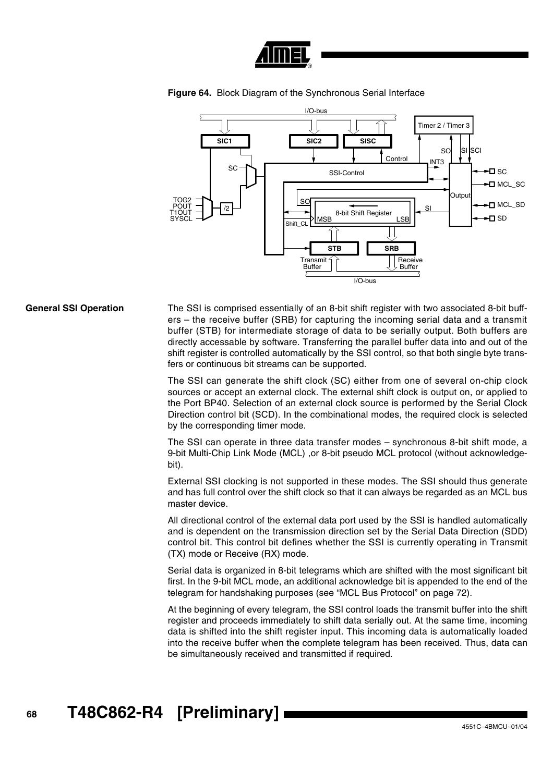





**General SSI Operation** The SSI is comprised essentially of an 8-bit shift register with two associated 8-bit buffers – the receive buffer (SRB) for capturing the incoming serial data and a transmit buffer (STB) for intermediate storage of data to be serially output. Both buffers are directly accessable by software. Transferring the parallel buffer data into and out of the shift register is controlled automatically by the SSI control, so that both single byte transfers or continuous bit streams can be supported.

> The SSI can generate the shift clock (SC) either from one of several on-chip clock sources or accept an external clock. The external shift clock is output on, or applied to the Port BP40. Selection of an external clock source is performed by the Serial Clock Direction control bit (SCD). In the combinational modes, the required clock is selected by the corresponding timer mode.

> The SSI can operate in three data transfer modes – synchronous 8-bit shift mode, a 9-bit Multi-Chip Link Mode (MCL), or 8-bit pseudo MCL protocol (without acknowledgebit).

> External SSI clocking is not supported in these modes. The SSI should thus generate and has full control over the shift clock so that it can always be regarded as an MCL bus master device.

> All directional control of the external data port used by the SSI is handled automatically and is dependent on the transmission direction set by the Serial Data Direction (SDD) control bit. This control bit defines whether the SSI is currently operating in Transmit (TX) mode or Receive (RX) mode.

> Serial data is organized in 8-bit telegrams which are shifted with the most significant bit first. In the 9-bit MCL mode, an additional acknowledge bit is appended to the end of the telegram for handshaking purposes (see ["MCL Bus Protocol" on page 72](#page-71-0)).

> At the beginning of every telegram, the SSI control loads the transmit buffer into the shift register and proceeds immediately to shift data serially out. At the same time, incoming data is shifted into the shift register input. This incoming data is automatically loaded into the receive buffer when the complete telegram has been received. Thus, data can be simultaneously received and transmitted if required.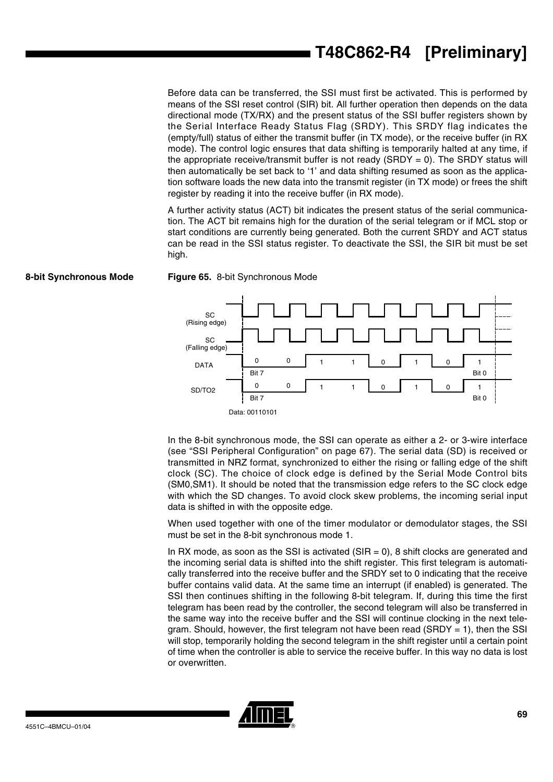Before data can be transferred, the SSI must first be activated. This is performed by means of the SSI reset control (SIR) bit. All further operation then depends on the data directional mode (TX/RX) and the present status of the SSI buffer registers shown by the Serial Interface Ready Status Flag (SRDY). This SRDY flag indicates the (empty/full) status of either the transmit buffer (in TX mode), or the receive buffer (in RX mode). The control logic ensures that data shifting is temporarily halted at any time, if the appropriate receive/transmit buffer is not ready (SRDY = 0). The SRDY status will then automatically be set back to '1' and data shifting resumed as soon as the application software loads the new data into the transmit register (in TX mode) or frees the shift register by reading it into the receive buffer (in RX mode).

A further activity status (ACT) bit indicates the present status of the serial communication. The ACT bit remains high for the duration of the serial telegram or if MCL stop or start conditions are currently being generated. Both the current SRDY and ACT status can be read in the SSI status register. To deactivate the SSI, the SIR bit must be set high.



**8-bit Synchronous Mode Figure 65.** 8-bit Synchronous Mode

In the 8-bit synchronous mode, the SSI can operate as either a 2- or 3-wire interface (see ["SSI Peripheral Configuration" on page 67](#page-66-0)). The serial data (SD) is received or transmitted in NRZ format, synchronized to either the rising or falling edge of the shift clock (SC). The choice of clock edge is defined by the Serial Mode Control bits (SM0,SM1). It should be noted that the transmission edge refers to the SC clock edge with which the SD changes. To avoid clock skew problems, the incoming serial input data is shifted in with the opposite edge.

When used together with one of the timer modulator or demodulator stages, the SSI must be set in the 8-bit synchronous mode 1.

In RX mode, as soon as the SSI is activated ( $SIR = 0$ ), 8 shift clocks are generated and the incoming serial data is shifted into the shift register. This first telegram is automatically transferred into the receive buffer and the SRDY set to 0 indicating that the receive buffer contains valid data. At the same time an interrupt (if enabled) is generated. The SSI then continues shifting in the following 8-bit telegram. If, during this time the first telegram has been read by the controller, the second telegram will also be transferred in the same way into the receive buffer and the SSI will continue clocking in the next telegram. Should, however, the first telegram not have been read (SRDY  $= 1$ ), then the SSI will stop, temporarily holding the second telegram in the shift register until a certain point of time when the controller is able to service the receive buffer. In this way no data is lost or overwritten.

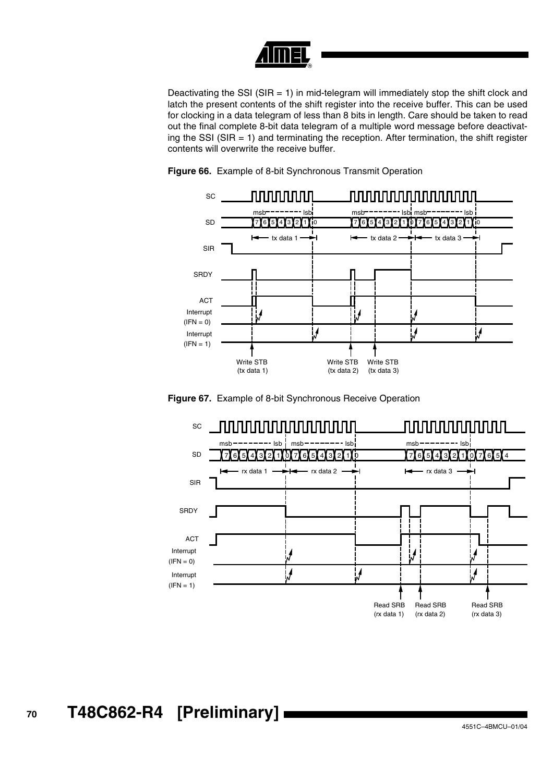

Deactivating the SSI (SIR  $= 1$ ) in mid-telegram will immediately stop the shift clock and latch the present contents of the shift register into the receive buffer. This can be used for clocking in a data telegram of less than 8 bits in length. Care should be taken to read out the final complete 8-bit data telegram of a multiple word message before deactivating the SSI (SIR  $=$  1) and terminating the reception. After termination, the shift register contents will overwrite the receive buffer.



**Figure 66.** Example of 8-bit Synchronous Transmit Operation

**Figure 67.** Example of 8-bit Synchronous Receive Operation



# **<sup>70</sup> T48C862-R4 [Preliminary]**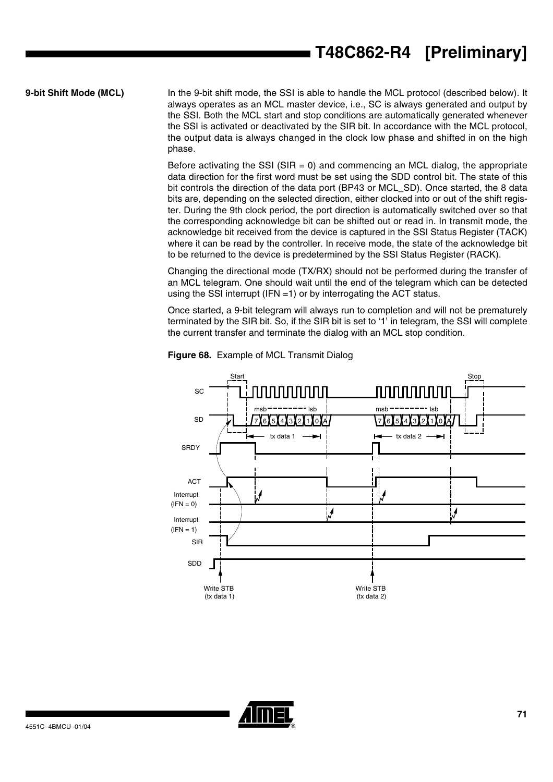**9-bit Shift Mode (MCL)** In the 9-bit shift mode, the SSI is able to handle the MCL protocol (described below). It always operates as an MCL master device, i.e., SC is always generated and output by the SSI. Both the MCL start and stop conditions are automatically generated whenever the SSI is activated or deactivated by the SIR bit. In accordance with the MCL protocol, the output data is always changed in the clock low phase and shifted in on the high phase.

> Before activating the SSI (SIR  $= 0$ ) and commencing an MCL dialog, the appropriate data direction for the first word must be set using the SDD control bit. The state of this bit controls the direction of the data port (BP43 or MCL\_SD). Once started, the 8 data bits are, depending on the selected direction, either clocked into or out of the shift register. During the 9th clock period, the port direction is automatically switched over so that the corresponding acknowledge bit can be shifted out or read in. In transmit mode, the acknowledge bit received from the device is captured in the SSI Status Register (TACK) where it can be read by the controller. In receive mode, the state of the acknowledge bit to be returned to the device is predetermined by the SSI Status Register (RACK).

> Changing the directional mode (TX/RX) should not be performed during the transfer of an MCL telegram. One should wait until the end of the telegram which can be detected using the SSI interrupt (IFN =1) or by interrogating the ACT status.

> Once started, a 9-bit telegram will always run to completion and will not be prematurely terminated by the SIR bit. So, if the SIR bit is set to '1' in telegram, the SSI will complete the current transfer and terminate the dialog with an MCL stop condition.



**Figure 68.** Example of MCL Transmit Dialog

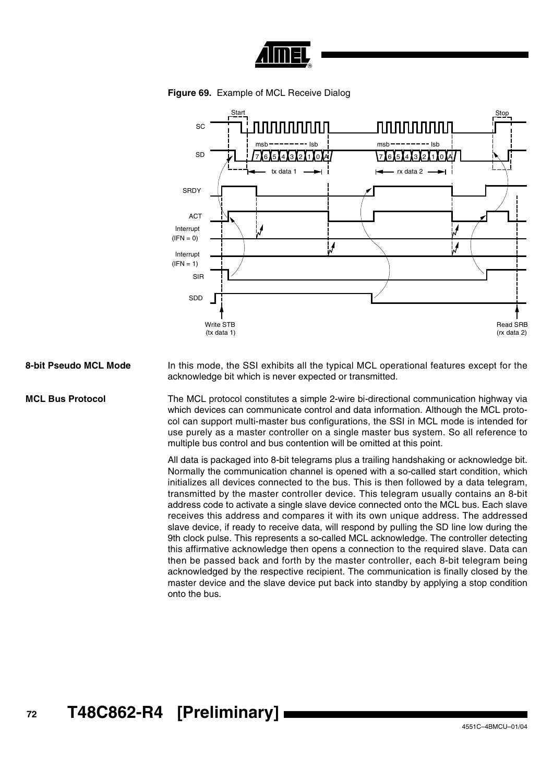





8-bit Pseudo MCL Mode In this mode, the SSI exhibits all the typical MCL operational features except for the acknowledge bit which is never expected or transmitted.

<span id="page-71-0"></span>**MCL Bus Protocol** The MCL protocol constitutes a simple 2-wire bi-directional communication highway via which devices can communicate control and data information. Although the MCL protocol can support multi-master bus configurations, the SSI in MCL mode is intended for use purely as a master controller on a single master bus system. So all reference to multiple bus control and bus contention will be omitted at this point.

> All data is packaged into 8-bit telegrams plus a trailing handshaking or acknowledge bit. Normally the communication channel is opened with a so-called start condition, which initializes all devices connected to the bus. This is then followed by a data telegram, transmitted by the master controller device. This telegram usually contains an 8-bit address code to activate a single slave device connected onto the MCL bus. Each slave receives this address and compares it with its own unique address. The addressed slave device, if ready to receive data, will respond by pulling the SD line low during the 9th clock pulse. This represents a so-called MCL acknowledge. The controller detecting this affirmative acknowledge then opens a connection to the required slave. Data can then be passed back and forth by the master controller, each 8-bit telegram being acknowledged by the respective recipient. The communication is finally closed by the master device and the slave device put back into standby by applying a stop condition onto the bus.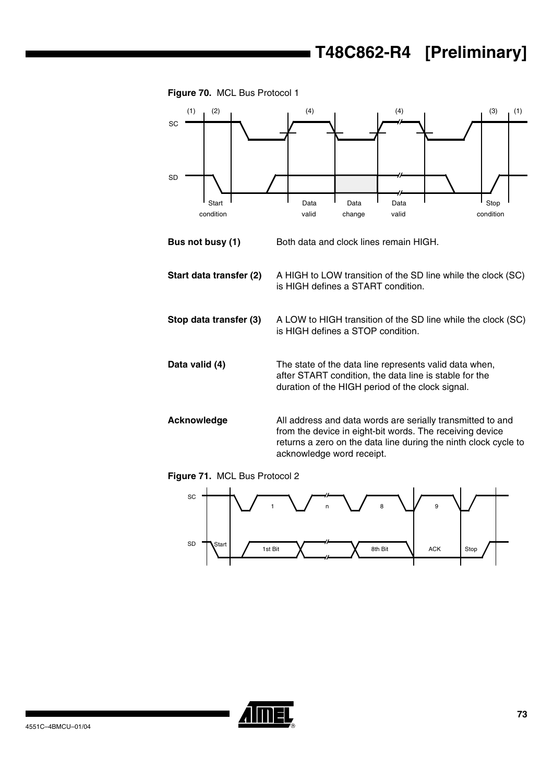



- **Bus not busy (1)** Both data and clock lines remain HIGH. **Start data transfer (2)** A HIGH to LOW transition of the SD line while the clock (SC) is HIGH defines a START condition.
- **Stop data transfer (3)** A LOW to HIGH transition of the SD line while the clock (SC) is HIGH defines a STOP condition.
- **Data valid (4)** The state of the data line represents valid data when, after START condition, the data line is stable for the duration of the HIGH period of the clock signal.
- **Acknowledge** All address and data words are serially transmitted to and from the device in eight-bit words. The receiving device returns a zero on the data line during the ninth clock cycle to acknowledge word receipt.

**Figure 71.** MCL Bus Protocol 2



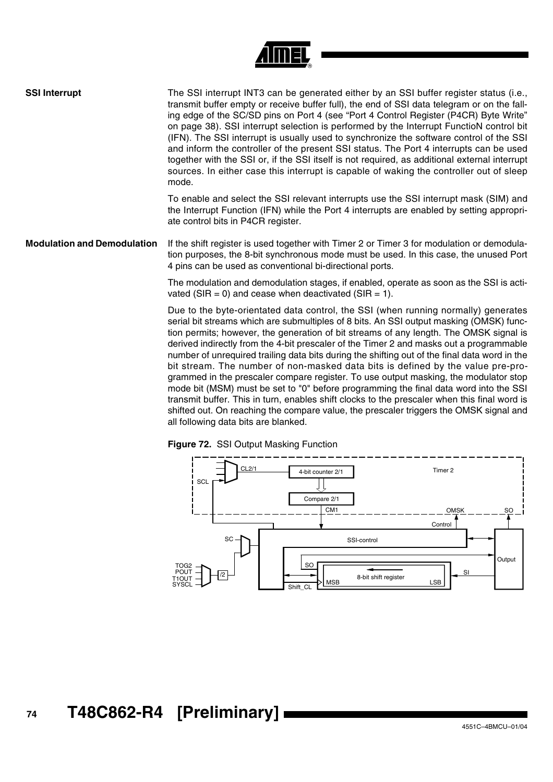| <b>SSI Interrupt</b>               | The SSI interrupt INT3 can be generated either by an SSI buffer register status (i.e.,<br>transmit buffer empty or receive buffer full), the end of SSI data telegram or on the fall-<br>ing edge of the SC/SD pins on Port 4 (see "Port 4 Control Register (P4CR) Byte Write"<br>on page 38). SSI interrupt selection is performed by the Interrupt FunctioN control bit<br>(IFN). The SSI interrupt is usually used to synchronize the software control of the SSI<br>and inform the controller of the present SSI status. The Port 4 interrupts can be used<br>together with the SSI or, if the SSI itself is not required, as additional external interrupt<br>sources. In either case this interrupt is capable of waking the controller out of sleep<br>mode. |
|------------------------------------|---------------------------------------------------------------------------------------------------------------------------------------------------------------------------------------------------------------------------------------------------------------------------------------------------------------------------------------------------------------------------------------------------------------------------------------------------------------------------------------------------------------------------------------------------------------------------------------------------------------------------------------------------------------------------------------------------------------------------------------------------------------------|
|                                    | To enable and select the SSI relevant interrupts use the SSI interrupt mask (SIM) and<br>the Interrupt Function (IFN) while the Port 4 interrupts are enabled by setting appropri-<br>ate control bits in P4CR register.                                                                                                                                                                                                                                                                                                                                                                                                                                                                                                                                            |
| <b>Modulation and Demodulation</b> | If the shift register is used together with Timer 2 or Timer 3 for modulation or demodula-<br>tion purposes, the 8-bit synchronous mode must be used. In this case, the unused Port<br>4 pins can be used as conventional bi-directional ports.                                                                                                                                                                                                                                                                                                                                                                                                                                                                                                                     |
|                                    | The modulation and demodulation stages, if enabled, operate as soon as the SSI is acti-<br>vated (SIR = 0) and cease when deactivated (SIR = 1).                                                                                                                                                                                                                                                                                                                                                                                                                                                                                                                                                                                                                    |
|                                    | Due to the byte-orientated data control, the SSI (when running normally) generates                                                                                                                                                                                                                                                                                                                                                                                                                                                                                                                                                                                                                                                                                  |

serial bit streams which are submultiples of 8 bits. An SSI output masking (OMSK) function permits; however, the generation of bit streams of any length. The OMSK signal is derived indirectly from the 4-bit prescaler of the Timer 2 and masks out a programmable number of unrequired trailing data bits during the shifting out of the final data word in the bit stream. The number of non-masked data bits is defined by the value pre-programmed in the prescaler compare register. To use output masking, the modulator stop mode bit (MSM) must be set to "0" before programming the final data word into the SSI transmit buffer. This in turn, enables shift clocks to the prescaler when this final word is shifted out. On reaching the compare value, the prescaler triggers the OMSK signal and all following data bits are blanked.





# **<sup>74</sup> T48C862-R4 [Preliminary]**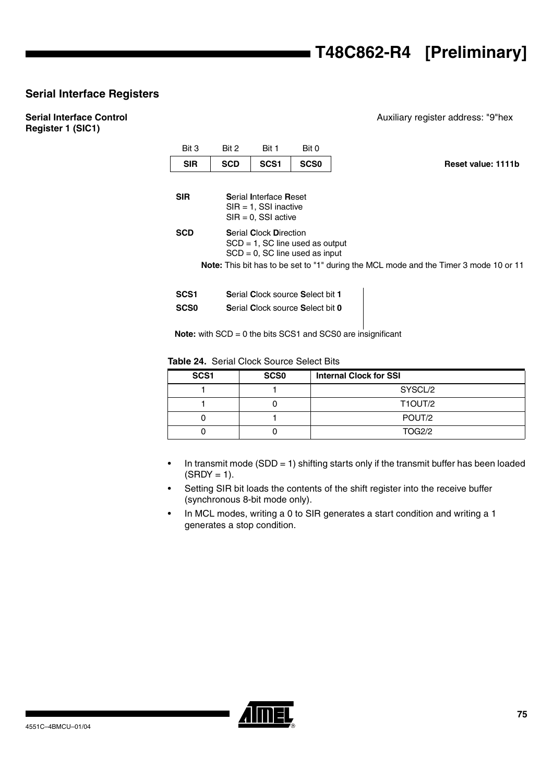Auxiliary register address: "9"hex

## **Serial Interface Registers**

## **Serial Interface Control Register 1 (SIC1)**

| Bit 3            | Bit 2                                                                                                      | Bit 1                                                                        | Bit 0                            |                                                                                              |  |  |  |  |
|------------------|------------------------------------------------------------------------------------------------------------|------------------------------------------------------------------------------|----------------------------------|----------------------------------------------------------------------------------------------|--|--|--|--|
| <b>SIR</b>       | <b>SCD</b>                                                                                                 | SCS <sub>1</sub>                                                             | <b>SCS0</b>                      | Reset value: 1111b                                                                           |  |  |  |  |
|                  |                                                                                                            |                                                                              |                                  |                                                                                              |  |  |  |  |
| <b>SIR</b>       |                                                                                                            | Serial Interface Reset<br>$SIR = 1$ , SSI inactive<br>$SIR = 0$ , SSI active |                                  |                                                                                              |  |  |  |  |
| SCD              | <b>Serial Clock Direction</b><br>$SCD = 1$ , SC line used as output<br>$SCD = 0$ , $SC$ line used as input |                                                                              |                                  |                                                                                              |  |  |  |  |
|                  |                                                                                                            |                                                                              |                                  | <b>Note:</b> This bit has to be set to "1" during the MCL mode and the Timer 3 mode 10 or 11 |  |  |  |  |
| SCS <sub>1</sub> |                                                                                                            |                                                                              | Serial Clock source Select bit 1 |                                                                                              |  |  |  |  |
| <b>SCS0</b>      |                                                                                                            |                                                                              | Serial Clock source Select bit 0 |                                                                                              |  |  |  |  |

**Note:** with SCD = 0 the bits SCS1 and SCS0 are insignificant

## **Table 24.** Serial Clock Source Select Bits

| SCS <sub>1</sub> | <b>SCS0</b> | <b>Internal Clock for SSI</b> |
|------------------|-------------|-------------------------------|
|                  |             | SYSCL/2                       |
|                  |             | <b>T1OUT/2</b>                |
|                  |             | POUT/2                        |
|                  |             | <b>TOG2/2</b>                 |

- In transmit mode (SDD = 1) shifting starts only if the transmit buffer has been loaded  $(SRDY = 1).$
- Setting SIR bit loads the contents of the shift register into the receive buffer (synchronous 8-bit mode only).
- In MCL modes, writing a 0 to SIR generates a start condition and writing a 1 generates a stop condition.

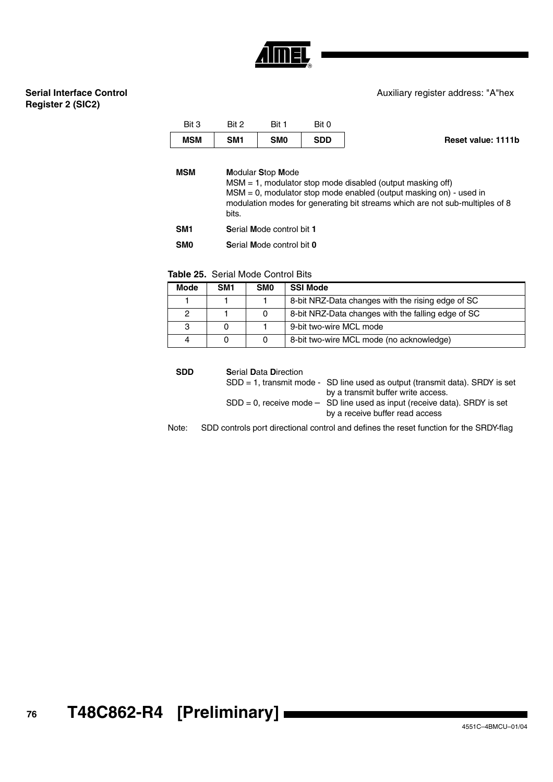#### Auxiliary register address: "A"hex

## **Serial Interface Control Register 2 (SIC2)**

| Bit 3      | Bit 2 | Bit 1           | Bit 0      |                    |
|------------|-------|-----------------|------------|--------------------|
| <b>MSM</b> | SM1   | SM <sub>0</sub> | <b>SDD</b> | Reset value: 1111b |

| MSM |  |  | <b>Modular Stop Mode</b> |  |  |
|-----|--|--|--------------------------|--|--|
|     |  |  |                          |  |  |

MSM = 1, modulator stop mode disabled (output masking off) MSM = 0, modulator stop mode enabled (output masking on) - used in modulation modes for generating bit streams which are not sub-multiples of 8 bits.

**SM1 S**erial **M**ode control bit **1**

**SM0 S**erial **M**ode control bit **0**

| <b>Table 25.</b> Serial Mode Control Bits |  |
|-------------------------------------------|--|
|-------------------------------------------|--|

| <b>Mode</b> | SM <sub>1</sub> | <b>SMO</b> | <b>SSI Mode</b>                                    |
|-------------|-----------------|------------|----------------------------------------------------|
|             |                 |            | 8-bit NRZ-Data changes with the rising edge of SC  |
| 2           |                 | 0          | 8-bit NRZ-Data changes with the falling edge of SC |
| 3           |                 |            | 9-bit two-wire MCL mode                            |
| 4           |                 | 0          | 8-bit two-wire MCL mode (no acknowledge)           |

Note: SDD controls port directional control and defines the reset function for the SRDY-flag **SDD S**erial **D**ata **D**irection SDD = 1, transmit mode - SD line used as output (transmit data). SRDY is set by a transmit buffer write access.  $SDD = 0$ , receive mode  $-$  SD line used as input (receive data). SRDY is set by a receive buffer read access

**<sup>76</sup> T48C862-R4 [Preliminary]**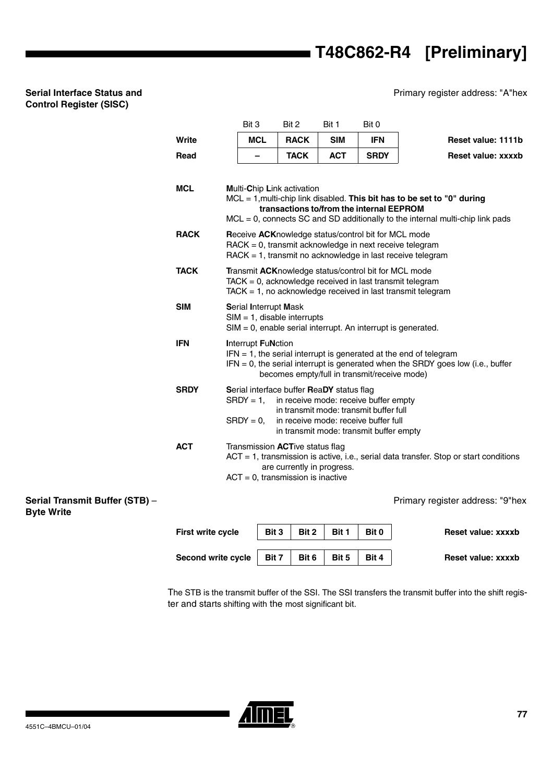Primary register address: "A"hex

|             | Bit 3                        |                                                                                                                                                                                       | Bit 2                                                                                                         | Bit 1                                     | Bit 0                                                                                                                   |                                                                                                                                                             |  |  |
|-------------|------------------------------|---------------------------------------------------------------------------------------------------------------------------------------------------------------------------------------|---------------------------------------------------------------------------------------------------------------|-------------------------------------------|-------------------------------------------------------------------------------------------------------------------------|-------------------------------------------------------------------------------------------------------------------------------------------------------------|--|--|
| Write       | <b>MCL</b>                   |                                                                                                                                                                                       | <b>RACK</b>                                                                                                   | <b>SIM</b>                                | <b>IFN</b>                                                                                                              | Reset value: 1111b                                                                                                                                          |  |  |
| Read        |                              |                                                                                                                                                                                       | <b>TACK</b>                                                                                                   | <b>ACT</b>                                | <b>SRDY</b>                                                                                                             | <b>Reset value: xxxxb</b>                                                                                                                                   |  |  |
| <b>MCL</b>  |                              |                                                                                                                                                                                       | <b>Multi-Chip Link activation</b>                                                                             |                                           |                                                                                                                         |                                                                                                                                                             |  |  |
|             |                              |                                                                                                                                                                                       |                                                                                                               |                                           | transactions to/from the internal EEPROM                                                                                | MCL = 1, multi-chip link disabled. This bit has to be set to "0" during<br>$MCL = 0$ , connects SC and SD additionally to the internal multi-chip link pads |  |  |
| <b>RACK</b> |                              |                                                                                                                                                                                       |                                                                                                               |                                           | Receive ACKnowledge status/control bit for MCL mode                                                                     | $\text{RACK} = 0$ , transmit acknowledge in next receive telegram<br>RACK = 1, transmit no acknowledge in last receive telegram                             |  |  |
| <b>TACK</b> |                              | Transmit ACKnowledge status/control bit for MCL mode<br>$TACK = 0$ , acknowledge received in last transmit telegram<br>$TACK = 1$ , no acknowledge received in last transmit telegram |                                                                                                               |                                           |                                                                                                                         |                                                                                                                                                             |  |  |
| <b>SIM</b>  | <b>Serial Interrupt Mask</b> |                                                                                                                                                                                       | $SIM = 1$ , disable interrupts                                                                                |                                           |                                                                                                                         | $SIM = 0$ , enable serial interrupt. An interrupt is generated.                                                                                             |  |  |
| <b>IFN</b>  | <b>Interrupt FuNction</b>    |                                                                                                                                                                                       |                                                                                                               |                                           | becomes empty/full in transmit/receive mode)                                                                            | $IFN = 1$ , the serial interrupt is generated at the end of telegram<br>$IFN = 0$ , the serial interrupt is generated when the SRDY goes low (i.e., buffer  |  |  |
| <b>SRDY</b> | $SRDY = 1$ ,<br>$SRDY = 0$ , |                                                                                                                                                                                       |                                                                                                               | Serial interface buffer ReaDY status flag | in receive mode: receive buffer empty<br>in transmit mode: transmit buffer full<br>in receive mode: receive buffer full |                                                                                                                                                             |  |  |
| <b>ACT</b>  |                              |                                                                                                                                                                                       | Transmission <b>ACT</b> ive status flag<br>are currently in progress.<br>$ACT = 0$ , transmission is inactive |                                           | in transmit mode: transmit buffer empty                                                                                 | $ACT = 1$ , transmission is active, i.e., serial data transfer. Stop or start conditions                                                                    |  |  |

**Serial Transmit Buffer (STB)** – **Byte Write**

**Serial Interface Status and Control Register (SISC)**

Primary register address: "9"hex

| First write cycle  | Bit 3 | Bit 2 | Bit 1 | Bit 0 | Reset value: xxxxb |
|--------------------|-------|-------|-------|-------|--------------------|
| Second write cycle | Bit 7 | Bit 6 | Bit 5 | Bit 4 | Reset value: xxxxb |

The STB is the transmit buffer of the SSI. The SSI transfers the transmit buffer into the shift register and starts shifting with the most significant bit.

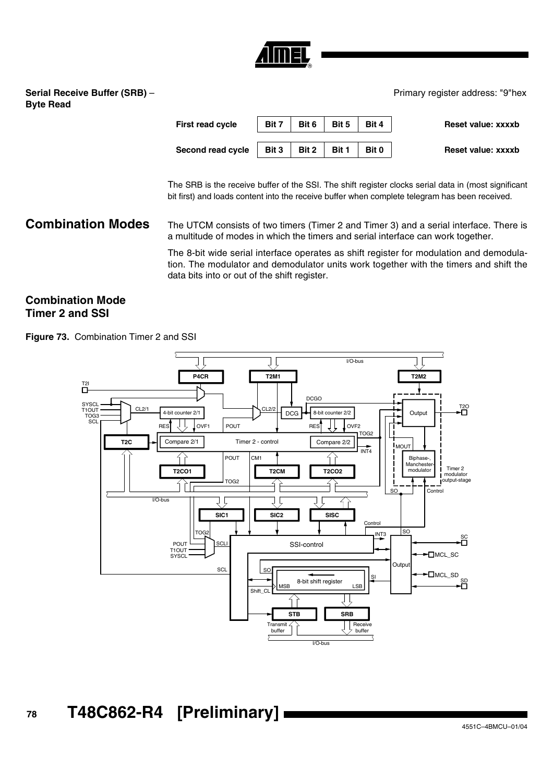

**Serial Receive Buffer (SRB)** – **Byte Read**

Primary register address: "9"hex

| <b>First read cycle</b> | Bit 7 | Bit 6 | Bit 5 | Bit 4 | Reset value: xxxxb |
|-------------------------|-------|-------|-------|-------|--------------------|
| Second read cycle       | Bit 3 | Bit 2 | Bit 1 | Bit 0 | Reset value: xxxxb |

The SRB is the receive buffer of the SSI. The shift register clocks serial data in (most significant bit first) and loads content into the receive buffer when complete telegram has been received.

## **Combination Modes** The UTCM consists of two timers (Timer 2 and Timer 3) and a serial interface. There is a multitude of modes in which the timers and serial interface can work together.

The 8-bit wide serial interface operates as shift register for modulation and demodulation. The modulator and demodulator units work together with the timers and shift the data bits into or out of the shift register.

## **Combination Mode Timer 2 and SSI**

<span id="page-77-0"></span>**Figure 73.** Combination Timer 2 and SSI

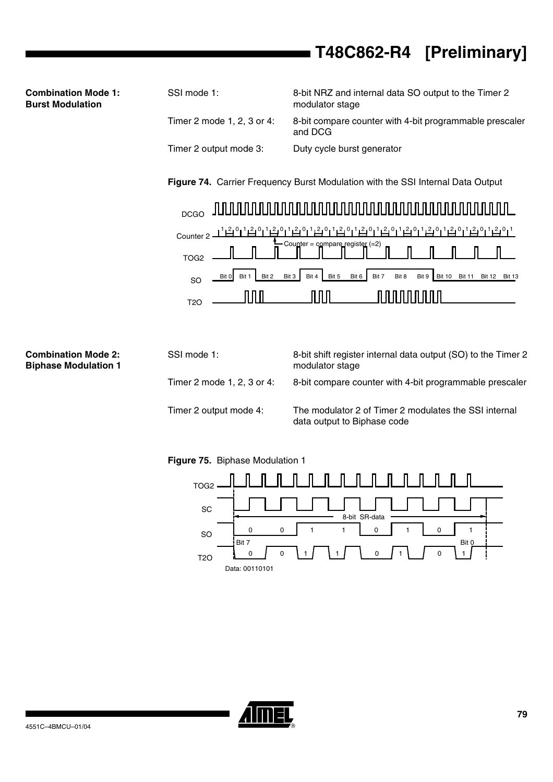| SSI mode 1:                | 8-bit NRZ and internal data SO output to the Timer 2<br>modulator stage |
|----------------------------|-------------------------------------------------------------------------|
| Timer 2 mode 1, 2, 3 or 4: | 8-bit compare counter with 4-bit programmable prescaler<br>and DCG      |
| Timer 2 output mode 3:     | Duty cycle burst generator                                              |

**Figure 74.** Carrier Frequency Burst Modulation with the SSI Internal Data Output



| <b>Combination Mode 2:</b><br><b>Biphase Modulation 1</b> | SSI mode 1:                | 8-bit shift register internal data output (SO) to the Timer 2<br>modulator stage     |
|-----------------------------------------------------------|----------------------------|--------------------------------------------------------------------------------------|
|                                                           | Timer 2 mode 1, 2, 3 or 4: | 8-bit compare counter with 4-bit programmable prescaler                              |
|                                                           | Timer 2 output mode 4:     | The modulator 2 of Timer 2 modulates the SSI internal<br>data output to Biphase code |

**Figure 75.** Biphase Modulation 1





**Combination Mode 1: Burst Modulation**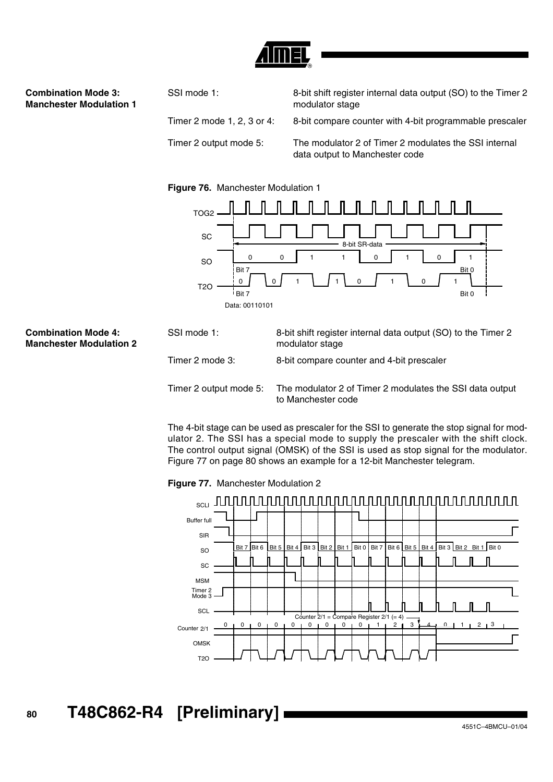

## **Combination Mode 3: Manchester Modulation 1**

SSI mode 1: 8-bit shift register internal data output (SO) to the Timer 2 modulator stage Timer 2 mode 1, 2, 3 or 4: 8-bit compare counter with 4-bit programmable prescaler Timer 2 output mode 5: The modulator 2 of Timer 2 modulates the SSI internal data output to Manchester code





## **Combination Mode 4: Manchester Modulation 2**

| SSI mode 1:            | 8-bit shift register internal data output (SO) to the Timer 2<br>modulator stage |
|------------------------|----------------------------------------------------------------------------------|
| Timer 2 mode 3:        | 8-bit compare counter and 4-bit prescaler                                        |
| Timer 2 output mode 5: | The modulator 2 of Timer 2 modulates the SSI data output<br>to Manchester code   |

The 4-bit stage can be used as prescaler for the SSI to generate the stop signal for modulator 2. The SSI has a special mode to supply the prescaler with the shift clock. The control output signal (OMSK) of the SSI is used as stop signal for the modulator. [Figure 77 on page 80](#page-79-0) shows an example for a 12-bit Manchester telegram.

<span id="page-79-0"></span>**Figure 77.** Manchester Modulation 2

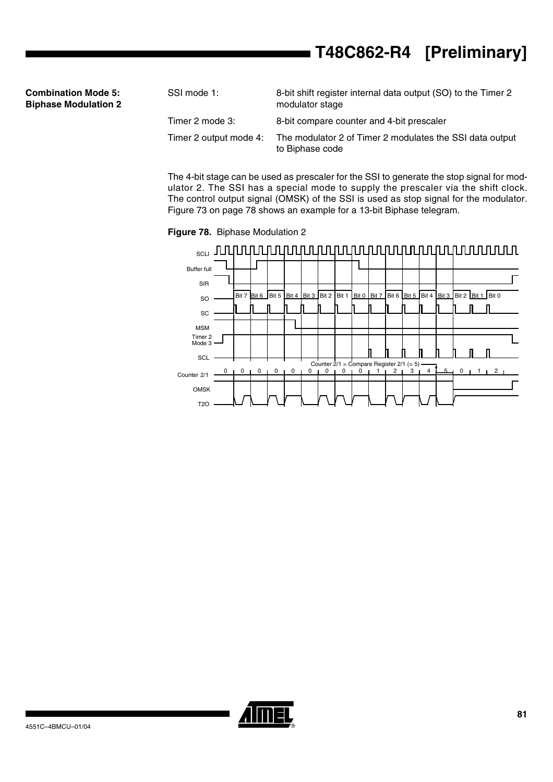| <b>Combination Mode 5:</b>  |  |  |
|-----------------------------|--|--|
| <b>Biphase Modulation 2</b> |  |  |

| SSI mode 1:            | 8-bit shift register internal data output (SO) to the Timer 2<br>modulator stage |
|------------------------|----------------------------------------------------------------------------------|
| Timer 2 mode 3:        | 8-bit compare counter and 4-bit prescaler                                        |
| Timer 2 output mode 4: | The modulator 2 of Timer 2 modulates the SSI data output<br>to Biphase code      |

The 4-bit stage can be used as prescaler for the SSI to generate the stop signal for modulator 2. The SSI has a special mode to supply the prescaler via the shift clock. The control output signal (OMSK) of the SSI is used as stop signal for the modulator. [Figure 73 on page 78](#page-77-0) shows an example for a 13-bit Biphase telegram.

**Figure 78.** Biphase Modulation 2

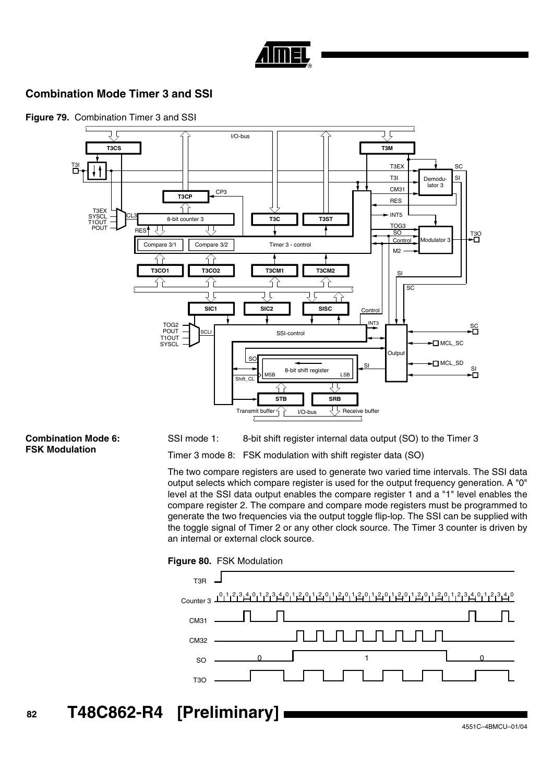

## **Combination Mode Timer 3 and SSI**



## **Figure 79.** Combination Timer 3 and SSI

#### **Combination Mode 6: FSK Modulation**

SSI mode 1: 8-bit shift register internal data output (SO) to the Timer 3

Timer 3 mode 8: FSK modulation with shift register data (SO)

The two compare registers are used to generate two varied time intervals. The SSI data output selects which compare register is used for the output frequency generation. A "0" level at the SSI data output enables the compare register 1 and a "1" level enables the compare register 2. The compare and compare mode registers must be programmed to generate the two frequencies via the output toggle flip-lop. The SSI can be supplied with the toggle signal of Timer 2 or any other clock source. The Timer 3 counter is driven by an internal or external clock source.



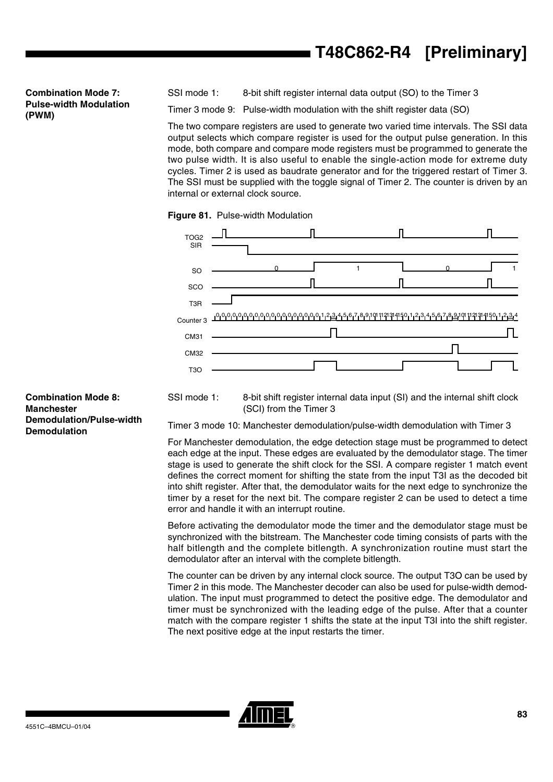**Combination Mode 7: Pulse-width Modulation (PWM)**

SSI mode 1: 8-bit shift register internal data output (SO) to the Timer 3

Timer 3 mode 9: Pulse-width modulation with the shift register data (SO)

The two compare registers are used to generate two varied time intervals. The SSI data output selects which compare register is used for the output pulse generation. In this mode, both compare and compare mode registers must be programmed to generate the two pulse width. It is also useful to enable the single-action mode for extreme duty cycles. Timer 2 is used as baudrate generator and for the triggered restart of Timer 3. The SSI must be supplied with the toggle signal of Timer 2. The counter is driven by an internal or external clock source.





**Combination Mode 8: Manchester Demodulation/Pulse-width Demodulation**

SSI mode 1: 8-bit shift register internal data input (SI) and the internal shift clock (SCI) from the Timer 3

Timer 3 mode 10: Manchester demodulation/pulse-width demodulation with Timer 3

For Manchester demodulation, the edge detection stage must be programmed to detect each edge at the input. These edges are evaluated by the demodulator stage. The timer stage is used to generate the shift clock for the SSI. A compare register 1 match event defines the correct moment for shifting the state from the input T3I as the decoded bit into shift register. After that, the demodulator waits for the next edge to synchronize the timer by a reset for the next bit. The compare register 2 can be used to detect a time error and handle it with an interrupt routine.

Before activating the demodulator mode the timer and the demodulator stage must be synchronized with the bitstream. The Manchester code timing consists of parts with the half bitlength and the complete bitlength. A synchronization routine must start the demodulator after an interval with the complete bitlength.

The counter can be driven by any internal clock source. The output T3O can be used by Timer 2 in this mode. The Manchester decoder can also be used for pulse-width demodulation. The input must programmed to detect the positive edge. The demodulator and timer must be synchronized with the leading edge of the pulse. After that a counter match with the compare register 1 shifts the state at the input T3I into the shift register. The next positive edge at the input restarts the timer.

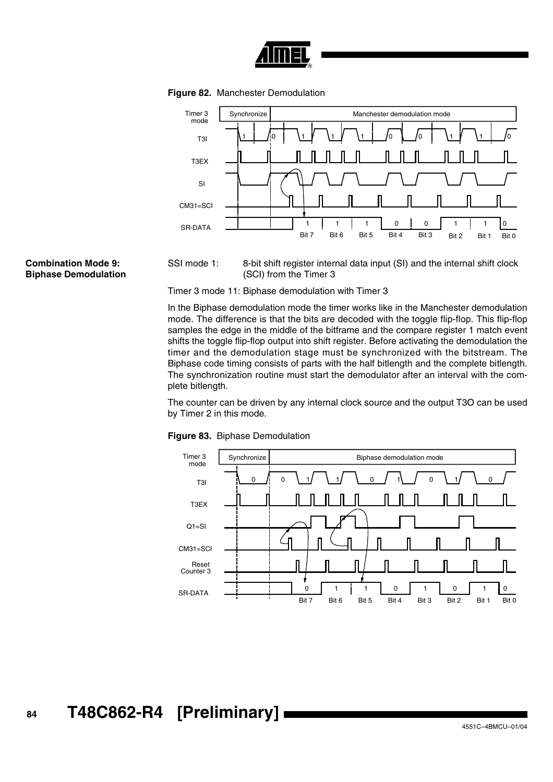

**Figure 82.** Manchester Demodulation



**Combination Mode 9: Biphase Demodulation** SSI mode 1: 8-bit shift register internal data input (SI) and the internal shift clock (SCI) from the Timer 3

Timer 3 mode 11: Biphase demodulation with Timer 3

In the Biphase demodulation mode the timer works like in the Manchester demodulation mode. The difference is that the bits are decoded with the toggle flip-flop. This flip-flop samples the edge in the middle of the bitframe and the compare register 1 match event shifts the toggle flip-flop output into shift register. Before activating the demodulation the timer and the demodulation stage must be synchronized with the bitstream. The Biphase code timing consists of parts with the half bitlength and the complete bitlength. The synchronization routine must start the demodulator after an interval with the complete bitlength.

The counter can be driven by any internal clock source and the output T3O can be used by Timer 2 in this mode.



**Figure 83.** Biphase Demodulation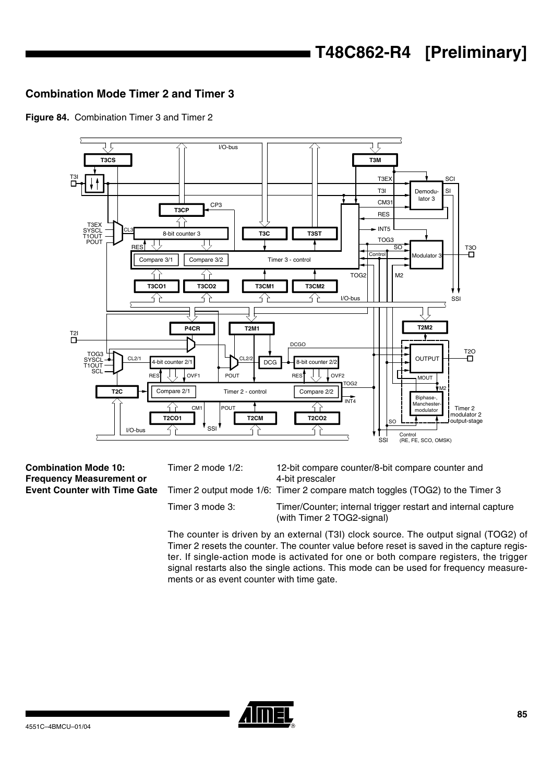## **Combination Mode Timer 2 and Timer 3**





**Combination Mode 10: Frequency Measurement or Event Counter with Time Gate**

Timer 2 mode 1/2: 12-bit compare counter/8-bit compare counter and 4-bit prescaler

Timer 2 output mode 1/6: Timer 2 compare match toggles (TOG2) to the Timer 3

Timer 3 mode 3: Timer/Counter; internal trigger restart and internal capture (with Timer 2 TOG2-signal)

The counter is driven by an external (T3I) clock source. The output signal (TOG2) of Timer 2 resets the counter. The counter value before reset is saved in the capture register. If single-action mode is activated for one or both compare registers, the trigger signal restarts also the single actions. This mode can be used for frequency measurements or as event counter with time gate.

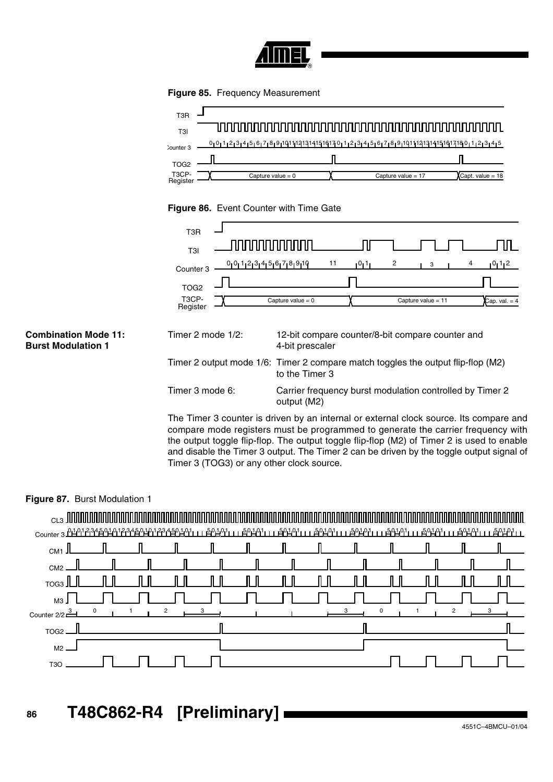

**Figure 85.** Frequency Measurement



## **Figure 86.** Event Counter with Time Gate

|                                                          | T <sub>3</sub> R                                                                           |                                                                                                                                                                                                                                                                                                                                                                      |  |  |  |  |  |  |  |
|----------------------------------------------------------|--------------------------------------------------------------------------------------------|----------------------------------------------------------------------------------------------------------------------------------------------------------------------------------------------------------------------------------------------------------------------------------------------------------------------------------------------------------------------|--|--|--|--|--|--|--|
|                                                          | T3I                                                                                        |                                                                                                                                                                                                                                                                                                                                                                      |  |  |  |  |  |  |  |
|                                                          | Counter <sub>3</sub><br>TOG <sub>2</sub><br>T <sub>3</sub> CP-<br>Register                 | $0_10_11_213_14_15_16_17_18_19_110$<br>11<br>0112<br>2<br>ا 1 ا0 ا<br>4<br>3<br>Capture value = $0$<br>Capture value = $11$<br>$Cap. val. = 4$                                                                                                                                                                                                                       |  |  |  |  |  |  |  |
| <b>Combination Mode 11:</b><br><b>Burst Modulation 1</b> | Timer 2 mode 1/2:                                                                          | 12-bit compare counter/8-bit compare counter and<br>4-bit prescaler                                                                                                                                                                                                                                                                                                  |  |  |  |  |  |  |  |
|                                                          |                                                                                            | Timer 2 output mode 1/6: Timer 2 compare match toggles the output flip-flop (M2)<br>to the Timer 3                                                                                                                                                                                                                                                                   |  |  |  |  |  |  |  |
|                                                          | Timer 3 mode 6:<br>Carrier frequency burst modulation controlled by Timer 2<br>output (M2) |                                                                                                                                                                                                                                                                                                                                                                      |  |  |  |  |  |  |  |
|                                                          | Timer 3 (TOG3) or any other clock source.                                                  | The Timer 3 counter is driven by an internal or external clock source. Its compare and<br>compare mode registers must be programmed to generate the carrier frequency with<br>the output toggle flip-flop. The output toggle flip-flop (M2) of Timer 2 is used to enable<br>and disable the Timer 3 output. The Timer 2 can be driven by the toggle output signal of |  |  |  |  |  |  |  |

## **Figure 87.** Burst Modulation 1

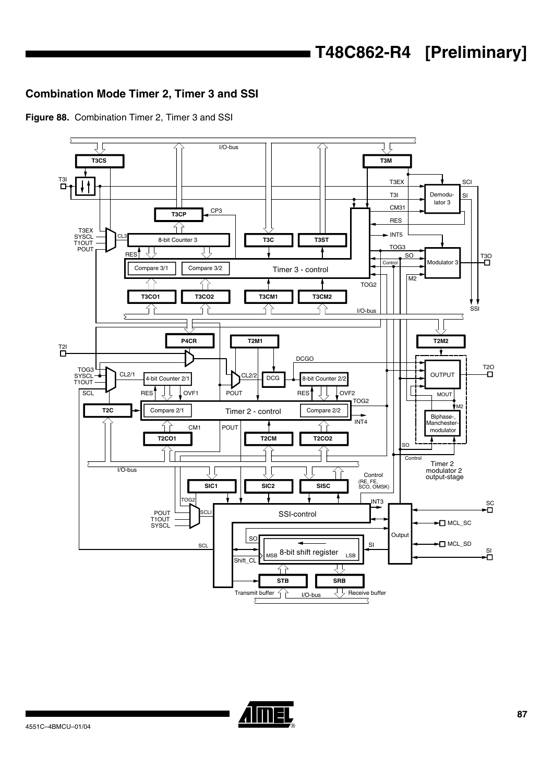## **Combination Mode Timer 2, Timer 3 and SSI**

**Figure 88.** Combination Timer 2, Timer 3 and SSI



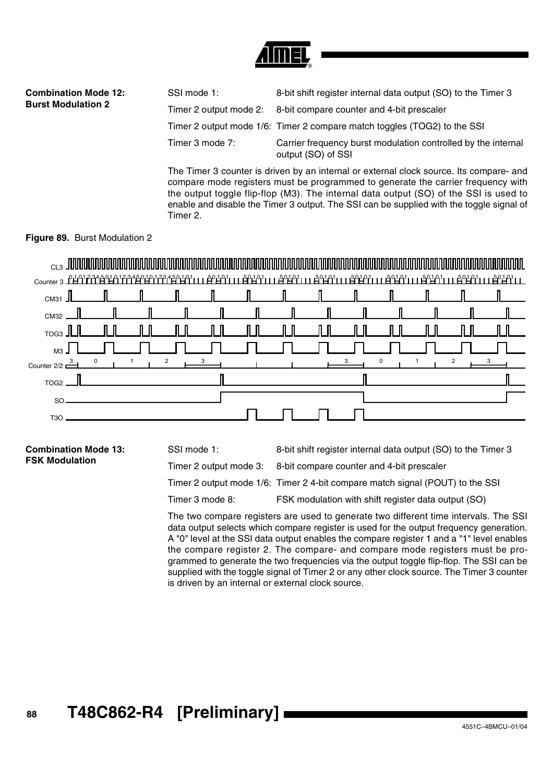

| <b>Combination Mode 12:</b> | SSI mode 1:     | 8-bit shift register internal data output (SO) to the Timer 3                       |
|-----------------------------|-----------------|-------------------------------------------------------------------------------------|
| <b>Burst Modulation 2</b>   |                 | Timer 2 output mode 2: 8-bit compare counter and 4-bit prescaler                    |
|                             |                 | Timer 2 output mode 1/6: Timer 2 compare match toggles (TOG2) to the SSI            |
|                             | Timer 3 mode 7: | Carrier frequency burst modulation controlled by the internal<br>output (SO) of SSI |
|                             |                 |                                                                                     |

The Timer 3 counter is driven by an internal or external clock source. Its compare- and compare mode registers must be programmed to generate the carrier frequency with the output toggle flip-flop (M3). The internal data output (SO) of the SSI is used to enable and disable the Timer 3 output. The SSI can be supplied with the toggle signal of Timer 2.

## **Figure 89.** Burst Modulation 2

| $_{\rm{CLS}}$ , and an anomal distribution of the state $_{\rm{max}}$                                                     |  |                                                                                                                                                                                                                                |                       |                           |     |  |              |
|---------------------------------------------------------------------------------------------------------------------------|--|--------------------------------------------------------------------------------------------------------------------------------------------------------------------------------------------------------------------------------|-----------------------|---------------------------|-----|--|--------------|
| Counter 3 1401234501012345010123450101111 50101111 50101111 50101111 50101111 50101111 50101111 50101111 50101111 5010111 |  |                                                                                                                                                                                                                                |                       |                           |     |  |              |
| $\overline{\text{cm}}$ з1 $\overline{\text{L}}$                                                                           |  |                                                                                                                                                                                                                                |                       | $\blacksquare$            |     |  |              |
| CM32                                                                                                                      |  |                                                                                                                                                                                                                                | $\equiv$ $\mathbb{I}$ |                           |     |  |              |
| $T$ OG3                                                                                                                   |  |                                                                                                                                                                                                                                |                       | $\mathbb{I}$ $\mathbb{I}$ | II. |  |              |
| M <sub>3</sub>                                                                                                            |  |                                                                                                                                                                                                                                |                       |                           |     |  |              |
| Counter 2/2 $\frac{3}{2}$ 0 1 1 2 $\frac{3}{2}$ 1 1 2 $\frac{3}{2}$ 1 1 2 $\frac{3}{2}$                                   |  |                                                                                                                                                                                                                                |                       |                           |     |  | $\mathbf{3}$ |
| $TOG2$ $-$                                                                                                                |  | and the contract of the contract of the contract of the contract of the contract of the contract of the contract of the contract of the contract of the contract of the contract of the contract of the contract of the contra |                       |                           |     |  |              |
| SO <sub>2</sub>                                                                                                           |  |                                                                                                                                                                                                                                |                       |                           |     |  |              |
| T3O                                                                                                                       |  |                                                                                                                                                                                                                                |                       |                           |     |  |              |

**Combination Mode 13: FSK Modulation**

SSI mode 1: 8-bit shift register internal data output (SO) to the Timer 3

Timer 2 output mode 3: 8-bit compare counter and 4-bit prescaler

Timer 2 output mode 1/6: Timer 2 4-bit compare match signal (POUT) to the SSI

Timer 3 mode 8: FSK modulation with shift register data output (SO)

The two compare registers are used to generate two different time intervals. The SSI data output selects which compare register is used for the output frequency generation. A "0" level at the SSI data output enables the compare register 1 and a "1" level enables the compare register 2. The compare- and compare mode registers must be programmed to generate the two frequencies via the output toggle flip-flop. The SSI can be supplied with the toggle signal of Timer 2 or any other clock source. The Timer 3 counter is driven by an internal or external clock source.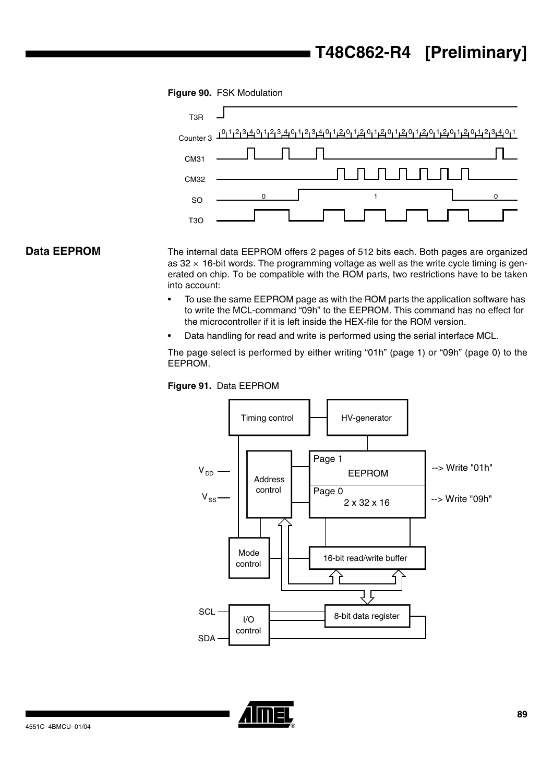

**Data EEPROM** The internal data EEPROM offers 2 pages of 512 bits each. Both pages are organized as  $32 \times 16$ -bit words. The programming voltage as well as the write cycle timing is generated on chip. To be compatible with the ROM parts, two restrictions have to be taken into account:

- To use the same EEPROM page as with the ROM parts the application software has to write the MCL-command "09h" to the EEPROM. This command has no effect for the microcontroller if it is left inside the HEX-file for the ROM version.
- Data handling for read and write is performed using the serial interface MCL.

The page select is performed by either writing "01h" (page 1) or "09h" (page 0) to the EEPROM.





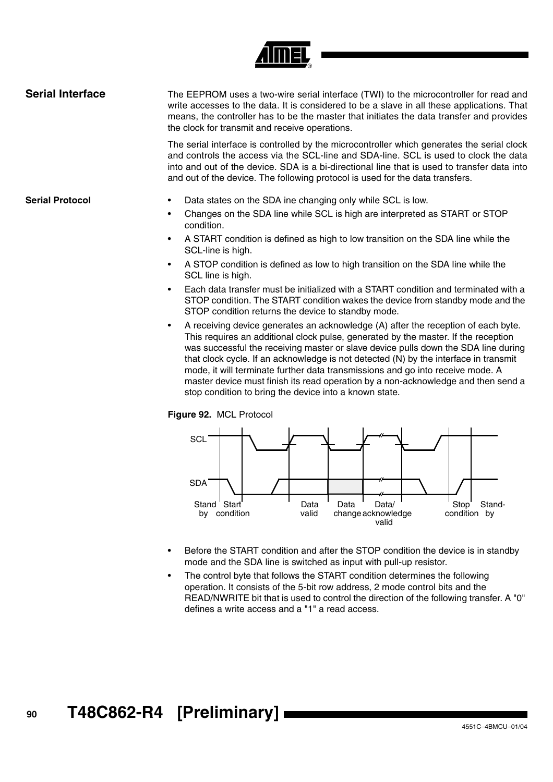

| <b>Serial Interface</b> | The EEPROM uses a two-wire serial interface (TWI) to the microcontroller for read and<br>write accesses to the data. It is considered to be a slave in all these applications. That<br>means, the controller has to be the master that initiates the data transfer and provides<br>the clock for transmit and receive operations.                                  |
|-------------------------|--------------------------------------------------------------------------------------------------------------------------------------------------------------------------------------------------------------------------------------------------------------------------------------------------------------------------------------------------------------------|
|                         | The serial interface is controlled by the microcontroller which generates the serial clock<br>and controls the access via the SCL-line and SDA-line. SCL is used to clock the data<br>into and out of the device. SDA is a bi-directional line that is used to transfer data into<br>and out of the device. The following protocol is used for the data transfers. |
| <b>Serial Protocol</b>  | Data states on the SDA ine changing only while SCL is low.<br>$\bullet$                                                                                                                                                                                                                                                                                            |
|                         | Changes on the SDA line while SCL is high are interpreted as START or STOP<br>٠<br>condition.                                                                                                                                                                                                                                                                      |
|                         |                                                                                                                                                                                                                                                                                                                                                                    |

- A START condition is defined as high to low transition on the SDA line while the SCL-line is high.
- A STOP condition is defined as low to high transition on the SDA line while the SCL line is high.
- Each data transfer must be initialized with a START condition and terminated with a STOP condition. The START condition wakes the device from standby mode and the STOP condition returns the device to standby mode.
- A receiving device generates an acknowledge (A) after the reception of each byte. This requires an additional clock pulse, generated by the master. If the reception was successful the receiving master or slave device pulls down the SDA line during that clock cycle. If an acknowledge is not detected (N) by the interface in transmit mode, it will terminate further data transmissions and go into receive mode. A master device must finish its read operation by a non-acknowledge and then send a stop condition to bring the device into a known state.

## **Figure 92.** MCL Protocol



- Before the START condition and after the STOP condition the device is in standby mode and the SDA line is switched as input with pull-up resistor.
- The control byte that follows the START condition determines the following operation. It consists of the 5-bit row address, 2 mode control bits and the READ/NWRITE bit that is used to control the direction of the following transfer. A "0" defines a write access and a "1" a read access.

# **<sup>90</sup> T48C862-R4 [Preliminary]**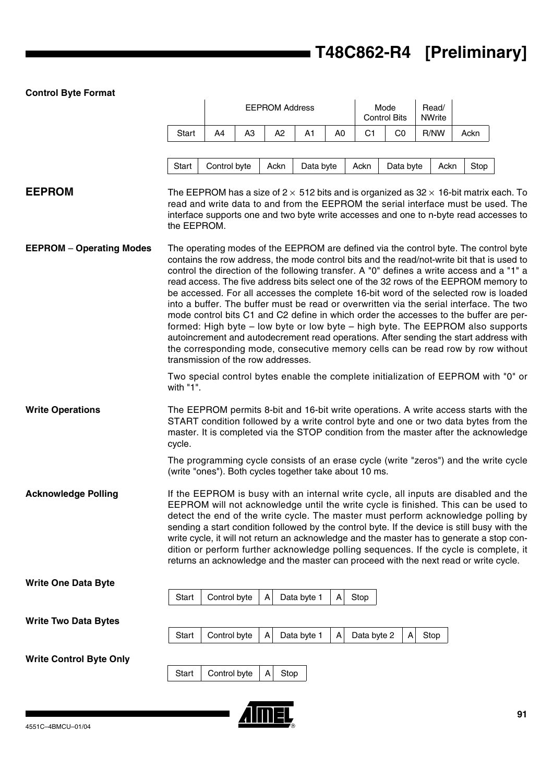## **Control Byte Format**

|                                 |                                                                                      |              |                | <b>EEPROM Address</b> |             |                |                | Mode<br><b>Control Bits</b> | Read/<br><b>NWrite</b> |      |      |                                                                                                                                                                                                                                                                                                                                                                                                                                                                                                                                                                                                                                                                                                                                                                                                                                                                                                                   |
|---------------------------------|--------------------------------------------------------------------------------------|--------------|----------------|-----------------------|-------------|----------------|----------------|-----------------------------|------------------------|------|------|-------------------------------------------------------------------------------------------------------------------------------------------------------------------------------------------------------------------------------------------------------------------------------------------------------------------------------------------------------------------------------------------------------------------------------------------------------------------------------------------------------------------------------------------------------------------------------------------------------------------------------------------------------------------------------------------------------------------------------------------------------------------------------------------------------------------------------------------------------------------------------------------------------------------|
|                                 | Start                                                                                | A4           | A <sub>3</sub> | A2                    | A1          | A <sub>0</sub> | C <sub>1</sub> | CO                          | R/NW                   |      | Ackn |                                                                                                                                                                                                                                                                                                                                                                                                                                                                                                                                                                                                                                                                                                                                                                                                                                                                                                                   |
|                                 | Start                                                                                | Control byte |                | Ackn                  | Data byte   |                | Ackn           | Data byte                   |                        | Ackn | Stop |                                                                                                                                                                                                                                                                                                                                                                                                                                                                                                                                                                                                                                                                                                                                                                                                                                                                                                                   |
| <b>EEPROM</b>                   | the EEPROM.                                                                          |              |                |                       |             |                |                |                             |                        |      |      | The EEPROM has a size of 2 $\times$ 512 bits and is organized as 32 $\times$ 16-bit matrix each. To<br>read and write data to and from the EEPROM the serial interface must be used. The<br>interface supports one and two byte write accesses and one to n-byte read accesses to                                                                                                                                                                                                                                                                                                                                                                                                                                                                                                                                                                                                                                 |
| <b>EEPROM - Operating Modes</b> | transmission of the row addresses.                                                   |              |                |                       |             |                |                |                             |                        |      |      | The operating modes of the EEPROM are defined via the control byte. The control byte<br>contains the row address, the mode control bits and the read/not-write bit that is used to<br>control the direction of the following transfer. A "0" defines a write access and a "1" a<br>read access. The five address bits select one of the 32 rows of the EEPROM memory to<br>be accessed. For all accesses the complete 16-bit word of the selected row is loaded<br>into a buffer. The buffer must be read or overwritten via the serial interface. The two<br>mode control bits C1 and C2 define in which order the accesses to the buffer are per-<br>formed: High byte – low byte or low byte – high byte. The EEPROM also supports<br>autoincrement and autodecrement read operations. After sending the start address with<br>the corresponding mode, consecutive memory cells can be read row by row without |
|                                 | with "1".                                                                            |              |                |                       |             |                |                |                             |                        |      |      | Two special control bytes enable the complete initialization of EEPROM with "0" or                                                                                                                                                                                                                                                                                                                                                                                                                                                                                                                                                                                                                                                                                                                                                                                                                                |
| <b>Write Operations</b>         | cycle.                                                                               |              |                |                       |             |                |                |                             |                        |      |      | The EEPROM permits 8-bit and 16-bit write operations. A write access starts with the<br>START condition followed by a write control byte and one or two data bytes from the<br>master. It is completed via the STOP condition from the master after the acknowledge                                                                                                                                                                                                                                                                                                                                                                                                                                                                                                                                                                                                                                               |
|                                 | (write "ones"). Both cycles together take about 10 ms.                               |              |                |                       |             |                |                |                             |                        |      |      | The programming cycle consists of an erase cycle (write "zeros") and the write cycle                                                                                                                                                                                                                                                                                                                                                                                                                                                                                                                                                                                                                                                                                                                                                                                                                              |
| <b>Acknowledge Polling</b>      | returns an acknowledge and the master can proceed with the next read or write cycle. |              |                |                       |             |                |                |                             |                        |      |      | If the EEPROM is busy with an internal write cycle, all inputs are disabled and the<br>EEPROM will not acknowledge until the write cycle is finished. This can be used to<br>detect the end of the write cycle. The master must perform acknowledge polling by<br>sending a start condition followed by the control byte. If the device is still busy with the<br>write cycle, it will not return an acknowledge and the master has to generate a stop con-<br>dition or perform further acknowledge polling sequences. If the cycle is complete, it                                                                                                                                                                                                                                                                                                                                                              |
| <b>Write One Data Byte</b>      |                                                                                      | Control byte |                | Α                     |             | A              |                |                             |                        |      |      |                                                                                                                                                                                                                                                                                                                                                                                                                                                                                                                                                                                                                                                                                                                                                                                                                                                                                                                   |
| <b>Write Two Data Bytes</b>     | Start                                                                                |              |                |                       | Data byte 1 |                | Stop           |                             |                        |      |      |                                                                                                                                                                                                                                                                                                                                                                                                                                                                                                                                                                                                                                                                                                                                                                                                                                                                                                                   |
|                                 | Start                                                                                | Control byte |                | А                     | Data byte 1 | A              | Data byte 2    | Α                           | Stop                   |      |      |                                                                                                                                                                                                                                                                                                                                                                                                                                                                                                                                                                                                                                                                                                                                                                                                                                                                                                                   |
| <b>Write Control Byte Only</b>  | Start                                                                                | Control byte |                | A                     | Stop        |                |                |                             |                        |      |      |                                                                                                                                                                                                                                                                                                                                                                                                                                                                                                                                                                                                                                                                                                                                                                                                                                                                                                                   |



 $\overline{\phantom{0}}$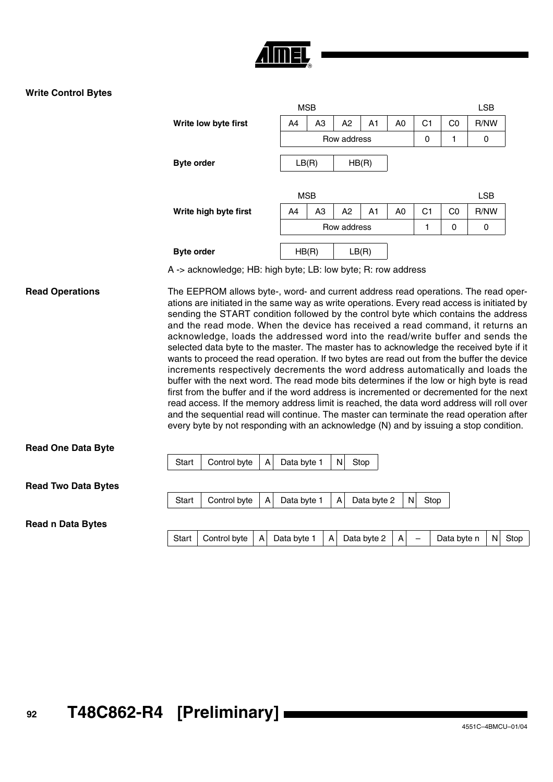

## **Write Control Bytes**

|                       |                |                | <b>LSB</b>  |    |                |    |                |            |
|-----------------------|----------------|----------------|-------------|----|----------------|----|----------------|------------|
| Write low byte first  | A4             | A <sub>3</sub> | A2          | A1 | A <sub>0</sub> | C1 | C <sub>0</sub> | R/NW       |
|                       |                |                | Row address |    |                | 0  | 1              | 0          |
|                       |                |                |             |    |                |    |                |            |
| <b>Byte order</b>     | LB(R)<br>HB(R) |                |             |    |                |    |                |            |
|                       |                |                |             |    |                |    |                |            |
|                       | <b>MSB</b>     |                |             |    |                |    |                | <b>LSB</b> |
| Write high byte first | A4             | A <sub>3</sub> | A2          | A1 | A <sub>0</sub> | C1 | C <sub>0</sub> | R/NW       |
|                       | Row address    |                |             |    |                |    | 0              | 0          |
|                       |                |                |             |    |                |    |                |            |
| <b>Byte order</b>     | HB(R)          |                | LB(R)       |    |                |    |                |            |

A -> acknowledge; HB: high byte; LB: low byte; R: row address

**Read Operations** The EEPROM allows byte-, word- and current address read operations. The read operations are initiated in the same way as write operations. Every read access is initiated by sending the START condition followed by the control byte which contains the address and the read mode. When the device has received a read command, it returns an acknowledge, loads the addressed word into the read/write buffer and sends the selected data byte to the master. The master has to acknowledge the received byte if it wants to proceed the read operation. If two bytes are read out from the buffer the device increments respectively decrements the word address automatically and loads the buffer with the next word. The read mode bits determines if the low or high byte is read first from the buffer and if the word address is incremented or decremented for the next read access. If the memory address limit is reached, the data word address will roll over and the sequential read will continue. The master can terminate the read operation after every byte by not responding with an acknowledge (N) and by issuing a stop condition.

## **Read One Data Byte**

**Read Two Data Bytes**

Start | Control byte  $|A|$  Data byte 1  $|A|$  Data byte 2  $|N|$  Stop

#### **Read n Data Bytes**

|  |  | Start   Control byte   A   Data byte 1   A   Data byte 2   A   $-$   Data byte n   N   Stop |  |  |  |  |  |  |  |  |  |
|--|--|---------------------------------------------------------------------------------------------|--|--|--|--|--|--|--|--|--|
|--|--|---------------------------------------------------------------------------------------------|--|--|--|--|--|--|--|--|--|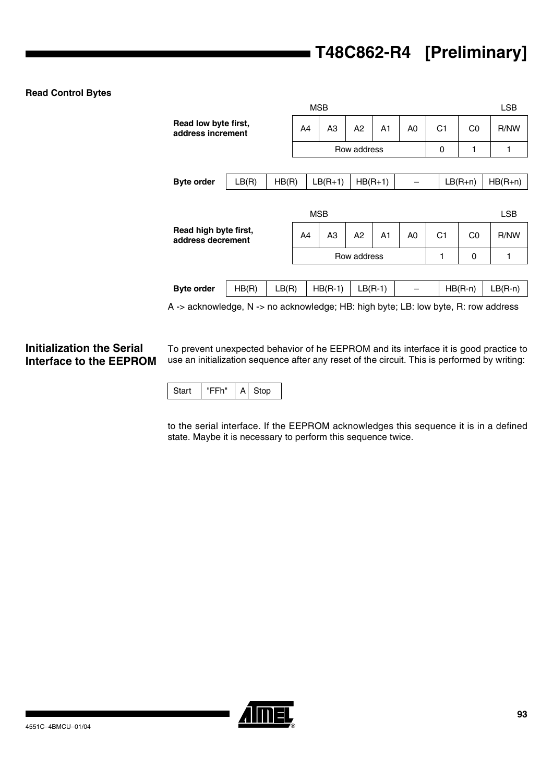## **Read Control Bytes**

|                                                                                |       |       |             | <b>MSB</b>     |             |                                  |  |                |                                  |           | <b>LSB</b> |
|--------------------------------------------------------------------------------|-------|-------|-------------|----------------|-------------|----------------------------------|--|----------------|----------------------------------|-----------|------------|
| Read low byte first,<br>address increment                                      |       |       | A4          | A <sub>3</sub> | A2          | A <sub>1</sub><br>A <sub>0</sub> |  | C <sub>1</sub> |                                  | C0        | R/NW       |
|                                                                                |       |       | Row address |                |             |                                  |  |                | 1<br>0                           |           | 1          |
|                                                                                |       |       |             |                |             |                                  |  |                |                                  |           |            |
| <b>Byte order</b>                                                              | LB(R) | HB(R) |             | $LB(R+1)$      |             | $HB(R+1)$                        |  |                |                                  | $LB(R+n)$ | $HB(R+n)$  |
|                                                                                |       |       |             |                |             |                                  |  |                |                                  |           |            |
|                                                                                |       |       |             | <b>MSB</b>     |             |                                  |  |                |                                  |           | LSB        |
| Read high byte first,<br>address decrement                                     |       |       | A4          | A <sub>3</sub> | A2          | A <sub>1</sub><br>A <sub>0</sub> |  |                | C <sub>1</sub><br>C <sub>0</sub> |           | R/NW       |
|                                                                                |       |       |             |                | Row address |                                  |  |                | 1                                | 0         | 1          |
|                                                                                |       |       |             |                |             |                                  |  |                |                                  |           |            |
| <b>Byte order</b>                                                              | HB(R) | LB(R) |             | $HB(R-1)$      |             | $LB(R-1)$                        |  |                |                                  | $HB(R-n)$ | $LB(R-n)$  |
| A s ooknowledge N s no ooknowledge HD; bigh bute: I D; low bute D; row oddroop |       |       |             |                |             |                                  |  |                |                                  |           |            |

A -> acknowledge, N -> no acknowledge; HB: high byte; LB: low byte, R: row address

## **Initialization the Serial Interface to the EEPROM**

To prevent unexpected behavior of he EEPROM and its interface it is good practice to use an initialization sequence after any reset of the circuit. This is performed by writing:

|--|

to the serial interface. If the EEPROM acknowledges this sequence it is in a defined state. Maybe it is necessary to perform this sequence twice.

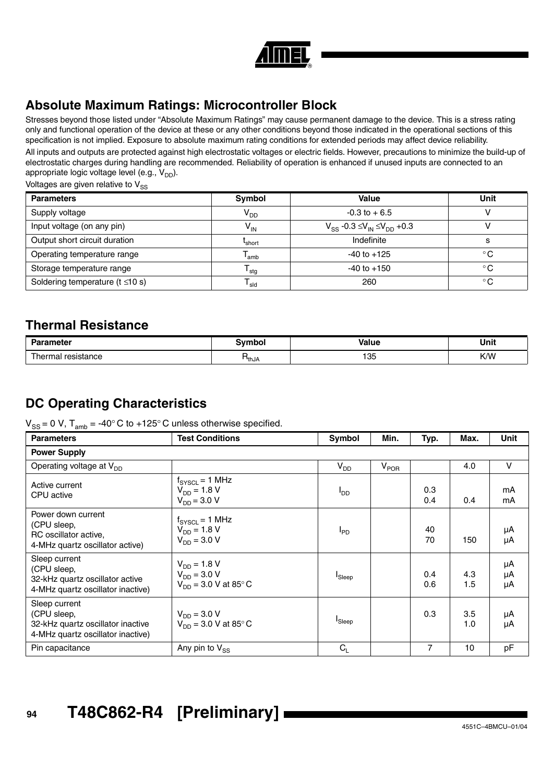

## **Absolute Maximum Ratings: Microcontroller Block**

Stresses beyond those listed under "Absolute Maximum Ratings" may cause permanent damage to the device. This is a stress rating only and functional operation of the device at these or any other conditions beyond those indicated in the operational sections of this specification is not implied. Exposure to absolute maximum rating conditions for extended periods may affect device reliability.

All inputs and outputs are protected against high electrostatic voltages or electric fields. However, precautions to minimize the build-up of electrostatic charges during handling are recommended. Reliability of operation is enhanced if unused inputs are connected to an appropriate logic voltage level (e.g.,  $V_{DD}$ ).

Voltages are given relative to  $V_{SS}$ 

| <b>Parameters</b>                      | Symbol             | Value                                        | Unit         |
|----------------------------------------|--------------------|----------------------------------------------|--------------|
| Supply voltage                         | V <sub>DD</sub>    | $-0.3$ to $+6.5$                             |              |
| Input voltage (on any pin)             | V <sub>IN</sub>    | $V_{SS}$ -0.3 $\leq V_{IN} \leq V_{DD}$ +0.3 |              |
| Output short circuit duration          | <sup>L</sup> short | Indefinite                                   | s            |
| Operating temperature range            | l amb              | $-40$ to $+125$                              | $^{\circ}$ C |
| Storage temperature range              | <sup>l</sup> stg   | $-40$ to $+150$                              | $^{\circ}$ C |
| Soldering temperature ( $t \leq 10$ s) | <sup>I</sup> sld   | 260                                          | $^{\circ}$ C |

## **Thermal Resistance**

| <b>Parameter</b>    | Svmbol            | <b>Value</b>  | Unit |
|---------------------|-------------------|---------------|------|
| l hermal resistance | <sup>1</sup> thJA | $\sim$<br>ن ر | K/W  |

## **DC Operating Characteristics**

 $V_{SS} = 0$  V,  $T_{amb} = -40^{\circ}$  C to  $+125^{\circ}$  C unless otherwise specified.

| <b>Parameters</b>                                                                                      | <b>Test Conditions</b>                                                     | Symbol                 | Min.      | Typ.           | Max.       | Unit           |  |
|--------------------------------------------------------------------------------------------------------|----------------------------------------------------------------------------|------------------------|-----------|----------------|------------|----------------|--|
| <b>Power Supply</b>                                                                                    |                                                                            |                        |           |                |            |                |  |
| Operating voltage at $V_{DD}$                                                                          |                                                                            | $V_{DD}$               | $V_{POR}$ |                | 4.0        | V              |  |
| Active current<br>CPU active                                                                           | $f_{\text{SYSCL}} = 1 \text{ MHz}$<br>$V_{DD} = 1.8 V$<br>$V_{DD} = 3.0 V$ | <b>I</b> <sub>DD</sub> |           | 0.3<br>0.4     | 0.4        | mA<br>mA       |  |
| Power down current<br>(CPU sleep,<br>RC oscillator active,<br>4-MHz quartz oscillator active)          | $f_{\text{SYSCL}} = 1 \text{ MHz}$<br>$V_{DD} = 1.8 V$<br>$V_{DD} = 3.0 V$ | $I_{PD}$               |           | 40<br>70       | 150        | μA<br>μA       |  |
| Sleep current<br>(CPU sleep,<br>32-kHz quartz oscillator active<br>4-MHz quartz oscillator inactive)   | $V_{DD} = 1.8 V$<br>$V_{DD} = 3.0 V$<br>$V_{DD} = 3.0 V$ at 85° C          | <b>I</b> Sleep         |           | 0.4<br>0.6     | 4.3<br>1.5 | μA<br>μA<br>μA |  |
| Sleep current<br>(CPU sleep,<br>32-kHz quartz oscillator inactive<br>4-MHz quartz oscillator inactive) | $V_{DD} = 3.0 V$<br>$V_{DD} = 3.0 V$ at 85°C                               | <b>I</b> Sleep         |           | 0.3            | 3.5<br>1.0 | μA<br>μA       |  |
| Pin capacitance                                                                                        | Any pin to $V_{SS}$                                                        | $C_{L}$                |           | $\overline{7}$ | 10         | pF             |  |

# **<sup>94</sup> T48C862-R4 [Preliminary]**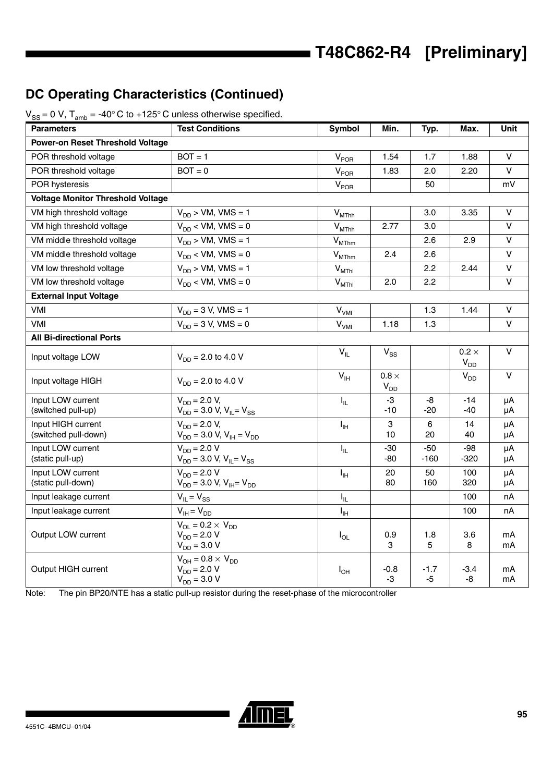## **DC Operating Characteristics (Continued)**

| <b>Parameters</b>                          | <b>Test Conditions</b>                                                   | Symbol                       | Min.                     | Typ.            | Max.                            | Unit          |
|--------------------------------------------|--------------------------------------------------------------------------|------------------------------|--------------------------|-----------------|---------------------------------|---------------|
| <b>Power-on Reset Threshold Voltage</b>    |                                                                          |                              |                          |                 |                                 |               |
| POR threshold voltage                      | $BOT = 1$                                                                | $V_{POR}$                    | 1.54                     | 1.7             | 1.88                            | V             |
| POR threshold voltage                      | $BOT = 0$                                                                | V <sub>POR</sub>             | 1.83                     | 2.0             | 2.20                            | $\mathsf{V}$  |
| POR hysteresis                             |                                                                          | $V_{POR}$                    |                          | 50              |                                 | mV            |
| <b>Voltage Monitor Threshold Voltage</b>   |                                                                          |                              |                          |                 |                                 |               |
| VM high threshold voltage                  | $V_{DD}$ > VM, VMS = 1                                                   | $V_{MThh}$                   |                          | 3.0             | 3.35                            | $\vee$        |
| VM high threshold voltage                  | $V_{DD}$ < VM, VMS = 0                                                   | $\mathsf{V}_{\mathsf{MThh}}$ | 2.77                     | 3.0             |                                 | $\vee$        |
| VM middle threshold voltage                | $V_{DD}$ > VM, VMS = 1                                                   | $\mathsf{V}_{\text{MThm}}$   |                          | 2.6             | 2.9                             | $\vee$        |
| VM middle threshold voltage                | $V_{DD}$ < VM, VMS = 0                                                   | $\mathsf{V}_{\text{MThm}}$   | 2.4                      | 2.6             |                                 | $\vee$        |
| VM low threshold voltage                   | $V_{DD}$ > VM, VMS = 1                                                   | $V_{MThI}$                   |                          | 2.2             | 2.44                            | $\vee$        |
| VM low threshold voltage                   | $V_{DD}$ < VM, VMS = 0                                                   | $V_{MThl}$                   | 2.0                      | 2.2             |                                 | $\mathsf{V}$  |
| <b>External Input Voltage</b>              |                                                                          |                              |                          |                 |                                 |               |
| VMI                                        | $V_{DD} = 3 V$ , VMS = 1                                                 | $\mathsf{V}_{\mathsf{VMI}}$  |                          | 1.3             | 1.44                            | $\vee$        |
| VMI                                        | $V_{DD} = 3 V$ , VMS = 0                                                 | V <sub>VMI</sub>             | 1.18                     | 1.3             |                                 | V             |
| <b>All Bi-directional Ports</b>            |                                                                          |                              |                          |                 |                                 |               |
| Input voltage LOW                          | $V_{DD}$ = 2.0 to 4.0 V                                                  | $V_{IL}$                     | $V_{SS}$                 |                 | $0.2 \times$<br>V <sub>DD</sub> | $\vee$        |
| Input voltage HIGH                         | $V_{DD}$ = 2.0 to 4.0 V                                                  | $V_{\text{IH}}$              | $0.8 \times$<br>$V_{DD}$ |                 | V <sub>DD</sub>                 | $\vee$        |
| Input LOW current<br>(switched pull-up)    | $V_{DD} = 2.0 V,$<br>$V_{DD}$ = 3.0 V, V <sub>IL</sub> = V <sub>SS</sub> | $I_{\rm IL}$                 | -3<br>$-10$              | -8<br>-20       | $-14$<br>$-40$                  | μA<br>$\mu A$ |
| Input HIGH current<br>(switched pull-down) | $V_{DD} = 2.0 V,$<br>$V_{DD}$ = 3.0 V, $V_{IH}$ = $V_{DD}$               | $I_{\rm IH}$                 | 3<br>10                  | 6<br>20         | 14<br>40                        | μA<br>$\mu A$ |
| Input LOW current<br>(static pull-up)      | $V_{DD} = 2.0 V$<br>$V_{DD}$ = 3.0 V, V <sub>IL</sub> = V <sub>SS</sub>  | $I_{\rm IL}$                 | $-30$<br>-80             | $-50$<br>$-160$ | $-98$<br>-320                   | μA<br>μA      |
| Input LOW current<br>(static pull-down)    | $V_{DD} = 2.0 V$<br>$V_{DD}$ = 3.0 V, V <sub>IH</sub> = V <sub>DD</sub>  | $I_{\rm IH}$                 | 20<br>80                 | 50<br>160       | 100<br>320                      | μA<br>μA      |
| Input leakage current                      | $V_{IL} = V_{SS}$                                                        | $I_{\rm IL}$                 |                          |                 | 100                             | nA            |
| Input leakage current                      | $V_{IH} = V_{DD}$                                                        | $I_{\rm IH}$                 |                          |                 | 100                             | nA            |
| Output LOW current                         | $V_{OL} = 0.2 \times V_{DD}$<br>$V_{DD} = 2.0 V$<br>$V_{DD} = 3.0 V$     | $I_{OL}$                     | 0.9<br>3                 | 1.8<br>5        | 3.6<br>8                        | mA<br>mA      |
| Output HIGH current                        | $V_{OH} = 0.8 \times V_{DD}$<br>$V_{DD} = 2.0 V$<br>$V_{DD} = 3.0 V$     | $I_{OH}$                     | $-0.8$<br>$-3$           | $-1.7$<br>$-5$  | $-3.4$<br>-8                    | mA<br>mA      |

 $V_{SS} = 0$  V,  $T_{amb} = -40^{\circ}$  C to  $+125^{\circ}$  C unless otherwise specified.

Note: The pin BP20/NTE has a static pull-up resistor during the reset-phase of the microcontroller

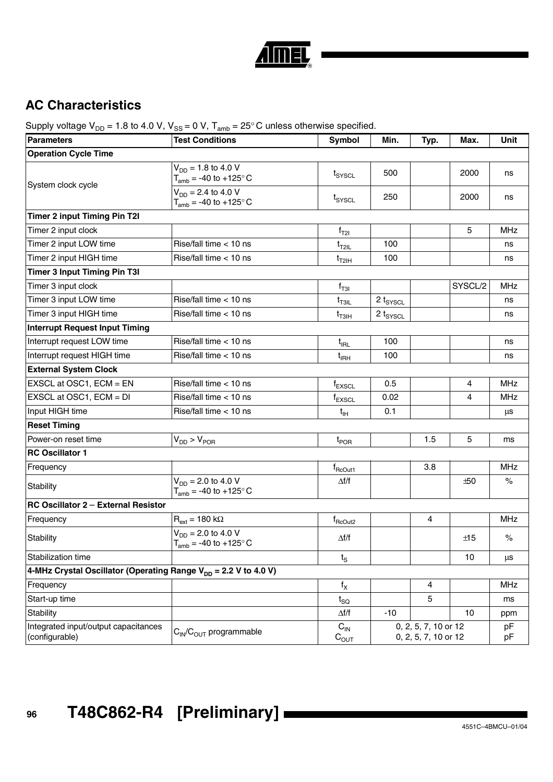

## **AC Characteristics**

Supply voltage  $V_{DD} = 1.8$  to 4.0 V,  $V_{SS} = 0$  V,  $T_{amb} = 25^{\circ}$ C unless otherwise specified.

| <b>Parameters</b>                                                           | ario<br><b>Test Conditions</b>                                 | <b>Symbol</b>           | Min.                 | Typ.                                         | Max.    | Unit       |
|-----------------------------------------------------------------------------|----------------------------------------------------------------|-------------------------|----------------------|----------------------------------------------|---------|------------|
| <b>Operation Cycle Time</b>                                                 |                                                                |                         |                      |                                              |         |            |
|                                                                             | $V_{DD} = 1.8$ to 4.0 V<br>$T_{amb}$ = -40 to +125 $\degree$ C | $t_{\text{SYSCL}}$      | 500                  |                                              | 2000    | ns         |
| System clock cycle                                                          | $V_{DD} = 2.4$ to 4.0 V<br>$T_{amb}$ = -40 to +125° C          | t <sub>SYSCL</sub>      | 250                  |                                              | 2000    | ns         |
| <b>Timer 2 input Timing Pin T2I</b>                                         |                                                                |                         |                      |                                              |         |            |
| Timer 2 input clock                                                         |                                                                | $f_{T2I}$               |                      |                                              | 5       | <b>MHz</b> |
| Timer 2 input LOW time                                                      | Rise/fall time < 10 ns                                         | $t_{T2IL}$              | 100                  |                                              |         | ns         |
| Timer 2 input HIGH time                                                     | Rise/fall time $<$ 10 ns                                       | $t_{T2}$ <sub>IH</sub>  | 100                  |                                              |         | ns         |
| <b>Timer 3 Input Timing Pin T3I</b>                                         |                                                                |                         |                      |                                              |         |            |
| Timer 3 input clock                                                         |                                                                | $f_{T3I}$               |                      |                                              | SYSCL/2 | <b>MHz</b> |
| Timer 3 input LOW time                                                      | Rise/fall time < 10 ns                                         | $t_{\text{T3IL}}$       | $2 t_{\text{SYSCL}}$ |                                              |         | ns         |
| Timer 3 input HIGH time                                                     | Rise/fall time < 10 ns                                         | $t_{T3IH}$              | $2 t_{\text{SYSCL}}$ |                                              |         | ns         |
| <b>Interrupt Request Input Timing</b>                                       |                                                                |                         |                      |                                              |         |            |
| Interrupt request LOW time                                                  | Rise/fall time < 10 ns                                         | $t_{\rm{IRL}}$          | 100                  |                                              |         | ns         |
| Interrupt request HIGH time                                                 | Rise/fall time < 10 ns                                         | $t_{\rm{IRH}}$          | 100                  |                                              |         | ns         |
| <b>External System Clock</b>                                                |                                                                |                         |                      |                                              |         |            |
| EXSCL at OSC1, ECM = EN                                                     | Rise/fall time < 10 ns                                         | $f_{EXSCL}$             | 0.5                  |                                              | 4       | MHz        |
| EXSCL at OSC1, ECM = DI                                                     | Rise/fall time < 10 ns                                         | $f_{EXSCL}$             | 0.02                 |                                              | 4       | <b>MHz</b> |
| Input HIGH time                                                             | Rise/fall time < 10 ns                                         | $t_{\text{IH}}$         | 0.1                  |                                              |         | μs         |
| <b>Reset Timing</b>                                                         |                                                                |                         |                      |                                              |         |            |
| Power-on reset time                                                         | $V_{DD}$ > $V_{POR}$                                           | $t_{\mathsf{POR}}$      |                      | 1.5                                          | 5       | ms         |
| <b>RC Oscillator 1</b>                                                      |                                                                |                         |                      |                                              |         |            |
| Frequency                                                                   |                                                                | $f_{\text{RCOut1}}$     |                      | 3.8                                          |         | MHz        |
| Stability                                                                   | $V_{DD} = 2.0$ to 4.0 V<br>$T_{amb}$ = -40 to +125 $\degree$ C | $\Delta f/f$            |                      |                                              | ±50     | $\%$       |
| RC Oscillator 2 - External Resistor                                         |                                                                |                         |                      |                                              |         |            |
| Frequency                                                                   | $R_{ext} = 180 \text{ k}\Omega$                                | $f_{\text{RCOut2}}$     |                      | $\overline{4}$                               |         | <b>MHz</b> |
| Stability                                                                   | $V_{DD}$ = 2.0 to 4.0 V<br>$T_{amb}$ = -40 to +125 $\degree$ C | $\Delta f/f$            |                      |                                              | ±15     | $\%$       |
| Stabilization time                                                          |                                                                | $t_{\rm S}$             |                      |                                              | 10      | μs         |
| 4-MHz Crystal Oscillator (Operating Range V <sub>DD</sub> = 2.2 V to 4.0 V) |                                                                |                         |                      |                                              |         |            |
| Frequency                                                                   |                                                                | $\mathsf{f}_\mathsf{X}$ |                      | 4                                            |         | <b>MHz</b> |
| Start-up time                                                               |                                                                | $t_{\text{SQ}}$         |                      | 5                                            |         | ms         |
| Stability                                                                   |                                                                | $\Delta f/f$            | $-10$                |                                              | 10      | ppm        |
| Integrated input/output capacitances<br>(configurable)                      | $C_{IN}/C_{OUT}$ programmable                                  | $C_{IN}$<br>$C_{OUT}$   |                      | 0, 2, 5, 7, 10 or 12<br>0, 2, 5, 7, 10 or 12 |         | pF<br>pF   |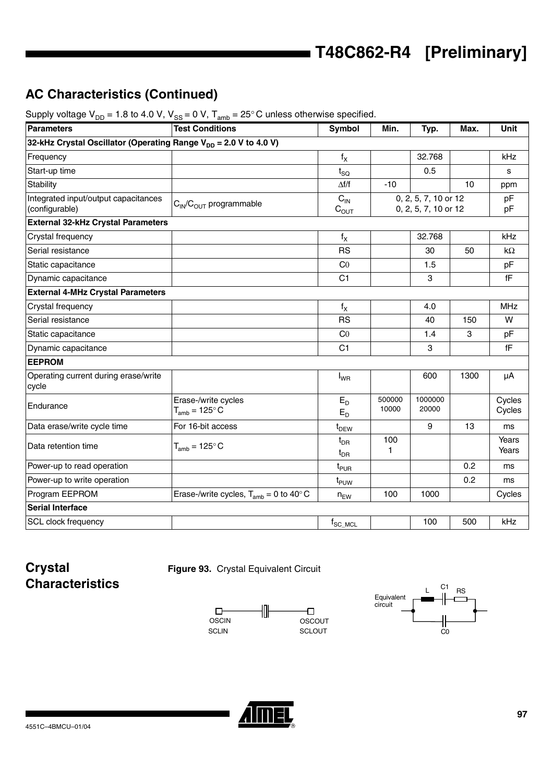## **AC Characteristics (Continued)**

| $ \cdots$ $\cdots$ $\cdots$ , $\cdots$ $\cdots$<br><b>Parameters</b>         | <b>Test Conditions</b>                           | Symbol                             | Min.            | Typ.                                         | Max. | Unit                   |
|------------------------------------------------------------------------------|--------------------------------------------------|------------------------------------|-----------------|----------------------------------------------|------|------------------------|
| 32-kHz Crystal Oscillator (Operating Range V <sub>DD</sub> = 2.0 V to 4.0 V) |                                                  |                                    |                 |                                              |      |                        |
| Frequency                                                                    |                                                  | $f_X$                              |                 | 32.768                                       |      | kHz                    |
| Start-up time                                                                |                                                  | $t_{\rm SQ}$                       |                 | 0.5                                          |      | s                      |
| <b>Stability</b>                                                             |                                                  | $\Delta f/f$                       | $-10$           |                                              | 10   | ppm                    |
| Integrated input/output capacitances<br>(configurable)                       | $C_{IN}/C_{OUT}$ programmable                    | $C_{IN}$<br>$C_{OUT}$              |                 | 0, 2, 5, 7, 10 or 12<br>0, 2, 5, 7, 10 or 12 |      | pF<br>pF               |
| <b>External 32-kHz Crystal Parameters</b>                                    |                                                  |                                    |                 |                                              |      |                        |
| Crystal frequency                                                            |                                                  | $f_X$                              |                 | 32.768                                       |      | kHz                    |
| Serial resistance                                                            |                                                  | <b>RS</b>                          |                 | 30                                           | 50   | $k\Omega$              |
| Static capacitance                                                           |                                                  | C <sub>0</sub>                     |                 | 1.5                                          |      | pF                     |
| Dynamic capacitance                                                          |                                                  | C <sub>1</sub>                     |                 | 3                                            |      | $\mathsf{f}\mathsf{F}$ |
| <b>External 4-MHz Crystal Parameters</b>                                     |                                                  |                                    |                 |                                              |      |                        |
| Crystal frequency                                                            |                                                  | $f_X$                              |                 | 4.0                                          |      | <b>MHz</b>             |
| Serial resistance                                                            |                                                  | <b>RS</b>                          |                 | 40                                           | 150  | W                      |
| Static capacitance                                                           |                                                  | CO                                 |                 | 1.4                                          | 3    | pF                     |
| Dynamic capacitance                                                          |                                                  | C <sub>1</sub>                     |                 | 3                                            |      | fF                     |
| <b>EEPROM</b>                                                                |                                                  |                                    |                 |                                              |      |                        |
| Operating current during erase/write<br>cycle                                |                                                  | $I_{WR}$                           |                 | 600                                          | 1300 | μA                     |
| Endurance                                                                    | Erase-/write cycles<br>$T_{amb} = 125^{\circ} C$ | $E_D$<br>$E_D$                     | 500000<br>10000 | 1000000<br>20000                             |      | Cycles<br>Cycles       |
| Data erase/write cycle time                                                  | For 16-bit access                                | t <sub>DEW</sub>                   |                 | 9                                            | 13   | ms                     |
| Data retention time                                                          | $T_{amb}$ = 125 $\degree$ C                      | $t_{\text{DR}}$<br>$t_{\text{DR}}$ | 100<br>1        |                                              |      | Years<br>Years         |
| Power-up to read operation                                                   |                                                  | t <sub>PUR</sub>                   |                 |                                              | 0.2  | ms                     |
| Power-up to write operation                                                  |                                                  | t <sub>PUW</sub>                   |                 |                                              | 0.2  | ms                     |
| Program EEPROM                                                               | Erase-/write cycles, $T_{amb} = 0$ to 40°C       | $n_{EW}$                           | 100             | 1000                                         |      | Cycles                 |
| <b>Serial Interface</b>                                                      |                                                  |                                    |                 |                                              |      |                        |
| SCL clock frequency                                                          |                                                  | $f_{SC\_MCL}$                      |                 | 100                                          | 500  | kHz                    |

Supply voltage  $V_{\text{DE}} = 1.8$  to 4.0 V,  $V_{\text{DE}} = 0$  V,  $T_{\text{Edd}} = 25^{\circ}$  C unless otherwise specified.

## **Crystal Characteristics**







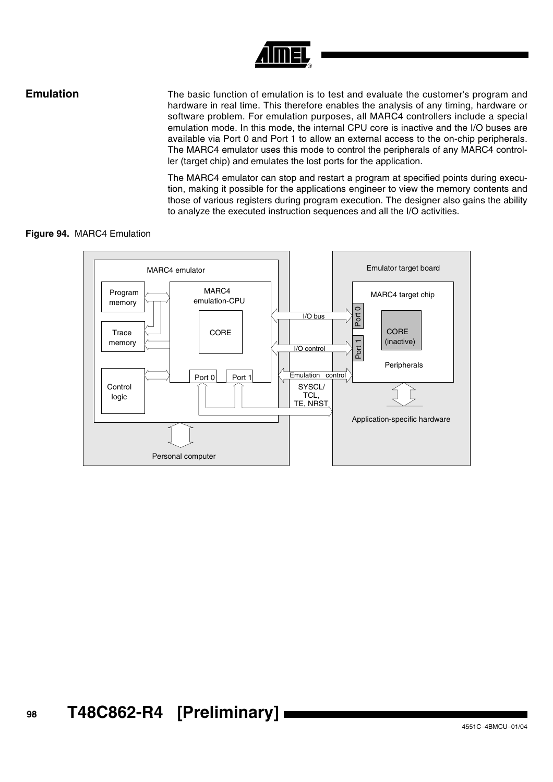

**Emulation** The basic function of emulation is to test and evaluate the customer's program and hardware in real time. This therefore enables the analysis of any timing, hardware or software problem. For emulation purposes, all MARC4 controllers include a special emulation mode. In this mode, the internal CPU core is inactive and the I/O buses are available via Port 0 and Port 1 to allow an external access to the on-chip peripherals. The MARC4 emulator uses this mode to control the peripherals of any MARC4 controller (target chip) and emulates the lost ports for the application.

> The MARC4 emulator can stop and restart a program at specified points during execution, making it possible for the applications engineer to view the memory contents and those of various registers during program execution. The designer also gains the ability to analyze the executed instruction sequences and all the I/O activities.

## **Figure 94.** MARC4 Emulation

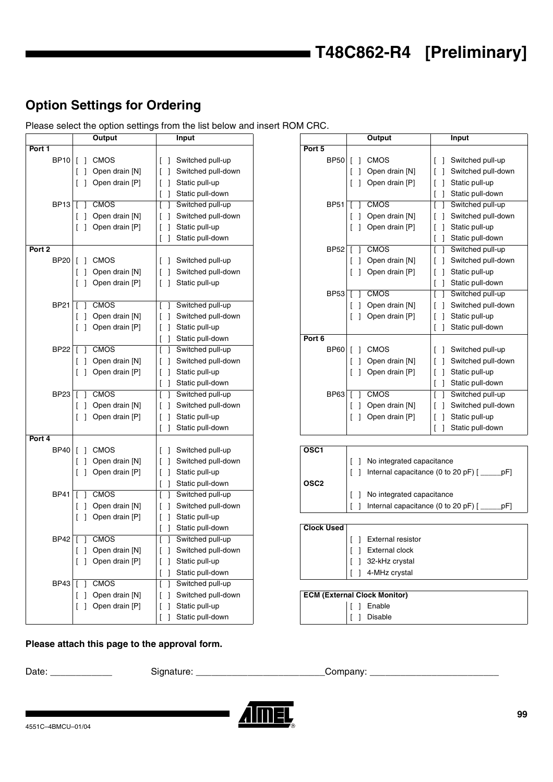## **Option Settings for Ordering**

Please select the option settings from the list below and insert ROM CRC.

|                   | Output                                                                                             | Input                                                                                                           |                                      | Output                                                                                           | Input                                                                                                                                                                                 |
|-------------------|----------------------------------------------------------------------------------------------------|-----------------------------------------------------------------------------------------------------------------|--------------------------------------|--------------------------------------------------------------------------------------------------|---------------------------------------------------------------------------------------------------------------------------------------------------------------------------------------|
| Port 1            |                                                                                                    |                                                                                                                 | Port 5                               |                                                                                                  |                                                                                                                                                                                       |
| <b>BP10</b>       | $\lceil$ $\rceil$<br><b>CMOS</b><br>Open drain [N]<br>-1                                           | Switched pull-up<br>Switched pull-down                                                                          | <b>BP50</b>                          | [ ] CMOS<br>Open drain [N]<br>$\Box$                                                             | Switched pull-up<br>$\Box$<br>Switched pull-do                                                                                                                                        |
| <b>BP13</b>       | Open drain [P]<br>$\Box$<br><b>CMOS</b>                                                            | Static pull-up<br>Static pull-down<br>Switched pull-up                                                          | <b>BP51</b>                          | [ ] Open drain [P]<br><b>CMOS</b><br>$\Box$                                                      | Static pull-up<br>$\Box$<br>Static pull-down<br>Switched pull-up                                                                                                                      |
|                   | $\sqrt{2}$<br>Open drain [N]<br>Open drain [P]<br>$\Box$                                           | Switched pull-down<br>Static pull-up<br>Static pull-down<br>$\lceil$ $\rceil$                                   |                                      | Open drain [N]<br>$\begin{bmatrix} 1 \end{bmatrix}$<br>[ ] Open drain [P]                        | $\Box$<br>$\begin{bmatrix} \end{bmatrix}$<br>Switched pull-do<br>Static pull-up<br>$[\ ]$<br>Static pull-down                                                                         |
| Port <sub>2</sub> |                                                                                                    |                                                                                                                 | <b>BP52</b>                          | <b>CMOS</b><br>$\Box$                                                                            | Switched pull-up<br>$\Box$                                                                                                                                                            |
| <b>BP20</b>       | <b>CMOS</b><br>$\Box$<br>Open drain [N]<br>$\Box$<br>Open drain [P]<br>$\Box$                      | Switched pull-up<br>Switched pull-down<br>Static pull-up<br>$\Box$                                              |                                      | Open drain [N]<br>$\begin{bmatrix} \end{bmatrix}$<br>[ ] Open drain [P]                          | $\begin{bmatrix} \end{bmatrix}$<br>Switched pull-do<br>$\begin{bmatrix} \end{bmatrix}$<br>Static pull-up<br>Static pull-down                                                          |
| <b>BP21</b>       | <b>CMOS</b><br>Open drain [N]<br>Open drain [P]<br>$\begin{bmatrix} 1 \end{bmatrix}$               | Switched pull-up<br>Switched pull-down<br>Static pull-up                                                        | <b>BP53</b>                          | <b>CMOS</b><br>$\Box$<br>Open drain [N]<br>$\begin{bmatrix} \end{bmatrix}$<br>[ ] Open drain [P] | Switched pull-up<br>Switched pull-do<br>$\begin{bmatrix} \end{bmatrix}$<br>Static pull-up<br>$\begin{bmatrix} \end{bmatrix}$<br>Static pull-down<br>$\begin{bmatrix} 1 \end{bmatrix}$ |
|                   |                                                                                                    | Static pull-down                                                                                                | Port 6                               |                                                                                                  |                                                                                                                                                                                       |
| <b>BP22</b>       | <b>CMOS</b><br>Open drain [N]<br>Open drain [P]<br>$\begin{bmatrix} 1 \end{bmatrix}$               | Switched pull-up<br>Switched pull-down<br>Static pull-up                                                        | <b>BP60</b>                          | $[ ]$ CMOS<br>Open drain [N]<br>$\Box$<br>[ ] Open drain [P]                                     | Switched pull-up<br>$\Box$<br>Switched pull-do<br>$\begin{bmatrix} \end{bmatrix}$<br>Static pull-up<br>$[\ ]$                                                                         |
|                   |                                                                                                    | Static pull-down                                                                                                |                                      |                                                                                                  | Static pull-down<br>$[\ ]$                                                                                                                                                            |
| <b>BP23</b>       | <b>CMOS</b><br>Open drain [N]<br>Open drain [P]<br>$\begin{bmatrix} 1 \end{bmatrix}$               | Switched pull-up<br>Switched pull-down<br>Static pull-up<br>Static pull-down<br>$\begin{bmatrix} \end{bmatrix}$ | <b>BP63</b>                          | <b>CMOS</b><br>Open drain [N]<br>$\Box$<br>[ ] Open drain [P]                                    | Switched pull-up<br>$\mathbb{L}$<br>Switched pull-do<br>$\begin{bmatrix} \end{bmatrix}$<br>Static pull-up<br>$[\ ]$<br>Static pull-down                                               |
| Port 4            |                                                                                                    |                                                                                                                 |                                      |                                                                                                  |                                                                                                                                                                                       |
| BP40              | <b>CMOS</b><br>$\Box$<br>Open drain [N]<br>-1<br>$\begin{bmatrix} \end{bmatrix}$<br>Open drain [P] | Switched pull-up<br>Switched pull-down<br>Static pull-up<br>Static pull-down                                    | OSC <sub>1</sub><br>OSC <sub>2</sub> | No integrated capacitance                                                                        | Internal capacitance (0 to 20 pF) [                                                                                                                                                   |
| <b>BP41</b>       | <b>CMOS</b><br>Open drain [N]<br>Open drain [P]<br>$\begin{bmatrix} \end{bmatrix}$                 | Switched pull-up<br>Switched pull-down<br>Static pull-up                                                        |                                      | No integrated capacitance                                                                        | Internal capacitance (0 to 20 pF) [                                                                                                                                                   |
| <b>BP42</b>       | <b>CMOS</b>                                                                                        | Static pull-down<br>Switched pull-up                                                                            | <b>Clock Used</b>                    | [ ] External resistor                                                                            |                                                                                                                                                                                       |
|                   | Open drain [N]<br>$\perp$<br>Open drain [P]<br>$\begin{bmatrix} \end{bmatrix}$                     | Switched pull-down<br>Static pull-up<br>Static pull-down<br>$\begin{bmatrix} \end{bmatrix}$                     |                                      | <b>External clock</b><br>$\perp$<br>[ ] 32-kHz crystal<br>[ ] 4-MHz crystal                      |                                                                                                                                                                                       |
| BP43   [          | <b>CMOS</b><br>-1<br>Open drain [N]<br>$\Box$<br>Open drain [P]<br>$\begin{bmatrix} \end{bmatrix}$ | Switched pull-up<br>L<br>Switched pull-down<br>Static pull-up<br>-1<br>Static pull-down                         |                                      | <b>ECM (External Clock Monitor)</b><br>[ ] Enable<br><b>Disable</b>                              |                                                                                                                                                                                       |

|      | Output                           | Input                               |              | Output         | Input              |
|------|----------------------------------|-------------------------------------|--------------|----------------|--------------------|
|      |                                  |                                     | Port 5       |                |                    |
| BP10 | <b>CMOS</b><br>$\lceil$ $\rceil$ | Switched pull-up                    | BP50 [ ]     | <b>CMOS</b>    | Switched pull-up   |
|      | Open drain [N]<br>- 1            | Switched pull-down                  |              | Open drain [N] | Switched pull-down |
|      | $\lceil$ 1<br>Open drain [P]     | Static pull-up                      |              | Open drain [P] | Static pull-up     |
|      |                                  | Static pull-down                    |              |                | Static pull-down   |
| BP13 | <b>CMOS</b>                      | Switched pull-up                    | <b>BP51</b>  | <b>CMOS</b>    | Switched pull-up   |
|      | Open drain [N]                   | Switched pull-down                  |              | Open drain [N] | Switched pull-down |
|      | Open drain [P]<br>ſΙ             | Static pull-up                      |              | Open drain [P] | Static pull-up     |
|      |                                  | Static pull-down                    |              |                | Static pull-down   |
|      |                                  |                                     | <b>BP52</b>  | <b>CMOS</b>    | Switched pull-up   |
| BP20 | <b>CMOS</b>                      | Switched pull-up                    |              | Open drain [N] | Switched pull-down |
|      | Open drain [N]                   | Switched pull-down                  |              | Open drain [P] | Static pull-up     |
|      | Open drain [P]<br>ſΙ             | Static pull-up<br>$\Box$            |              |                | Static pull-down   |
|      |                                  |                                     | <b>BP53</b>  | <b>CMOS</b>    | Switched pull-up   |
| BP21 | <b>CMOS</b>                      | Switched pull-up                    |              | Open drain [N] | Switched pull-down |
|      | Open drain [N]                   | Switched pull-down                  |              | Open drain [P] | Static pull-up     |
|      | Open drain [P]                   | Static pull-up<br>$\lceil$ $\rceil$ |              |                | Static pull-down   |
|      |                                  | Static pull-down                    | Port 6       |                |                    |
| BP22 | <b>CMOS</b>                      | Switched pull-up                    | $BP60$   [ ] | CMOS           | Switched pull-up   |
|      | Open drain [N]                   | Switched pull-down                  |              | Open drain [N] | Switched pull-down |
|      | Open drain [P]                   | Static pull-up<br>$\Box$            |              | Open drain [P] | Static pull-up     |
|      |                                  | Static pull-down                    |              |                | Static pull-down   |
| BP23 | <b>CMOS</b>                      | Switched pull-up                    | <b>BP63</b>  | <b>CMOS</b>    | Switched pull-up   |
|      | Open drain [N]                   | Switched pull-down                  |              | Open drain [N] | Switched pull-down |
|      | Open drain [P]                   | Static pull-up                      |              | Open drain [P] | Static pull-up     |
|      |                                  | Static pull-down                    |              |                | Static pull-down   |
|      |                                  |                                     |              |                |                    |

| <b>CMOS</b>    | Switched pull-up   | OSC <sub>1</sub>  |                                             |
|----------------|--------------------|-------------------|---------------------------------------------|
| Open drain [N] | Switched pull-down |                   | No integrated capacitance                   |
| Open drain [P] | Static pull-up     |                   | Internal capacitance (0 to 20 pF) [<br>pF   |
|                | Static pull-down   | OSC <sub>2</sub>  |                                             |
| <b>CMOS</b>    | Switched pull-up   |                   | No integrated capacitance                   |
| Open drain [N] | Switched pull-down |                   | Internal capacitance (0 to 20 pF) [<br>.pF] |
| Open drain [P] | Static pull-up     |                   |                                             |
|                | Static pull-down   | <b>Clock Used</b> |                                             |
| <b>CMOS</b>    | Switched pull-up   |                   | <b>External resistor</b>                    |
| Open drain [N] | Switched pull-down |                   | <b>External clock</b>                       |
| Open drain [P] | Static pull-up     |                   | 32-kHz crystal                              |
|                | Static pull-down   |                   | 4-MHz crystal                               |

## **ECM (External Clock Monitor)**  $\begin{bmatrix} \end{bmatrix}$  [ ] Enable

[ ] Disable

## **Please attach this page to the approval form.**

Date: \_\_\_\_\_\_\_\_\_\_\_\_ Signature: \_\_\_\_\_\_\_\_\_\_\_\_\_\_\_\_\_\_\_\_\_\_\_\_\_Company: \_\_\_\_\_\_\_\_\_\_\_\_\_\_\_\_\_\_\_\_\_\_\_\_\_

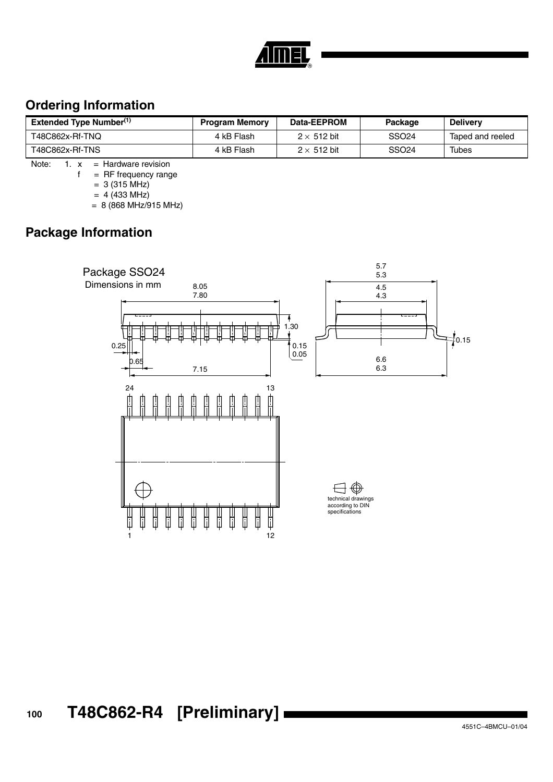## **Ordering Information**

| Extended Type Number <sup>(1)</sup> | <b>Program Memory</b> | Data-EEPROM        | Package           | <b>Delivery</b>  |
|-------------------------------------|-----------------------|--------------------|-------------------|------------------|
| T48C862x-Rf-TNQ                     | 4 kB Flash            | $2 \times 512$ bit | SSO <sub>24</sub> | Taped and reeled |
| T48C862x-Rf-TNS                     | 4 kB Flash            | $2 \times 512$ bit | SSO <sub>24</sub> | Tubes            |

Note:  $1. x =$  Hardware revision

 $f = RF$  frequency range

 $= 3 (315 \text{ MHz})$ 

 $= 4 (433 \text{ MHz})$ 

 $= 8 (868 MHz/915 MHz)$ 

## **Package Information**

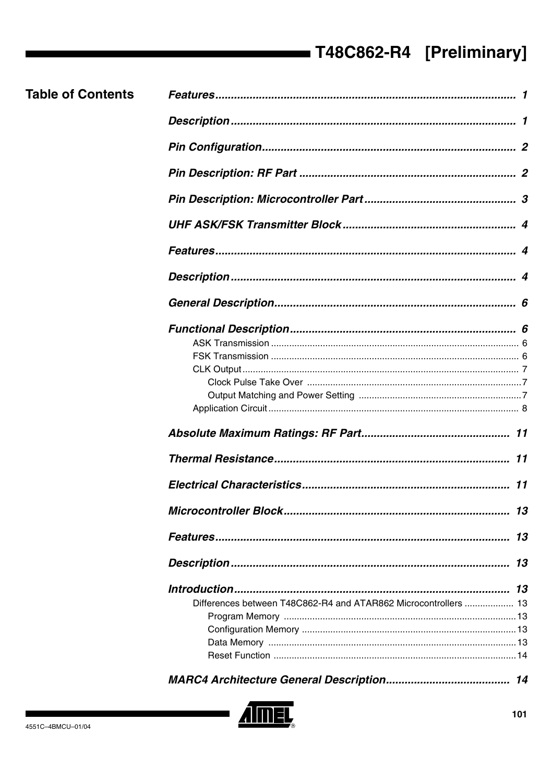| <b>Table of Contents</b> |                                                                 |    |
|--------------------------|-----------------------------------------------------------------|----|
|                          |                                                                 |    |
|                          |                                                                 |    |
|                          |                                                                 |    |
|                          |                                                                 |    |
|                          |                                                                 |    |
|                          |                                                                 |    |
|                          |                                                                 |    |
|                          |                                                                 |    |
|                          |                                                                 |    |
|                          |                                                                 |    |
|                          |                                                                 |    |
|                          |                                                                 |    |
|                          |                                                                 |    |
|                          |                                                                 |    |
|                          |                                                                 |    |
|                          |                                                                 |    |
|                          |                                                                 |    |
|                          |                                                                 |    |
|                          |                                                                 | 11 |
|                          |                                                                 |    |
|                          |                                                                 | 13 |
|                          |                                                                 |    |
|                          |                                                                 |    |
|                          | Differences between T48C862-R4 and ATAR862 Microcontrollers  13 |    |
|                          |                                                                 |    |
|                          |                                                                 |    |
|                          |                                                                 |    |
|                          |                                                                 |    |
|                          |                                                                 |    |
|                          |                                                                 |    |

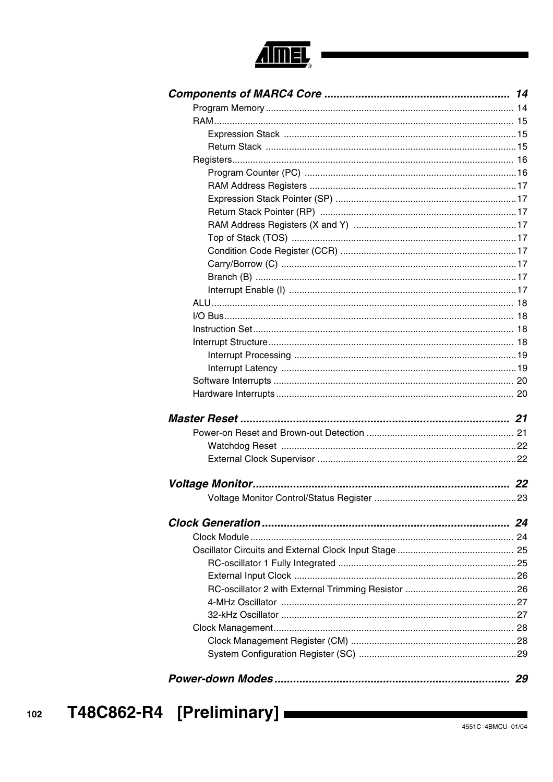

| 24 |
|----|
|    |
|    |
|    |
|    |
|    |
|    |
|    |
|    |
|    |
|    |
|    |
| 29 |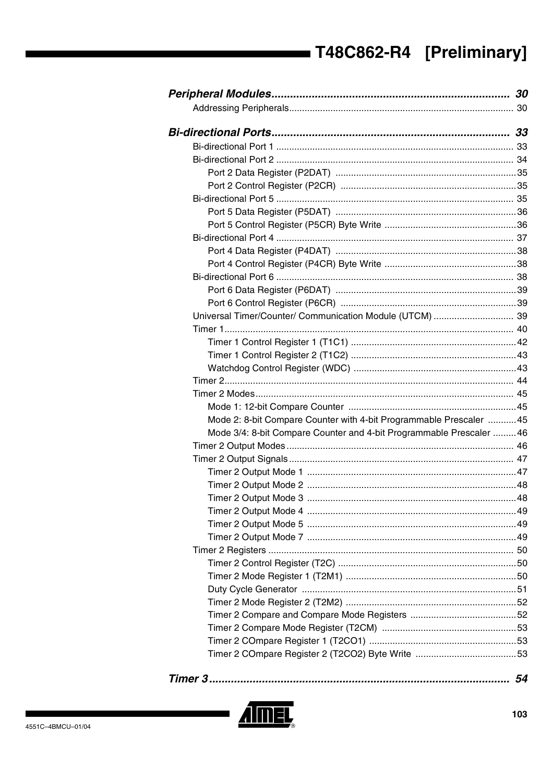| Universal Timer/Counter/ Communication Module (UTCM)  39             |  |
|----------------------------------------------------------------------|--|
|                                                                      |  |
|                                                                      |  |
|                                                                      |  |
|                                                                      |  |
|                                                                      |  |
|                                                                      |  |
|                                                                      |  |
| Mode 2: 8-bit Compare Counter with 4-bit Programmable Prescaler  45  |  |
| Mode 3/4: 8-bit Compare Counter and 4-bit Programmable Prescaler  46 |  |
|                                                                      |  |
|                                                                      |  |
|                                                                      |  |
|                                                                      |  |
|                                                                      |  |
|                                                                      |  |
|                                                                      |  |
|                                                                      |  |
|                                                                      |  |
|                                                                      |  |
|                                                                      |  |
|                                                                      |  |
|                                                                      |  |
|                                                                      |  |
|                                                                      |  |
|                                                                      |  |
|                                                                      |  |
|                                                                      |  |

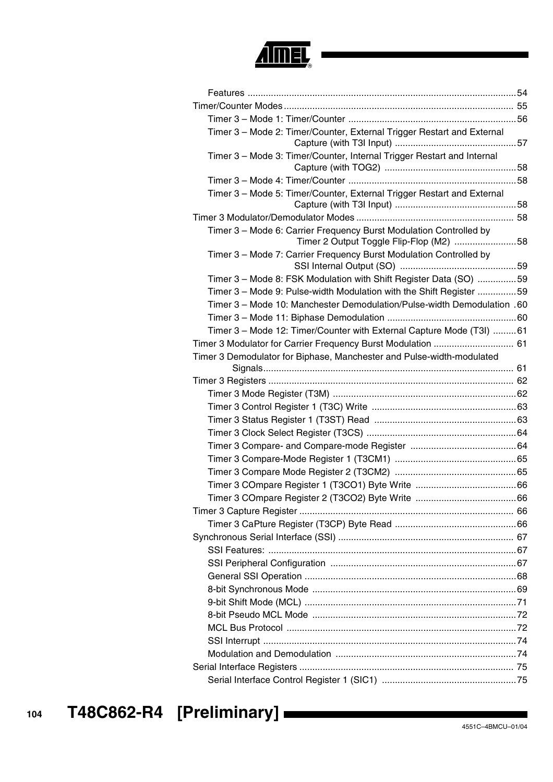

| Timer 3 - Mode 2: Timer/Counter, External Trigger Restart and External                                        |  |
|---------------------------------------------------------------------------------------------------------------|--|
| Timer 3 - Mode 3: Timer/Counter, Internal Trigger Restart and Internal                                        |  |
|                                                                                                               |  |
| Timer 3 - Mode 5: Timer/Counter, External Trigger Restart and External                                        |  |
|                                                                                                               |  |
| Timer 3 - Mode 6: Carrier Frequency Burst Modulation Controlled by<br>Timer 2 Output Toggle Flip-Flop (M2) 58 |  |
| Timer 3 - Mode 7: Carrier Frequency Burst Modulation Controlled by                                            |  |
| Timer 3 - Mode 8: FSK Modulation with Shift Register Data (SO) 59                                             |  |
| Timer 3 - Mode 9: Pulse-width Modulation with the Shift Register 59                                           |  |
| Timer 3 - Mode 10: Manchester Demodulation/Pulse-width Demodulation .60                                       |  |
|                                                                                                               |  |
| Timer 3 - Mode 12: Timer/Counter with External Capture Mode (T3I) 61                                          |  |
| Timer 3 Modulator for Carrier Frequency Burst Modulation  61                                                  |  |
| Timer 3 Demodulator for Biphase, Manchester and Pulse-width-modulated                                         |  |
|                                                                                                               |  |
|                                                                                                               |  |
|                                                                                                               |  |
|                                                                                                               |  |
|                                                                                                               |  |
|                                                                                                               |  |
|                                                                                                               |  |
|                                                                                                               |  |
|                                                                                                               |  |
|                                                                                                               |  |
|                                                                                                               |  |
|                                                                                                               |  |
|                                                                                                               |  |
|                                                                                                               |  |
|                                                                                                               |  |
|                                                                                                               |  |
|                                                                                                               |  |
|                                                                                                               |  |
|                                                                                                               |  |
|                                                                                                               |  |
|                                                                                                               |  |
|                                                                                                               |  |
|                                                                                                               |  |
|                                                                                                               |  |
|                                                                                                               |  |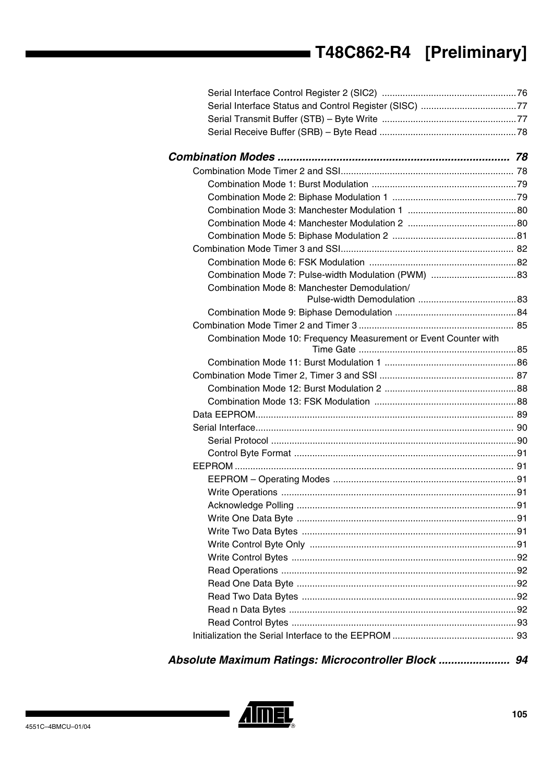| Combination Mode 8: Manchester Demodulation/                     |  |
|------------------------------------------------------------------|--|
|                                                                  |  |
|                                                                  |  |
|                                                                  |  |
| Combination Mode 10: Frequency Measurement or Event Counter with |  |
|                                                                  |  |
|                                                                  |  |
|                                                                  |  |
|                                                                  |  |
|                                                                  |  |
|                                                                  |  |
|                                                                  |  |
|                                                                  |  |
|                                                                  |  |
|                                                                  |  |
|                                                                  |  |
|                                                                  |  |
|                                                                  |  |
|                                                                  |  |
|                                                                  |  |
|                                                                  |  |
|                                                                  |  |
|                                                                  |  |
|                                                                  |  |
|                                                                  |  |
|                                                                  |  |
|                                                                  |  |
|                                                                  |  |

*Absolute Maximum Ratings: Microcontroller Block ....................... 94*

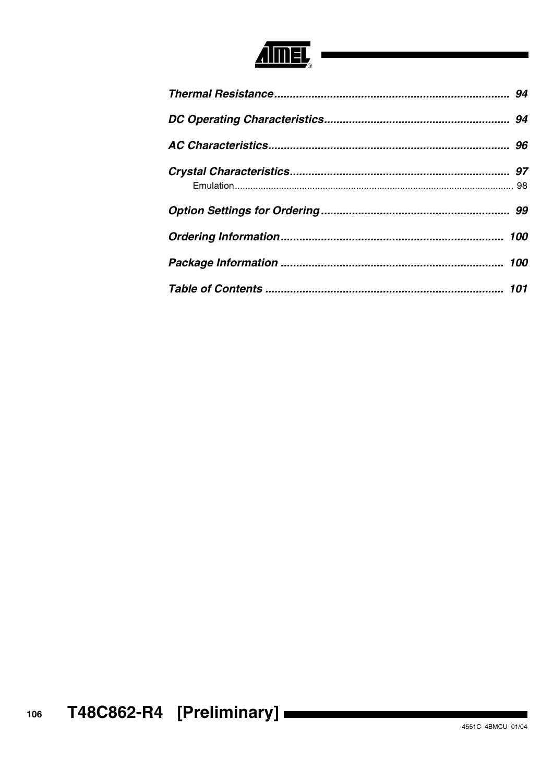

| 94  |
|-----|
|     |
|     |
| 97  |
| 99  |
|     |
| 100 |
| 101 |